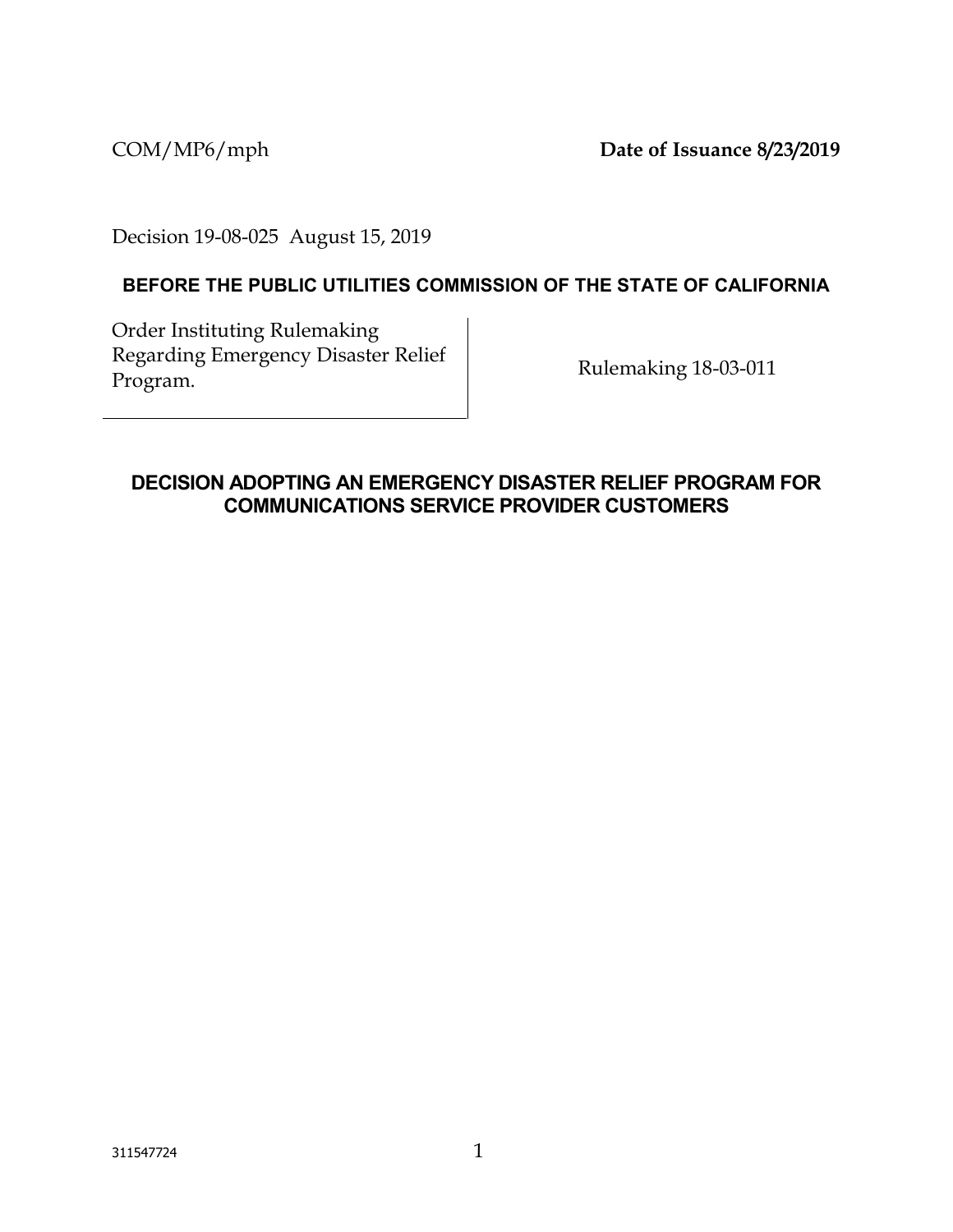COM/MP6/mph **Date of Issuance 8/23/2019**

Decision 19-08-025 August 15, 2019

## **BEFORE THE PUBLIC UTILITIES COMMISSION OF THE STATE OF CALIFORNIA**

Order Instituting Rulemaking Regarding Emergency Disaster Relief Rulemaking 18-03-011<br>Program.

## **DECISION ADOPTING AN EMERGENCY DISASTER RELIEF PROGRAM FOR COMMUNICATIONS SERVICE PROVIDER CUSTOMERS**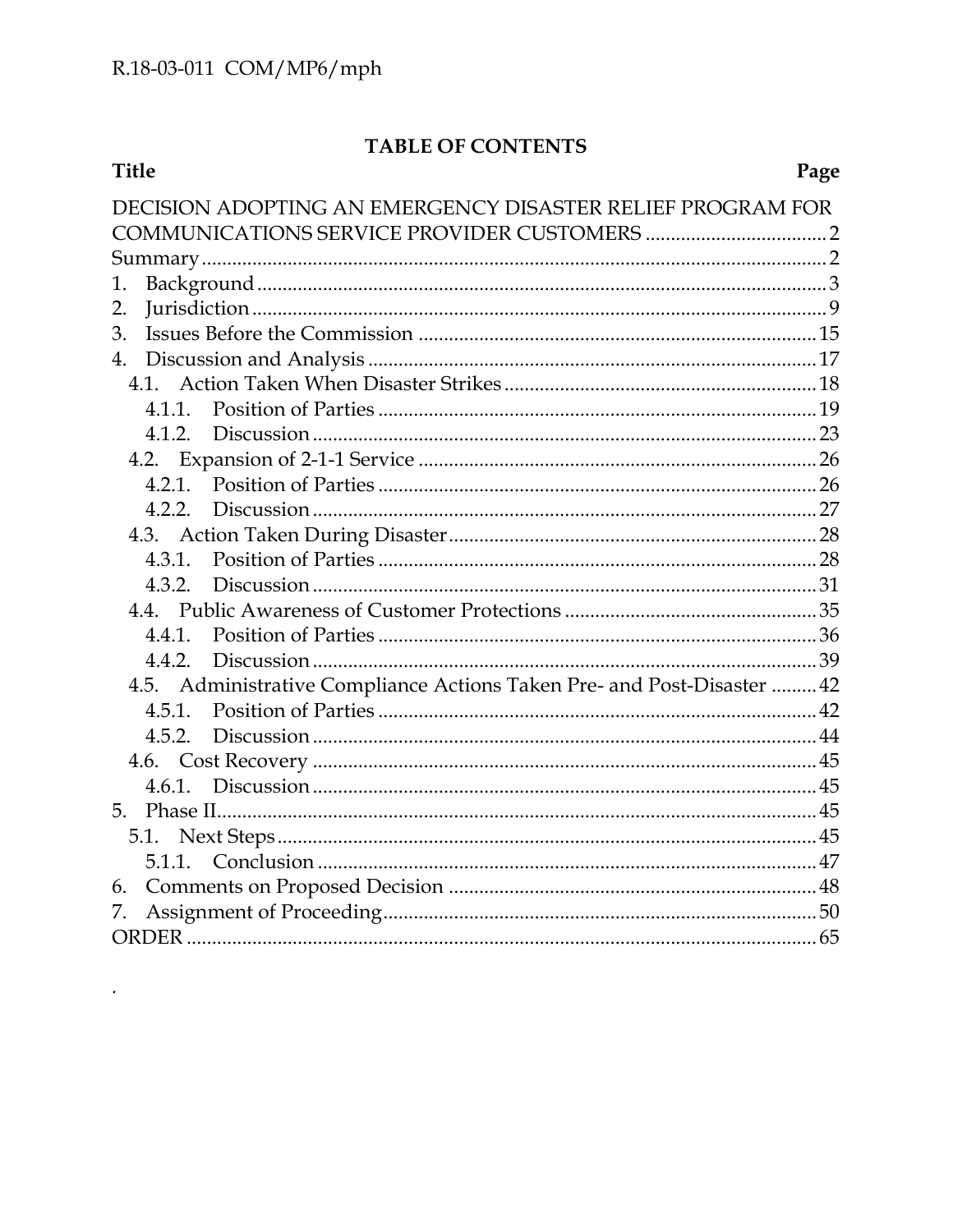$\ddot{\phantom{0}}$ 

# TABLE OF CONTENTS

| <b>Title</b>                                                            | Page |
|-------------------------------------------------------------------------|------|
| DECISION ADOPTING AN EMERGENCY DISASTER RELIEF PROGRAM FOR              |      |
|                                                                         |      |
|                                                                         |      |
| 1.                                                                      |      |
| 2.                                                                      |      |
| 3.                                                                      |      |
|                                                                         |      |
|                                                                         |      |
| 4.1.1.                                                                  |      |
|                                                                         |      |
|                                                                         |      |
|                                                                         |      |
|                                                                         |      |
|                                                                         |      |
|                                                                         |      |
|                                                                         |      |
|                                                                         |      |
|                                                                         |      |
| 4.5. Administrative Compliance Actions Taken Pre- and Post-Disaster  42 |      |
|                                                                         |      |
|                                                                         |      |
|                                                                         |      |
|                                                                         |      |
|                                                                         |      |
|                                                                         |      |
|                                                                         |      |
| 6.                                                                      |      |
| 7.                                                                      |      |
|                                                                         |      |
|                                                                         |      |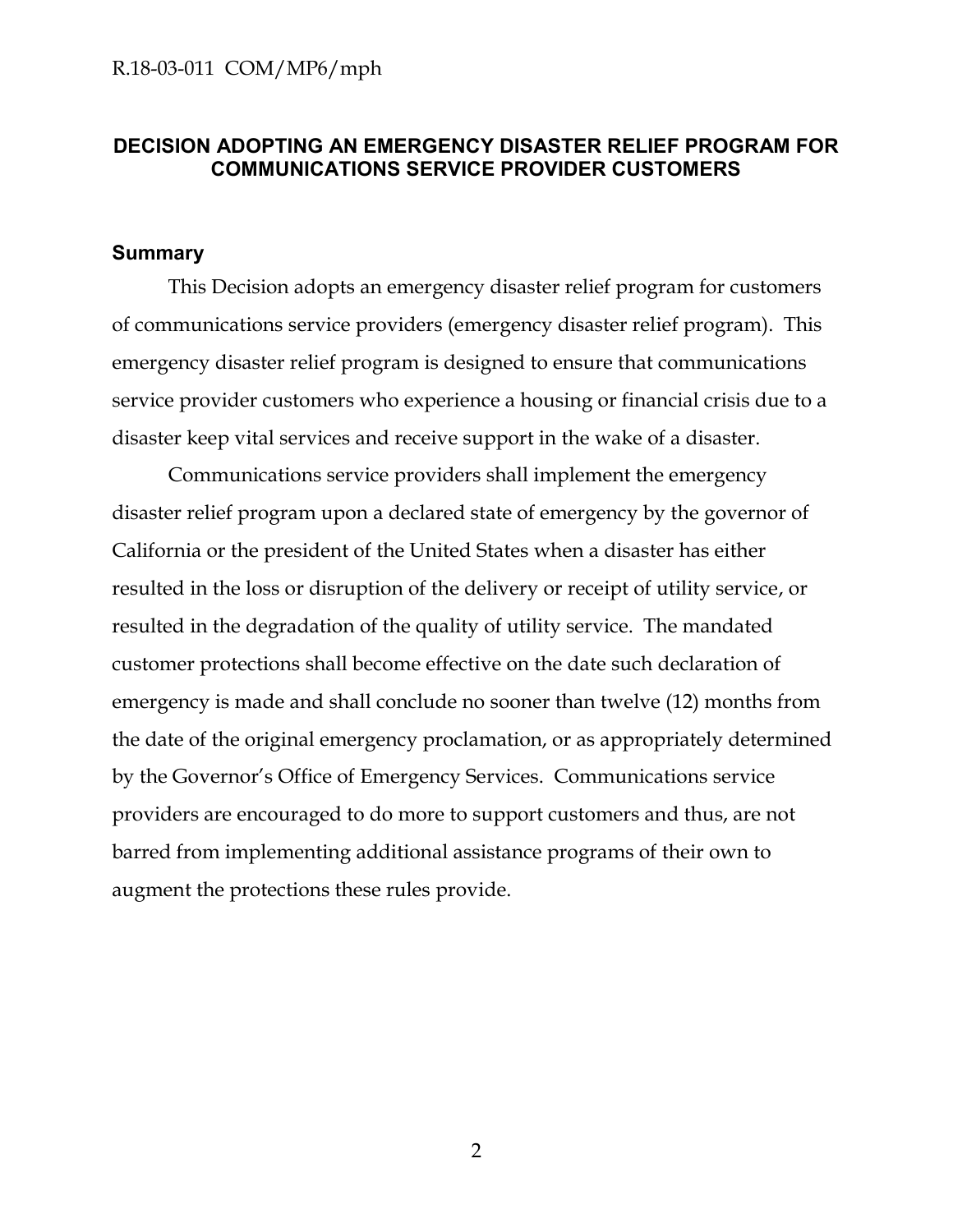## <span id="page-2-0"></span>**DECISION ADOPTING AN EMERGENCY DISASTER RELIEF PROGRAM FOR COMMUNICATIONS SERVICE PROVIDER CUSTOMERS**

### <span id="page-2-1"></span>**Summary**

This Decision adopts an emergency disaster relief program for customers of communications service providers (emergency disaster relief program). This emergency disaster relief program is designed to ensure that communications service provider customers who experience a housing or financial crisis due to a disaster keep vital services and receive support in the wake of a disaster.

Communications service providers shall implement the emergency disaster relief program upon a declared state of emergency by the governor of California or the president of the United States when a disaster has either resulted in the loss or disruption of the delivery or receipt of utility service, or resulted in the degradation of the quality of utility service. The mandated customer protections shall become effective on the date such declaration of emergency is made and shall conclude no sooner than twelve (12) months from the date of the original emergency proclamation, or as appropriately determined by the Governor's Office of Emergency Services. Communications service providers are encouraged to do more to support customers and thus, are not barred from implementing additional assistance programs of their own to augment the protections these rules provide.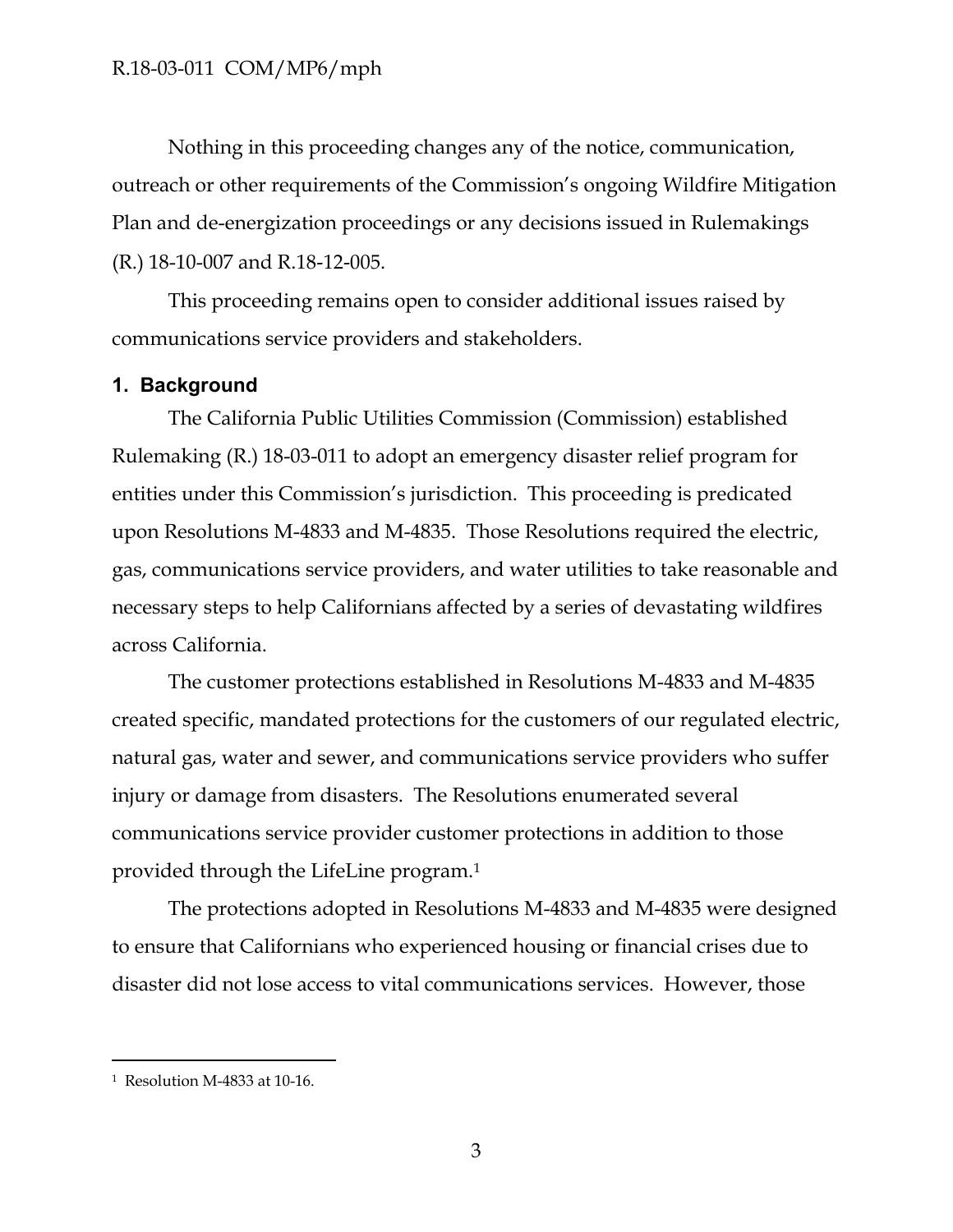Nothing in this proceeding changes any of the notice, communication, outreach or other requirements of the Commission's ongoing Wildfire Mitigation Plan and de-energization proceedings or any decisions issued in Rulemakings (R.) 18-10-007 and R.18-12-005.

This proceeding remains open to consider additional issues raised by communications service providers and stakeholders.

### <span id="page-3-0"></span>**1. Background**

The California Public Utilities Commission (Commission) established Rulemaking (R.) 18-03-011 to adopt an emergency disaster relief program for entities under this Commission's jurisdiction. This proceeding is predicated upon Resolutions M-4833 and M-4835. Those Resolutions required the electric, gas, communications service providers, and water utilities to take reasonable and necessary steps to help Californians affected by a series of devastating wildfires across California.

The customer protections established in Resolutions M-4833 and M-4835 created specific, mandated protections for the customers of our regulated electric, natural gas, water and sewer, and communications service providers who suffer injury or damage from disasters. The Resolutions enumerated several communications service provider customer protections in addition to those provided through the LifeLine program.<sup>1</sup>

The protections adopted in Resolutions M-4833 and M-4835 were designed to ensure that Californians who experienced housing or financial crises due to disaster did not lose access to vital communications services. However, those

<sup>1</sup> Resolution M-4833 at 10-16.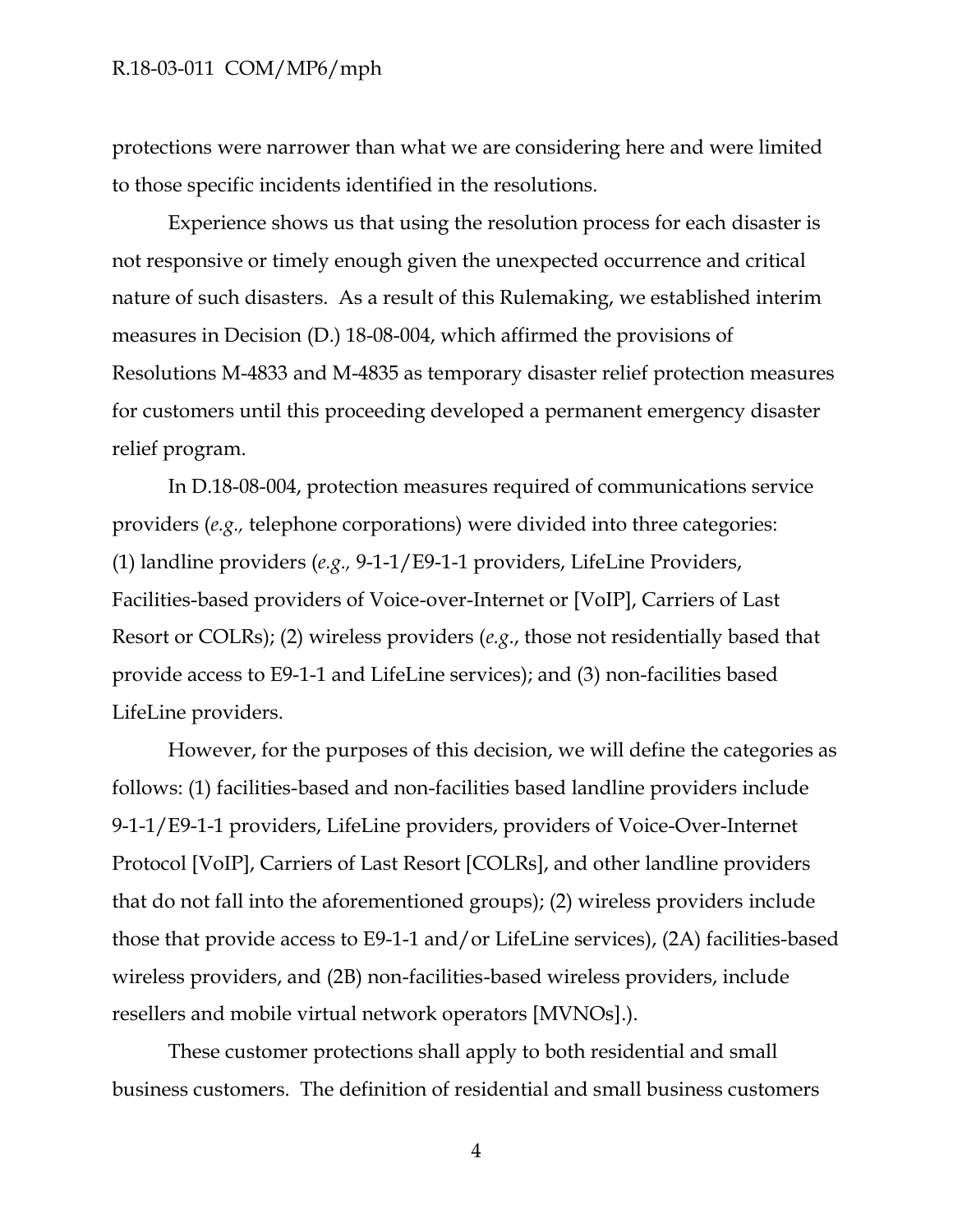protections were narrower than what we are considering here and were limited to those specific incidents identified in the resolutions.

Experience shows us that using the resolution process for each disaster is not responsive or timely enough given the unexpected occurrence and critical nature of such disasters. As a result of this Rulemaking, we established interim measures in Decision (D.) 18-08-004, which affirmed the provisions of Resolutions M-4833 and M-4835 as temporary disaster relief protection measures for customers until this proceeding developed a permanent emergency disaster relief program.

In D.18-08-004, protection measures required of communications service providers (*e.g.,* telephone corporations) were divided into three categories: (1) landline providers (*e.g.,* 9-1-1/E9-1-1 providers, LifeLine Providers, Facilities-based providers of Voice-over-Internet or [VoIP], Carriers of Last Resort or COLRs); (2) wireless providers (*e.g*., those not residentially based that provide access to E9-1-1 and LifeLine services); and (3) non-facilities based LifeLine providers.

However, for the purposes of this decision, we will define the categories as follows: (1) facilities-based and non-facilities based landline providers include 9-1-1/E9-1-1 providers, LifeLine providers, providers of Voice-Over-Internet Protocol [VoIP], Carriers of Last Resort [COLRs], and other landline providers that do not fall into the aforementioned groups); (2) wireless providers include those that provide access to E9-1-1 and/or LifeLine services), (2A) facilities-based wireless providers, and (2B) non-facilities-based wireless providers, include resellers and mobile virtual network operators [MVNOs].).

These customer protections shall apply to both residential and small business customers. The definition of residential and small business customers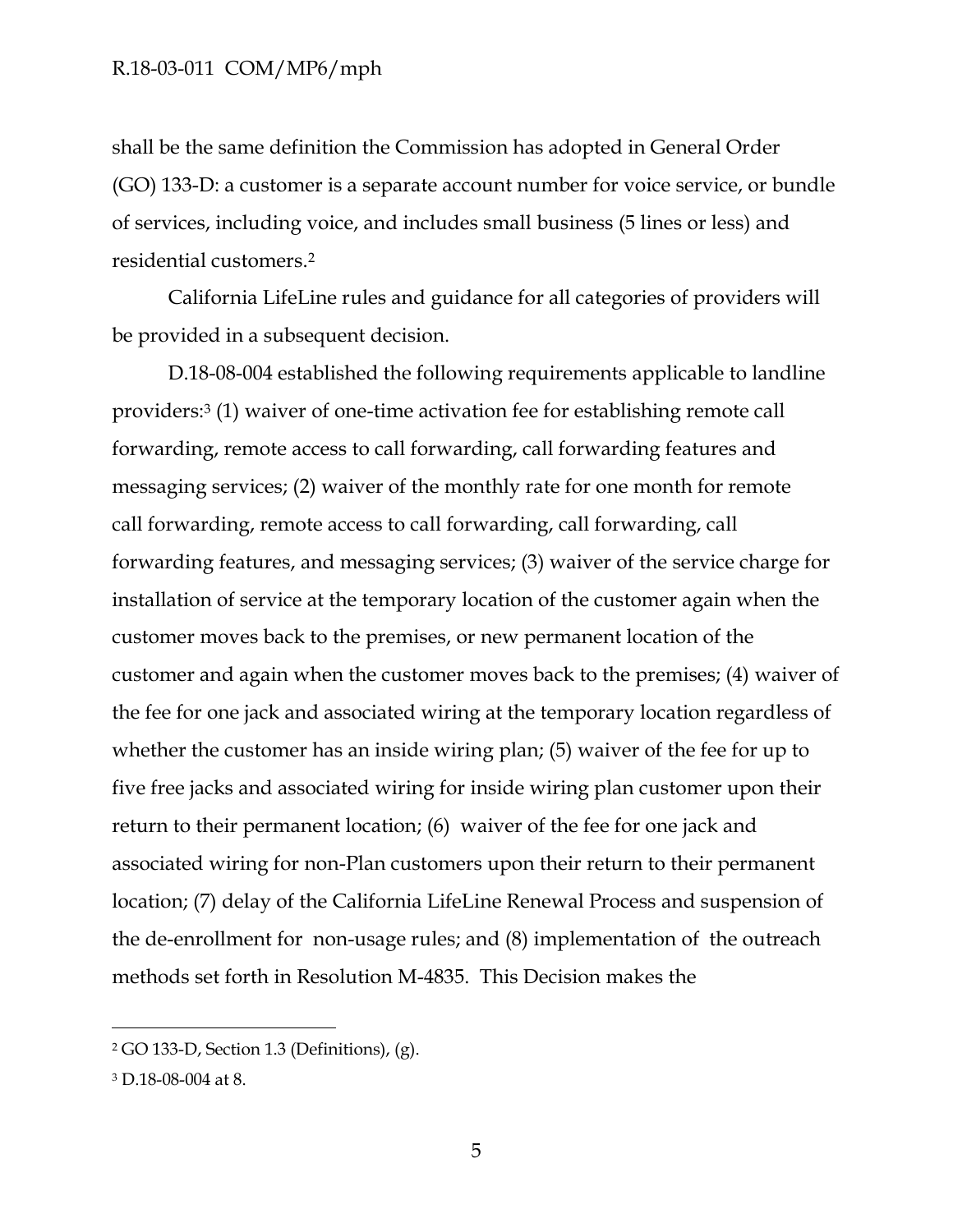shall be the same definition the Commission has adopted in General Order (GO) 133-D: a customer is a separate account number for voice service, or bundle of services, including voice, and includes small business (5 lines or less) and residential customers.<sup>2</sup>

California LifeLine rules and guidance for all categories of providers will be provided in a subsequent decision.

D.18-08-004 established the following requirements applicable to landline providers:<sup>3</sup> (1) waiver of one-time activation fee for establishing remote call forwarding, remote access to call forwarding, call forwarding features and messaging services; (2) waiver of the monthly rate for one month for remote call forwarding, remote access to call forwarding, call forwarding, call forwarding features, and messaging services; (3) waiver of the service charge for installation of service at the temporary location of the customer again when the customer moves back to the premises, or new permanent location of the customer and again when the customer moves back to the premises; (4) waiver of the fee for one jack and associated wiring at the temporary location regardless of whether the customer has an inside wiring plan; (5) waiver of the fee for up to five free jacks and associated wiring for inside wiring plan customer upon their return to their permanent location; (6) waiver of the fee for one jack and associated wiring for non-Plan customers upon their return to their permanent location; (7) delay of the California LifeLine Renewal Process and suspension of the de-enrollment for non-usage rules; and (8) implementation of the outreach methods set forth in Resolution M-4835. This Decision makes the

<sup>2</sup> GO 133-D, Section 1.3 (Definitions), (g).

<sup>3</sup> D.18-08-004 at 8.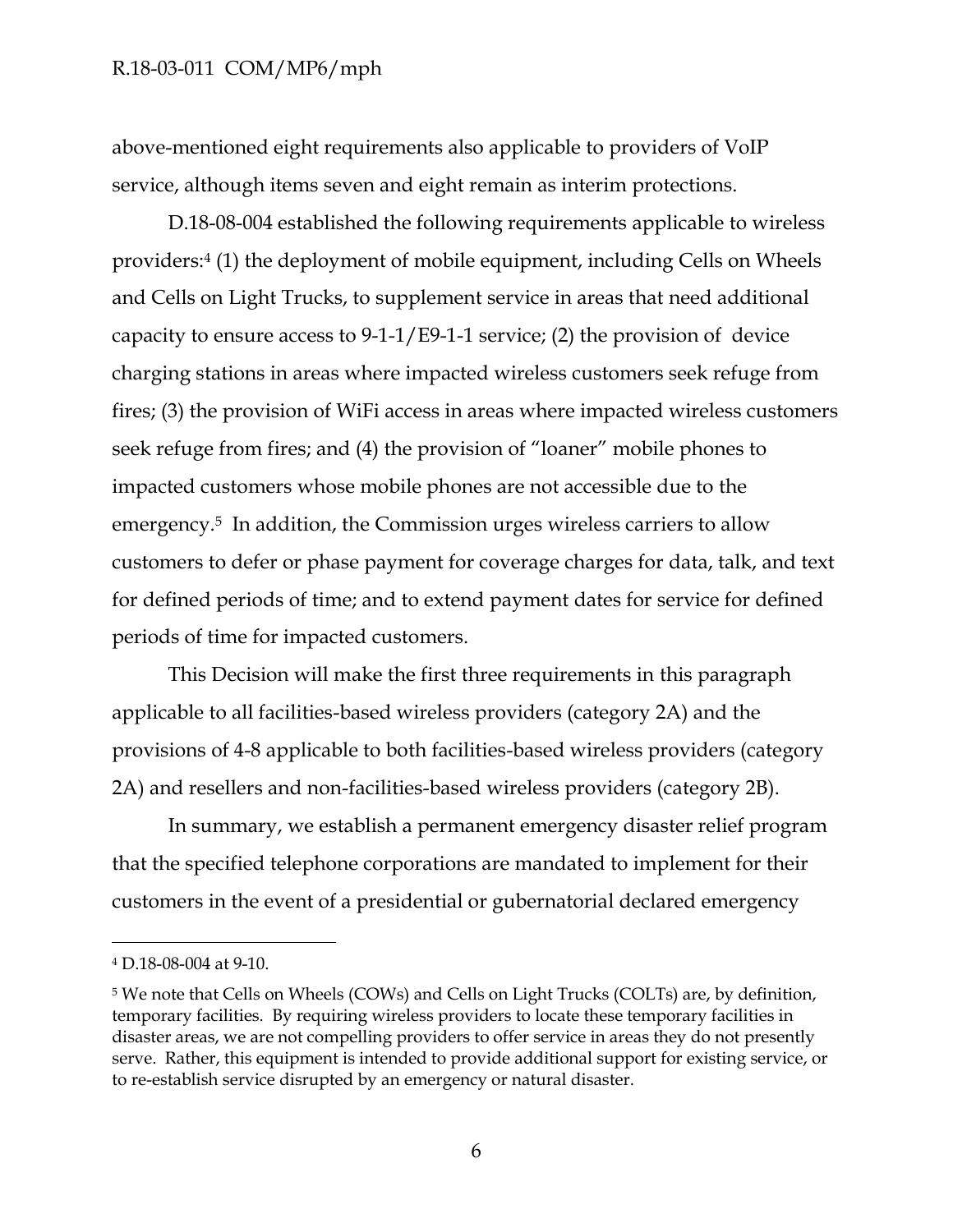above-mentioned eight requirements also applicable to providers of VoIP service, although items seven and eight remain as interim protections.

D.18-08-004 established the following requirements applicable to wireless providers:<sup>4</sup> (1) the deployment of mobile equipment, including Cells on Wheels and Cells on Light Trucks, to supplement service in areas that need additional capacity to ensure access to 9-1-1/E9-1-1 service; (2) the provision of device charging stations in areas where impacted wireless customers seek refuge from fires; (3) the provision of WiFi access in areas where impacted wireless customers seek refuge from fires; and (4) the provision of "loaner" mobile phones to impacted customers whose mobile phones are not accessible due to the emergency. <sup>5</sup> In addition, the Commission urges wireless carriers to allow customers to defer or phase payment for coverage charges for data, talk, and text for defined periods of time; and to extend payment dates for service for defined periods of time for impacted customers.

This Decision will make the first three requirements in this paragraph applicable to all facilities-based wireless providers (category 2A) and the provisions of 4-8 applicable to both facilities-based wireless providers (category 2A) and resellers and non-facilities-based wireless providers (category 2B).

In summary, we establish a permanent emergency disaster relief program that the specified telephone corporations are mandated to implement for their customers in the event of a presidential or gubernatorial declared emergency

<sup>4</sup> D.18-08-004 at 9-10.

<sup>5</sup> We note that Cells on Wheels (COWs) and Cells on Light Trucks (COLTs) are, by definition, temporary facilities. By requiring wireless providers to locate these temporary facilities in disaster areas, we are not compelling providers to offer service in areas they do not presently serve. Rather, this equipment is intended to provide additional support for existing service, or to re-establish service disrupted by an emergency or natural disaster.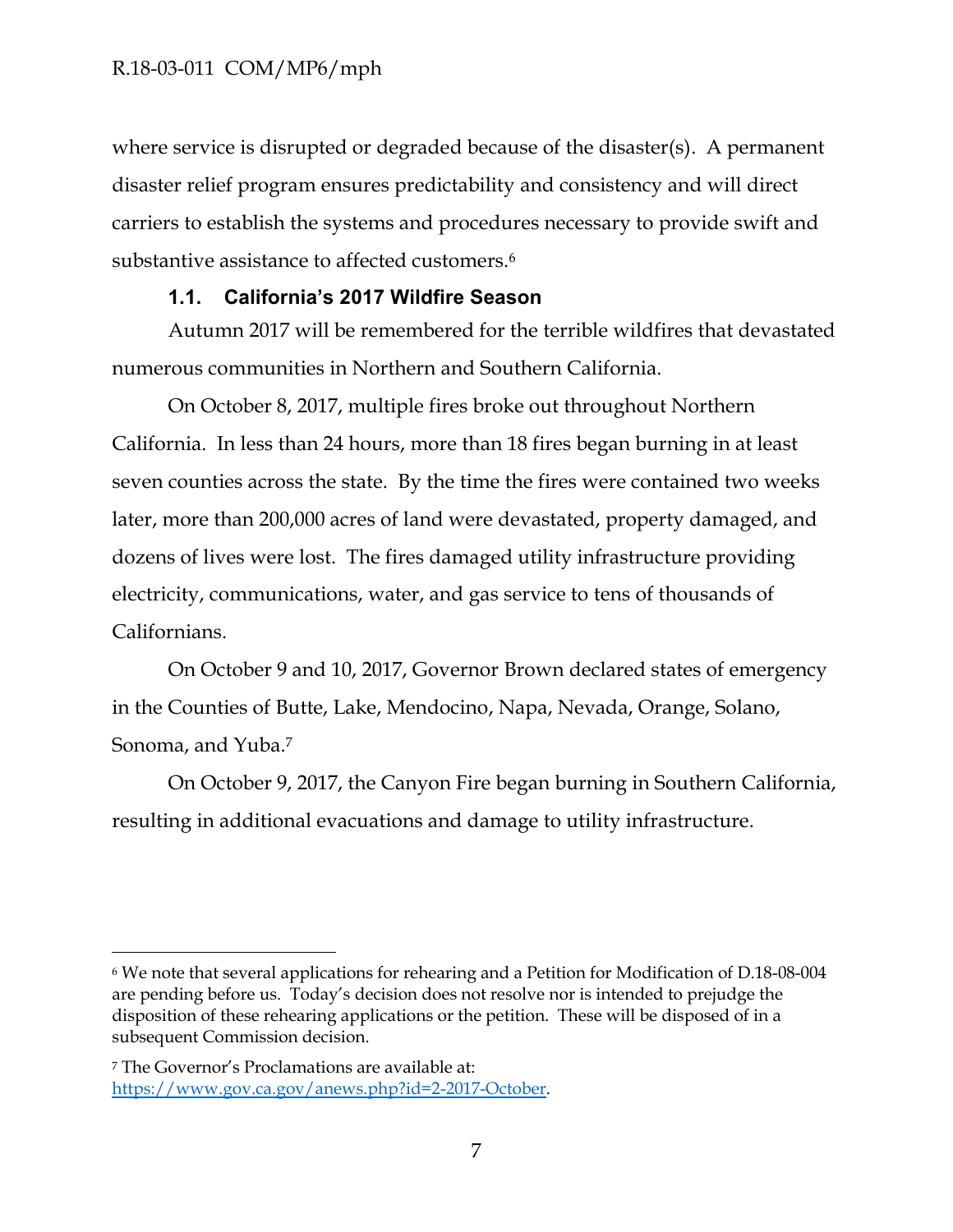where service is disrupted or degraded because of the disaster(s). A permanent disaster relief program ensures predictability and consistency and will direct carriers to establish the systems and procedures necessary to provide swift and substantive assistance to affected customers.<sup>6</sup>

### **1.1. California's 2017 Wildfire Season**

Autumn 2017 will be remembered for the terrible wildfires that devastated numerous communities in Northern and Southern California.

On October 8, 2017, multiple fires broke out throughout Northern California. In less than 24 hours, more than 18 fires began burning in at least seven counties across the state. By the time the fires were contained two weeks later, more than 200,000 acres of land were devastated, property damaged, and dozens of lives were lost. The fires damaged utility infrastructure providing electricity, communications, water, and gas service to tens of thousands of Californians.

On October 9 and 10, 2017, Governor Brown declared states of emergency in the Counties of Butte, Lake, Mendocino, Napa, Nevada, Orange, Solano, Sonoma, and Yuba.<sup>7</sup>

On October 9, 2017, the Canyon Fire began burning in Southern California, resulting in additional evacuations and damage to utility infrastructure.

<sup>6</sup> We note that several applications for rehearing and a Petition for Modification of D.18-08-004 are pending before us. Today's decision does not resolve nor is intended to prejudge the disposition of these rehearing applications or the petition. These will be disposed of in a subsequent Commission decision.

<sup>7</sup> The Governor's Proclamations are available at: [https://www.gov.ca.gov/anews.php?id=2-2017-October.](https://www.gov.ca.gov/anews.php?id=2-2017-October)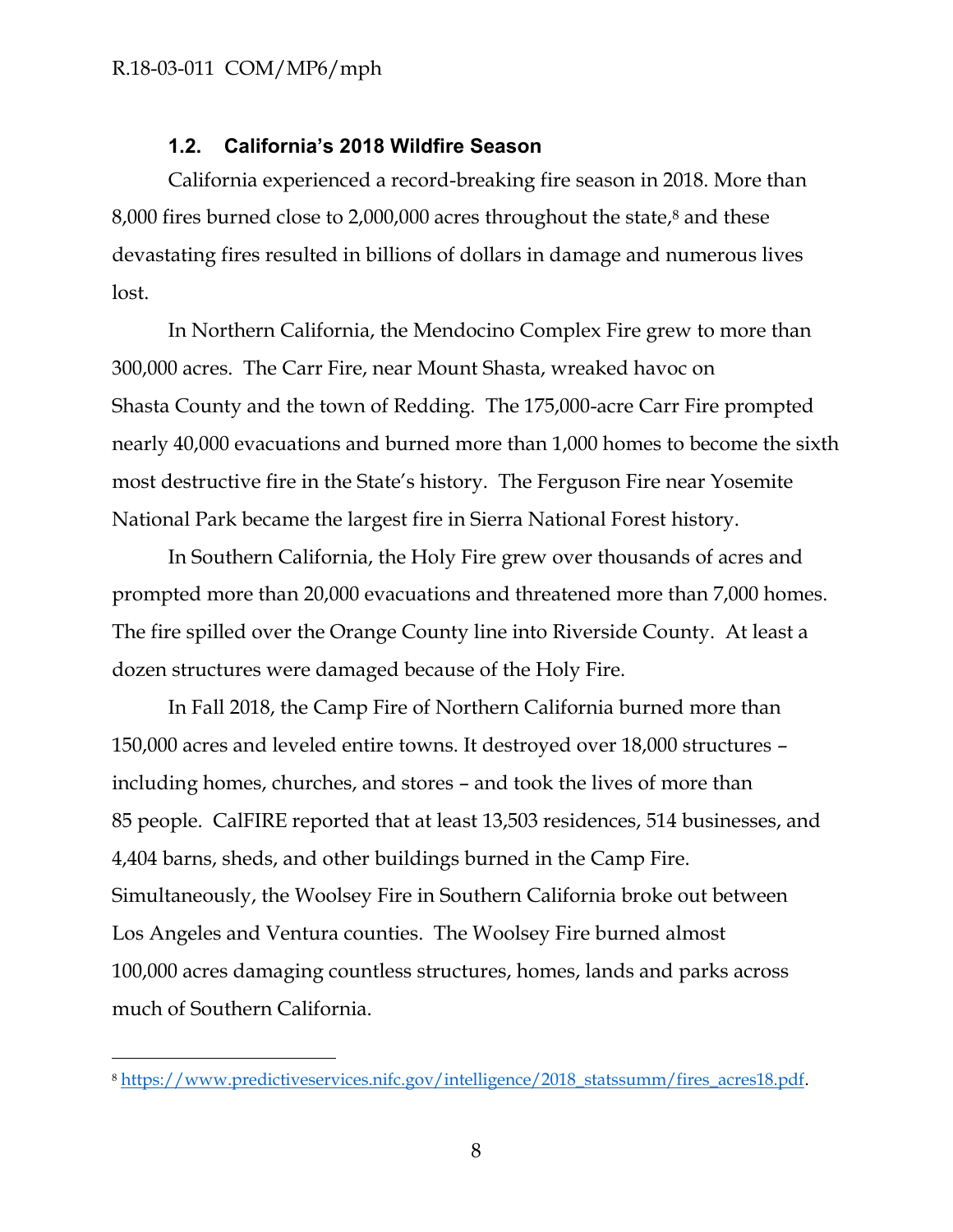$\overline{a}$ 

### **1.2. California's 2018 Wildfire Season**

California experienced a record-breaking fire season in 2018. More than 8,000 fires burned close to 2,000,000 acres throughout the state, <sup>8</sup> and these devastating fires resulted in billions of dollars in damage and numerous lives lost.

In Northern California, the Mendocino Complex Fire grew to more than 300,000 acres. The Carr Fire, near Mount Shasta, wreaked havoc on Shasta County and the town of Redding. The 175,000-acre Carr Fire prompted nearly 40,000 evacuations and burned more than 1,000 homes to become the sixth most destructive fire in the State's history. The Ferguson Fire near Yosemite National Park became the largest fire in Sierra National Forest history.

In Southern California, the Holy Fire grew over thousands of acres and prompted more than 20,000 evacuations and threatened more than 7,000 homes. The fire spilled over the Orange County line into Riverside County. At least a dozen structures were damaged because of the Holy Fire.

In Fall 2018, the Camp Fire of Northern California burned more than 150,000 acres and leveled entire towns. It destroyed over 18,000 structures – including homes, churches, and stores – and took the lives of more than 85 people. CalFIRE reported that at least 13,503 residences, 514 businesses, and 4,404 barns, sheds, and other buildings burned in the Camp Fire. Simultaneously, the Woolsey Fire in Southern California broke out between Los Angeles and Ventura counties. The Woolsey Fire burned almost 100,000 acres damaging countless structures, homes, lands and parks across much of Southern California.

<sup>8</sup> [https://www.predictiveservices.nifc.gov/intelligence/2018\\_statssumm/fires\\_acres18.pdf.](https://www.predictiveservices.nifc.gov/intelligence/2018_statssumm/fires_acres18.pdf)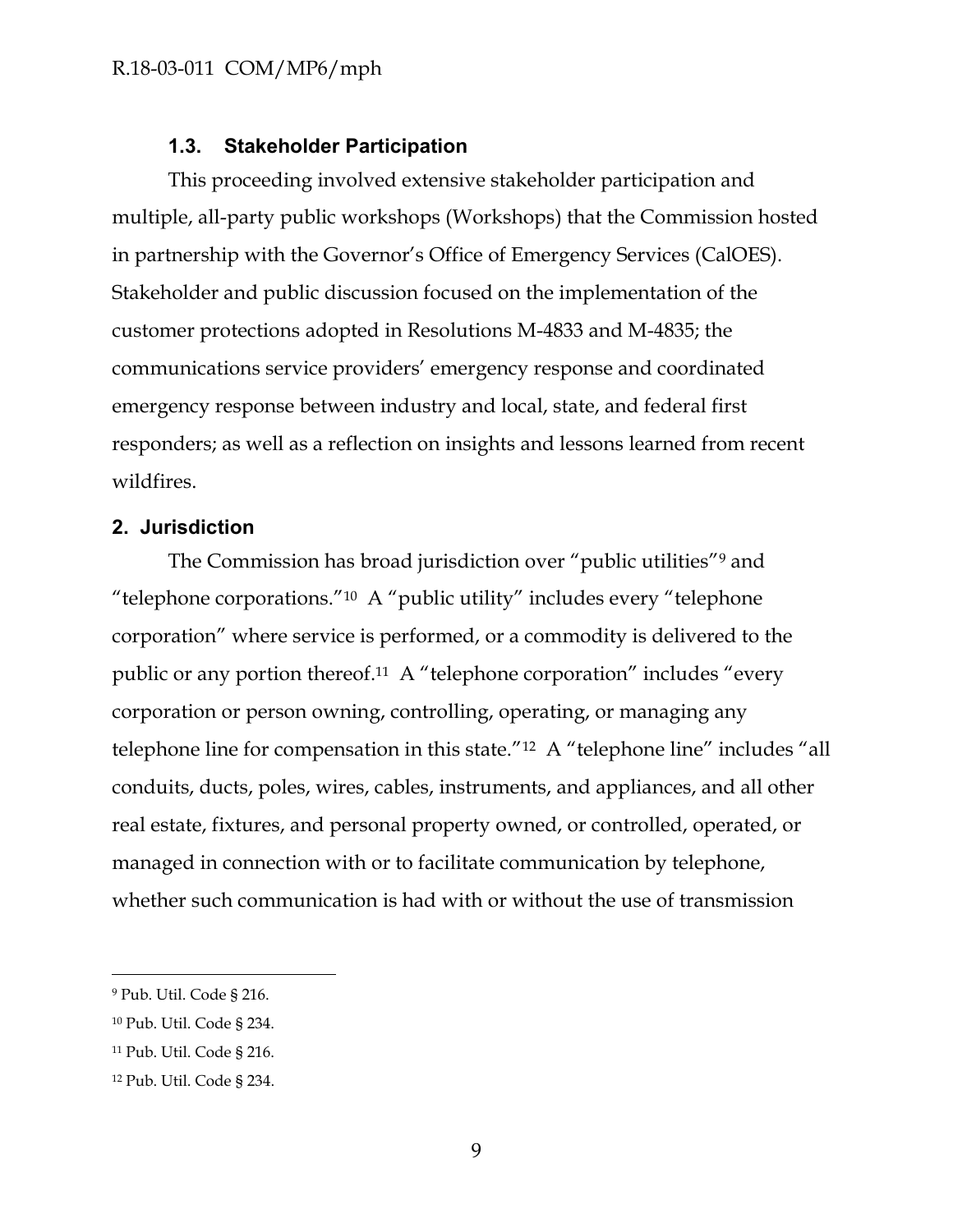### **1.3. Stakeholder Participation**

This proceeding involved extensive stakeholder participation and multiple, all-party public workshops (Workshops) that the Commission hosted in partnership with the Governor's Office of Emergency Services (CalOES). Stakeholder and public discussion focused on the implementation of the customer protections adopted in Resolutions M-4833 and M-4835; the communications service providers' emergency response and coordinated emergency response between industry and local, state, and federal first responders; as well as a reflection on insights and lessons learned from recent wildfires.

#### <span id="page-9-0"></span>**2. Jurisdiction**

The Commission has broad jurisdiction over "public utilities"<sup>9</sup> and "telephone corporations."<sup>10</sup> A "public utility" includes every "telephone corporation" where service is performed, or a commodity is delivered to the public or any portion thereof.<sup>11</sup> A "telephone corporation" includes "every corporation or person owning, controlling, operating, or managing any telephone line for compensation in this state."<sup>12</sup> A "telephone line" includes "all conduits, ducts, poles, wires, cables, instruments, and appliances, and all other real estate, fixtures, and personal property owned, or controlled, operated, or managed in connection with or to facilitate communication by telephone, whether such communication is had with or without the use of transmission

<sup>9</sup> Pub. Util. Code § 216.

<sup>10</sup> Pub. Util. Code § 234.

<sup>11</sup> Pub. Util. Code § 216.

<sup>12</sup> Pub. Util. Code § 234.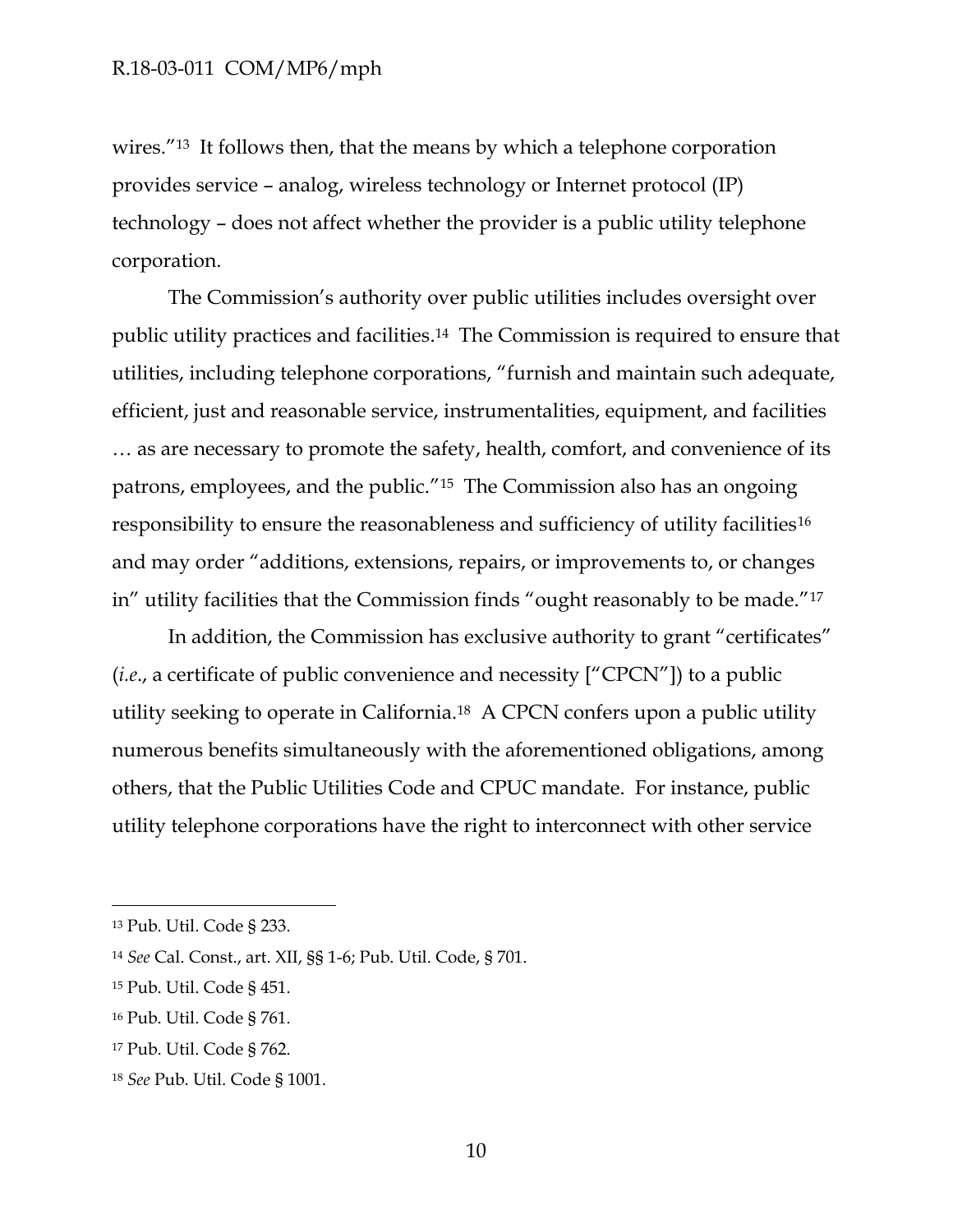wires."<sup>13</sup> It follows then, that the means by which a telephone corporation provides service – analog, wireless technology or Internet protocol (IP) technology – does not affect whether the provider is a public utility telephone corporation.

The Commission's authority over public utilities includes oversight over public utility practices and facilities. <sup>14</sup> The Commission is required to ensure that utilities, including telephone corporations, "furnish and maintain such adequate, efficient, just and reasonable service, instrumentalities, equipment, and facilities … as are necessary to promote the safety, health, comfort, and convenience of its patrons, employees, and the public."15 The Commission also has an ongoing responsibility to ensure the reasonableness and sufficiency of utility facilities<sup>16</sup> and may order "additions, extensions, repairs, or improvements to, or changes in" utility facilities that the Commission finds "ought reasonably to be made."<sup>17</sup>

In addition, the Commission has exclusive authority to grant "certificates" (*i.e*., a certificate of public convenience and necessity ["CPCN"]) to a public utility seeking to operate in California.18 A CPCN confers upon a public utility numerous benefits simultaneously with the aforementioned obligations, among others, that the Public Utilities Code and CPUC mandate. For instance, public utility telephone corporations have the right to interconnect with other service

<sup>13</sup> Pub. Util. Code § 233.

<sup>14</sup> *See* Cal. Const., art. XII, §§ 1-6; Pub. Util. Code, § 701.

<sup>15</sup> Pub. Util. Code § 451.

<sup>16</sup> Pub. Util. Code § 761.

<sup>17</sup> Pub. Util. Code § 762.

<sup>18</sup> *See* Pub. Util. Code § 1001.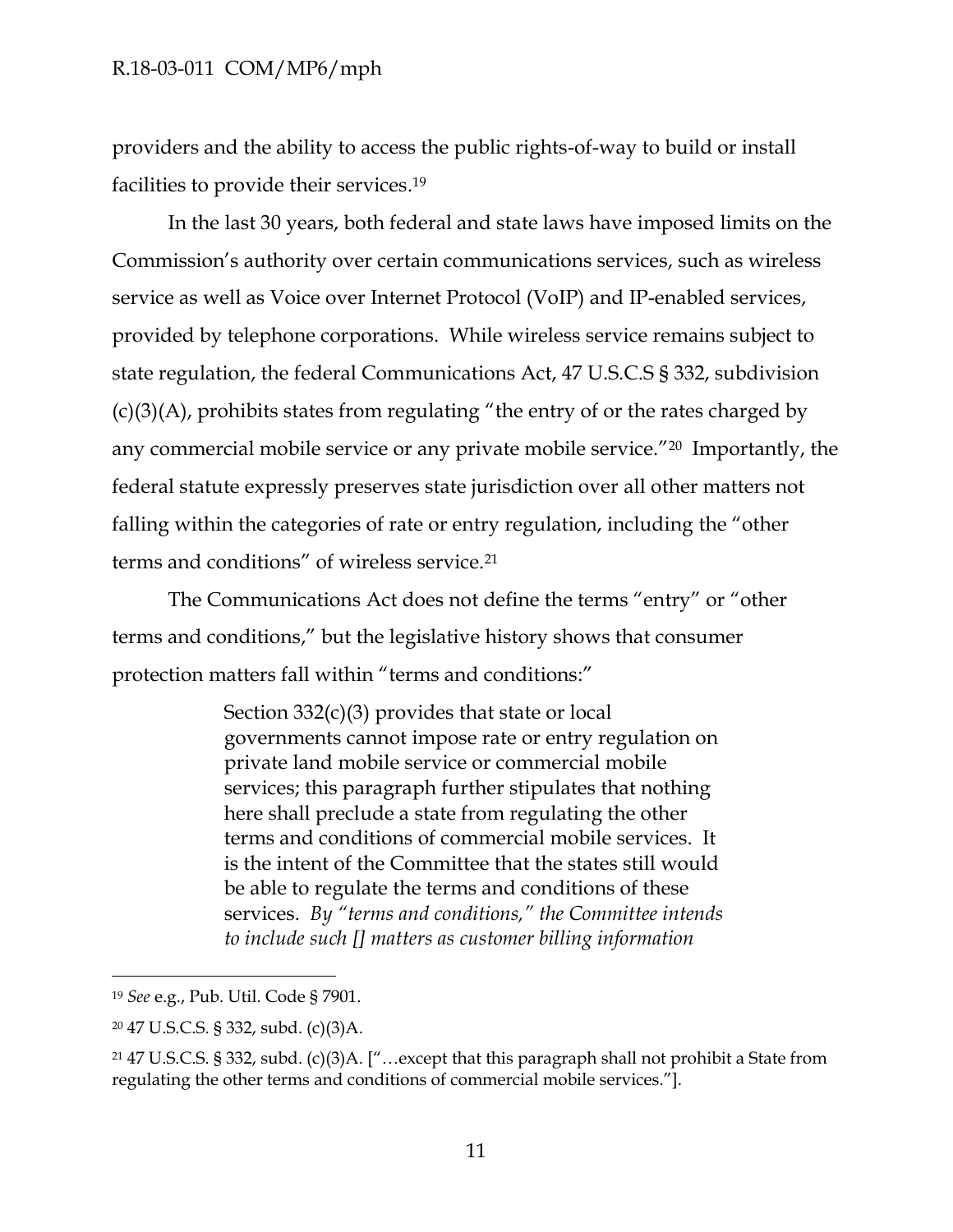providers and the ability to access the public rights-of-way to build or install facilities to provide their services. 19

In the last 30 years, both federal and state laws have imposed limits on the Commission's authority over certain communications services, such as wireless service as well as Voice over Internet Protocol (VoIP) and IP-enabled services, provided by telephone corporations. While wireless service remains subject to state regulation, the federal Communications Act, 47 U.S.C.S § 332, subdivision  $(c)(3)(A)$ , prohibits states from regulating "the entry of or the rates charged by any commercial mobile service or any private mobile service."20 Importantly, the federal statute expressly preserves state jurisdiction over all other matters not falling within the categories of rate or entry regulation, including the "other terms and conditions" of wireless service.<sup>21</sup>

The Communications Act does not define the terms "entry" or "other terms and conditions," but the legislative history shows that consumer protection matters fall within "terms and conditions:"

> Section  $332(c)(3)$  provides that state or local governments cannot impose rate or entry regulation on private land mobile service or commercial mobile services; this paragraph further stipulates that nothing here shall preclude a state from regulating the other terms and conditions of commercial mobile services. It is the intent of the Committee that the states still would be able to regulate the terms and conditions of these services. *By "terms and conditions," the Committee intends to include such [] matters as customer billing information*

<sup>19</sup> *See* e.g., Pub. Util. Code § 7901.

<sup>20</sup> 47 U.S.C.S. § 332, subd. (c)(3)A.

<sup>21</sup> 47 U.S.C.S. § 332, subd. (c)(3)A. ["…except that this paragraph shall not prohibit a State from regulating the other terms and conditions of commercial mobile services."].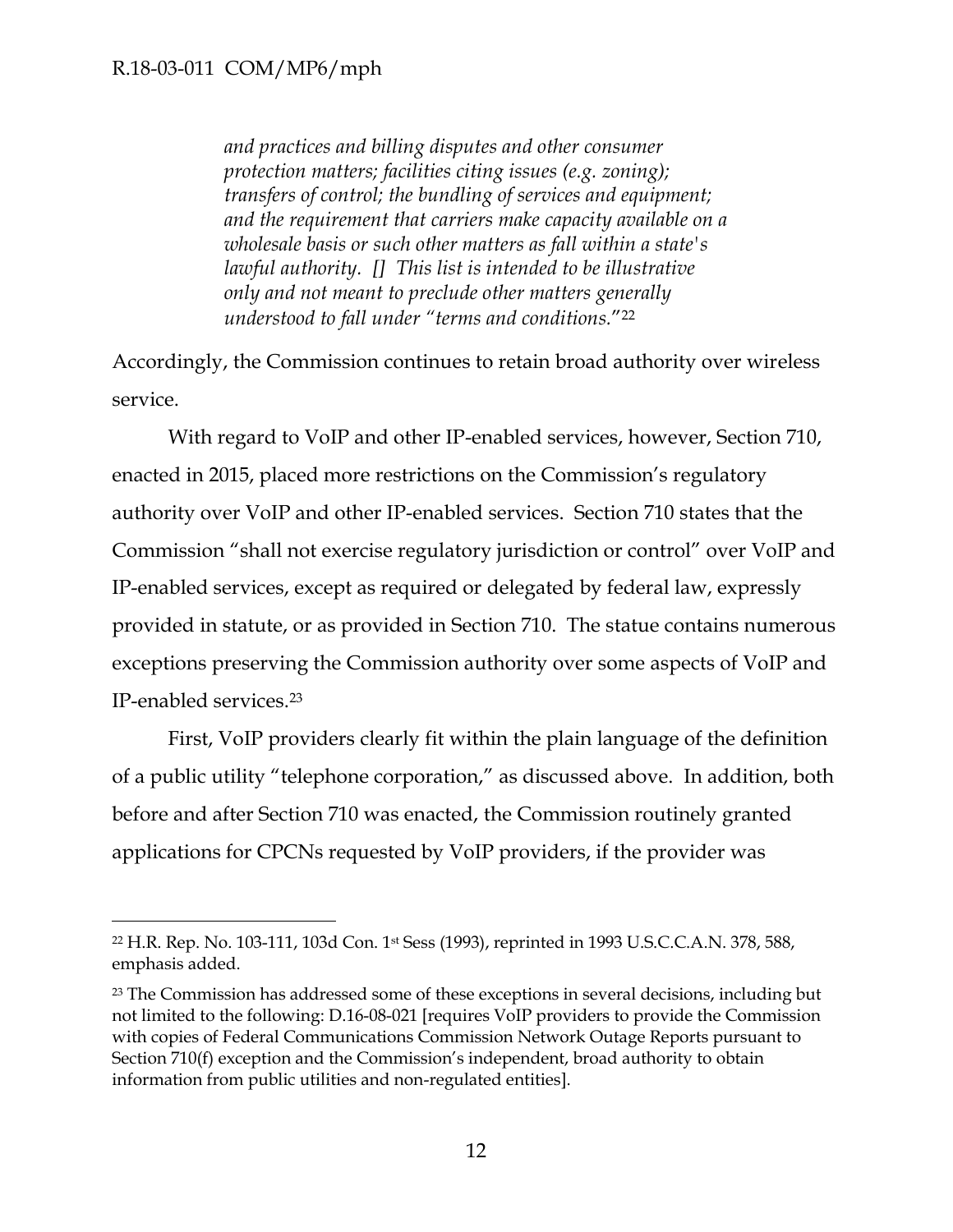$\overline{a}$ 

*and practices and billing disputes and other consumer protection matters; facilities citing issues (e.g. zoning); transfers of control; the bundling of services and equipment; and the requirement that carriers make capacity available on a wholesale basis or such other matters as fall within a state's lawful authority. [] This list is intended to be illustrative only and not meant to preclude other matters generally understood to fall under "terms and conditions.*"<sup>22</sup>

Accordingly, the Commission continues to retain broad authority over wireless service.

With regard to VoIP and other IP-enabled services, however, Section 710, enacted in 2015, placed more restrictions on the Commission's regulatory authority over VoIP and other IP-enabled services. Section 710 states that the Commission "shall not exercise regulatory jurisdiction or control" over VoIP and IP-enabled services, except as required or delegated by federal law, expressly provided in statute, or as provided in Section 710. The statue contains numerous exceptions preserving the Commission authority over some aspects of VoIP and IP-enabled services. 23

First, VoIP providers clearly fit within the plain language of the definition of a public utility "telephone corporation," as discussed above. In addition, both before and after Section 710 was enacted, the Commission routinely granted applications for CPCNs requested by VoIP providers, if the provider was

<sup>22</sup> H.R. Rep. No. 103-111, 103d Con. 1st Sess (1993), reprinted in 1993 U.S.C.C.A.N. 378, 588, emphasis added.

<sup>&</sup>lt;sup>23</sup> The Commission has addressed some of these exceptions in several decisions, including but not limited to the following: D.16-08-021 [requires VoIP providers to provide the Commission with copies of Federal Communications Commission Network Outage Reports pursuant to Section 710(f) exception and the Commission's independent, broad authority to obtain information from public utilities and non-regulated entities].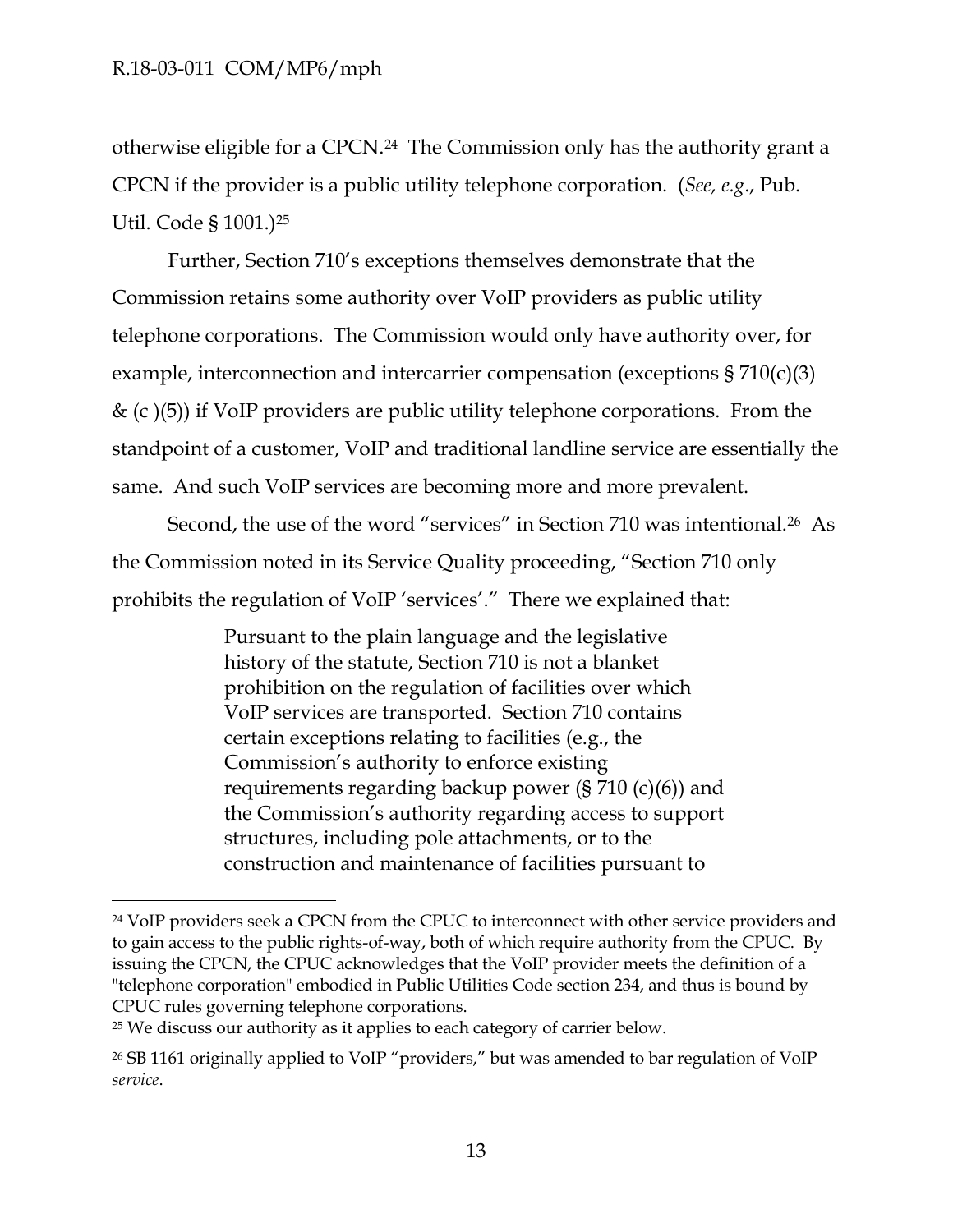otherwise eligible for a CPCN.24 The Commission only has the authority grant a CPCN if the provider is a public utility telephone corporation. (*See, e.g*., Pub. Util. Code § 1001.)<sup>25</sup>

Further, Section 710's exceptions themselves demonstrate that the Commission retains some authority over VoIP providers as public utility telephone corporations. The Commission would only have authority over, for example, interconnection and intercarrier compensation (exceptions § 710(c)(3)  $\&$  (c)(5)) if VoIP providers are public utility telephone corporations. From the standpoint of a customer, VoIP and traditional landline service are essentially the same. And such VoIP services are becoming more and more prevalent.

Second, the use of the word "services" in Section 710 was intentional.<sup>26</sup> As the Commission noted in its Service Quality proceeding, "Section 710 only prohibits the regulation of VoIP 'services'." There we explained that:

> Pursuant to the plain language and the legislative history of the statute, Section 710 is not a blanket prohibition on the regulation of facilities over which VoIP services are transported. Section 710 contains certain exceptions relating to facilities (e.g., the Commission's authority to enforce existing requirements regarding backup power (§ 710 (c)(6)) and the Commission's authority regarding access to support structures, including pole attachments, or to the construction and maintenance of facilities pursuant to

<sup>25</sup> We discuss our authority as it applies to each category of carrier below.

<sup>&</sup>lt;sup>24</sup> VoIP providers seek a CPCN from the CPUC to interconnect with other service providers and to gain access to the public rights-of-way, both of which require authority from the CPUC. By issuing the CPCN, the CPUC acknowledges that the VoIP provider meets the definition of a "telephone corporation" embodied in Public Utilities Code section 234, and thus is bound by CPUC rules governing telephone corporations.

<sup>&</sup>lt;sup>26</sup> SB 1161 originally applied to VoIP "providers," but was amended to bar regulation of VoIP *service*.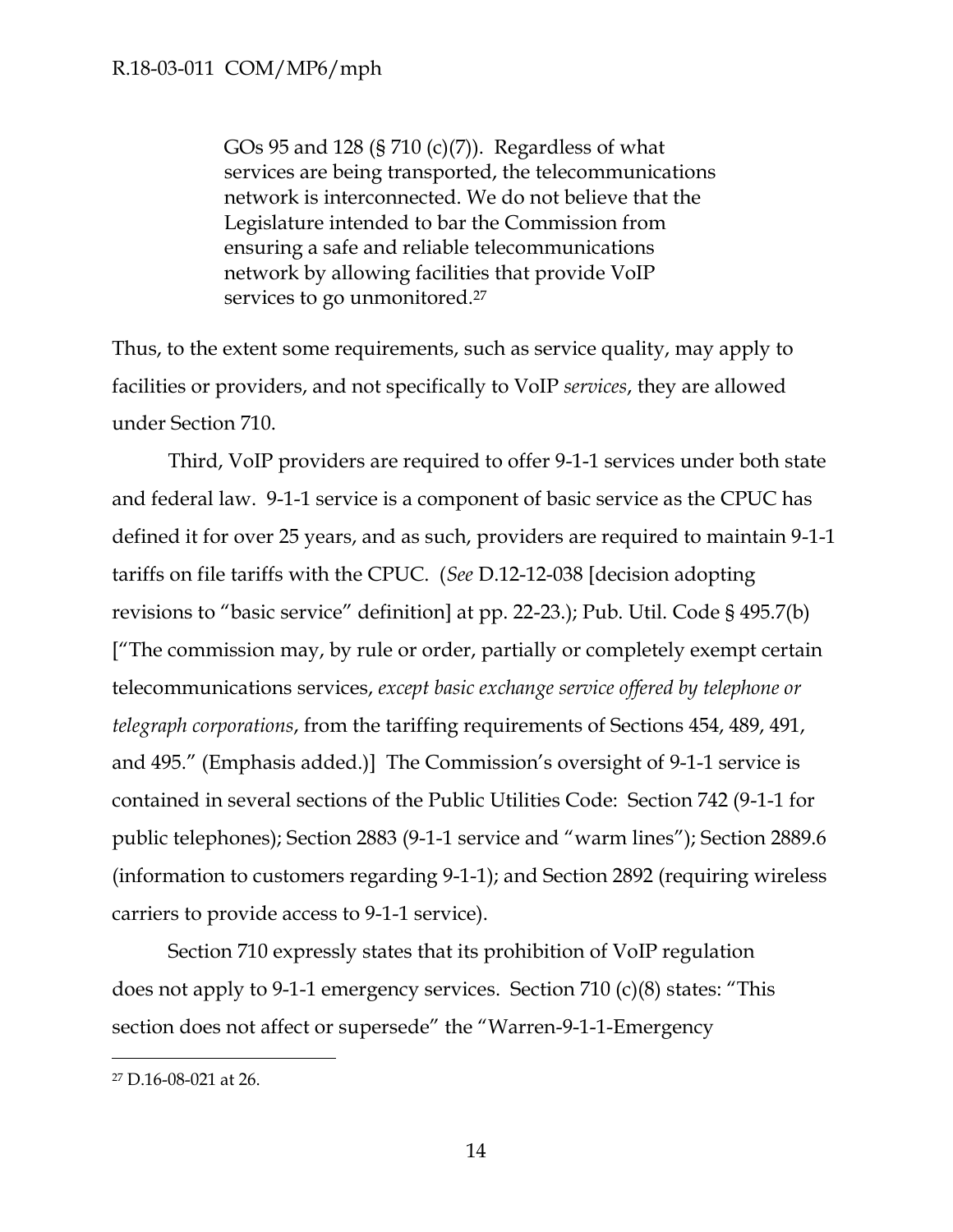GOs 95 and 128 (§ 710 (c)(7)). Regardless of what services are being transported, the telecommunications network is interconnected. We do not believe that the Legislature intended to bar the Commission from ensuring a safe and reliable telecommunications network by allowing facilities that provide VoIP services to go unmonitored.<sup>27</sup>

Thus, to the extent some requirements, such as service quality, may apply to facilities or providers, and not specifically to VoIP *services*, they are allowed under Section 710.

Third, VoIP providers are required to offer 9-1-1 services under both state and federal law. 9-1-1 service is a component of basic service as the CPUC has defined it for over 25 years, and as such, providers are required to maintain 9-1-1 tariffs on file tariffs with the CPUC. (*See* D.12-12-038 [decision adopting revisions to "basic service" definition] at pp. 22-23.); Pub. Util. Code § 495.7(b) ["The commission may, by rule or order, partially or completely exempt certain telecommunications services, *except basic exchange service offered by telephone or telegraph corporations*, from the tariffing requirements of Sections 454, 489, 491, and 495." (Emphasis added.)] The Commission's oversight of 9-1-1 service is contained in several sections of the Public Utilities Code: Section 742 (9-1-1 for public telephones); Section 2883 (9-1-1 service and "warm lines"); Section 2889.6 (information to customers regarding 9-1-1); and Section 2892 (requiring wireless carriers to provide access to 9-1-1 service).

Section 710 expressly states that its prohibition of VoIP regulation does not apply to 9-1-1 emergency services. Section 710 (c)(8) states: "This section does not affect or supersede" the "Warren-9-1-1-Emergency

<sup>27</sup> D.16-08-021 at 26.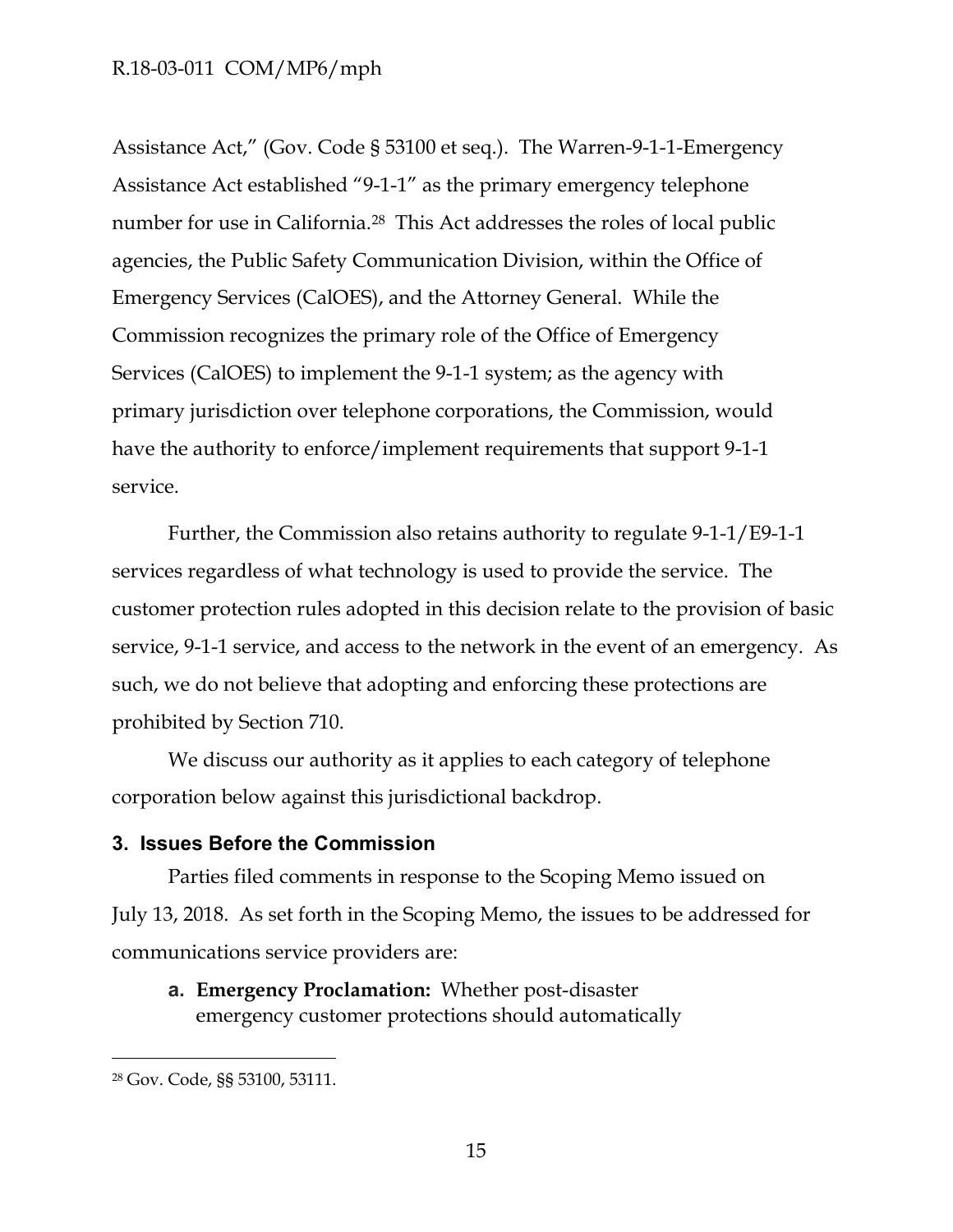Assistance Act," (Gov. Code § 53100 et seq.). The Warren-9-1-1-Emergency Assistance Act established "9-1-1" as the primary emergency telephone number for use in California.<sup>28</sup> This Act addresses the roles of local public agencies, the Public Safety Communication Division, within the Office of Emergency Services (CalOES), and the Attorney General. While the Commission recognizes the primary role of the Office of Emergency Services (CalOES) to implement the 9-1-1 system; as the agency with primary jurisdiction over telephone corporations, the Commission, would have the authority to enforce/implement requirements that support 9-1-1 service.

Further, the Commission also retains authority to regulate 9-1-1/E9-1-1 services regardless of what technology is used to provide the service. The customer protection rules adopted in this decision relate to the provision of basic service, 9-1-1 service, and access to the network in the event of an emergency. As such, we do not believe that adopting and enforcing these protections are prohibited by Section 710.

We discuss our authority as it applies to each category of telephone corporation below against this jurisdictional backdrop.

### <span id="page-15-0"></span>**3. Issues Before the Commission**

Parties filed comments in response to the Scoping Memo issued on July 13, 2018. As set forth in the Scoping Memo, the issues to be addressed for communications service providers are:

**a. Emergency Proclamation:** Whether post-disaster emergency customer protections should automatically

<sup>28</sup> Gov. Code, §§ 53100, 53111.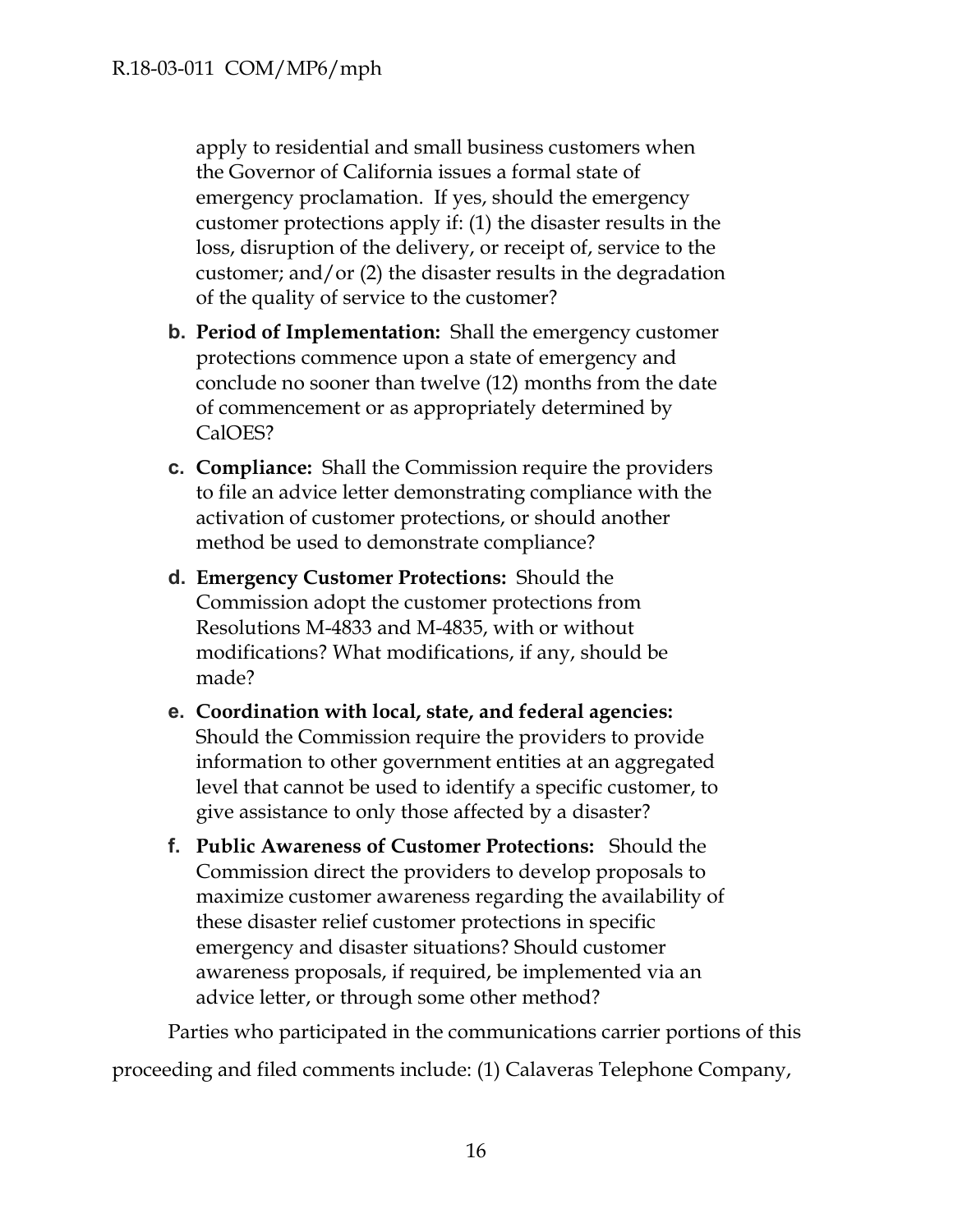apply to residential and small business customers when the Governor of California issues a formal state of emergency proclamation. If yes, should the emergency customer protections apply if: (1) the disaster results in the loss, disruption of the delivery, or receipt of, service to the customer; and/or (2) the disaster results in the degradation of the quality of service to the customer?

- **b. Period of Implementation:** Shall the emergency customer protections commence upon a state of emergency and conclude no sooner than twelve (12) months from the date of commencement or as appropriately determined by CalOES?
- **c. Compliance:** Shall the Commission require the providers to file an advice letter demonstrating compliance with the activation of customer protections, or should another method be used to demonstrate compliance?
- **d. Emergency Customer Protections:** Should the Commission adopt the customer protections from Resolutions M-4833 and M-4835, with or without modifications? What modifications, if any, should be made?
- **e. Coordination with local, state, and federal agencies:**  Should the Commission require the providers to provide information to other government entities at an aggregated level that cannot be used to identify a specific customer, to give assistance to only those affected by a disaster?
- **f. Public Awareness of Customer Protections:** Should the Commission direct the providers to develop proposals to maximize customer awareness regarding the availability of these disaster relief customer protections in specific emergency and disaster situations? Should customer awareness proposals, if required, be implemented via an advice letter, or through some other method?

Parties who participated in the communications carrier portions of this proceeding and filed comments include: (1) Calaveras Telephone Company,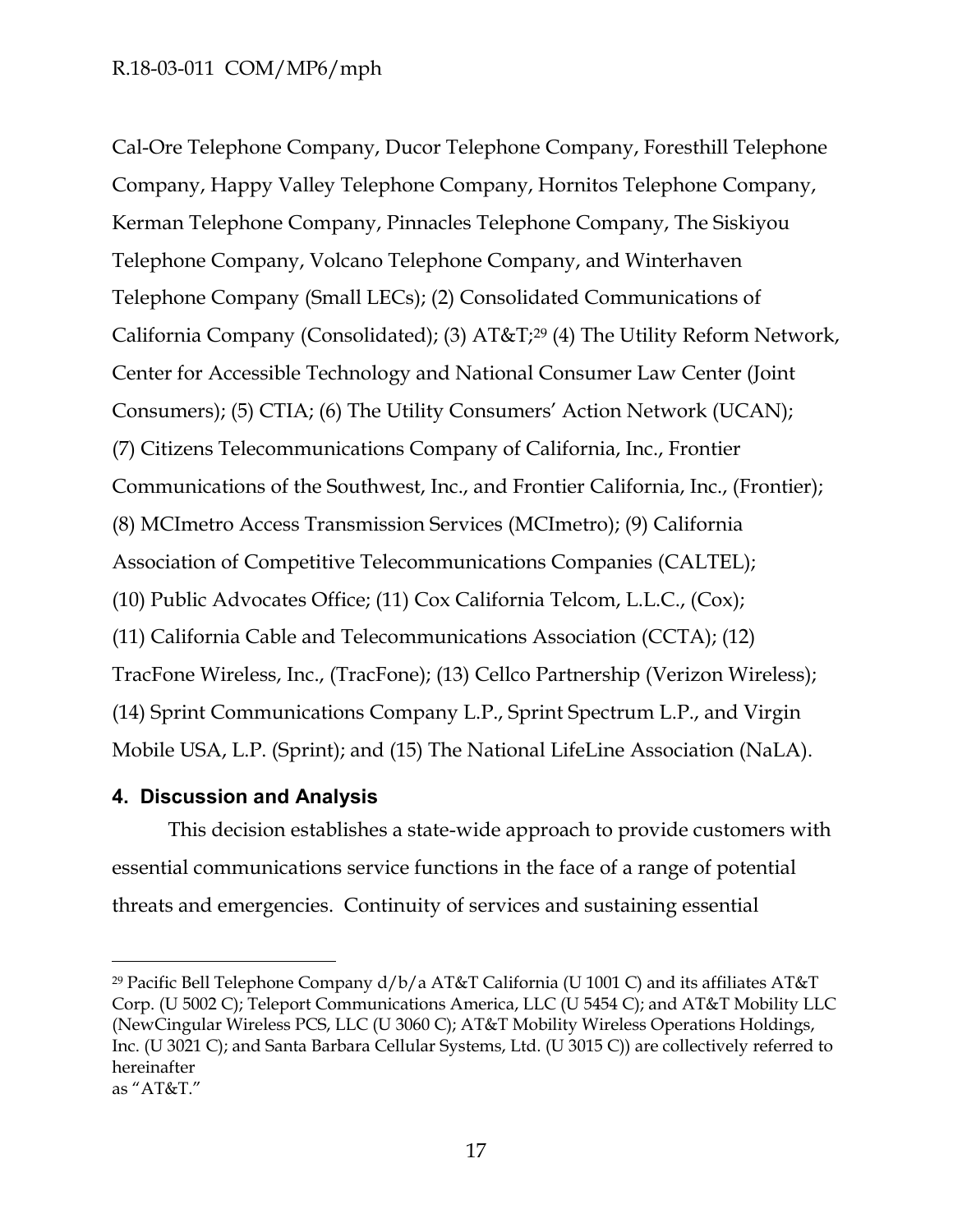Cal-Ore Telephone Company, Ducor Telephone Company, Foresthill Telephone Company, Happy Valley Telephone Company, Hornitos Telephone Company, Kerman Telephone Company, Pinnacles Telephone Company, The Siskiyou Telephone Company, Volcano Telephone Company, and Winterhaven Telephone Company (Small LECs); (2) Consolidated Communications of California Company (Consolidated); (3) AT&T;<sup>29</sup> (4) The Utility Reform Network, Center for Accessible Technology and National Consumer Law Center (Joint Consumers); (5) CTIA; (6) The Utility Consumers' Action Network (UCAN); (7) Citizens Telecommunications Company of California, Inc., Frontier Communications of the Southwest, Inc., and Frontier California, Inc., (Frontier); (8) MCImetro Access Transmission Services (MCImetro); (9) California Association of Competitive Telecommunications Companies (CALTEL); (10) Public Advocates Office; (11) Cox California Telcom, L.L.C., (Cox); (11) California Cable and Telecommunications Association (CCTA); (12) TracFone Wireless, Inc., (TracFone); (13) Cellco Partnership (Verizon Wireless); (14) Sprint Communications Company L.P., Sprint Spectrum L.P., and Virgin Mobile USA, L.P. (Sprint); and (15) The National LifeLine Association (NaLA).

### <span id="page-17-0"></span>**4. Discussion and Analysis**

 $\overline{a}$ 

This decision establishes a state-wide approach to provide customers with essential communications service functions in the face of a range of potential threats and emergencies. Continuity of services and sustaining essential

<sup>&</sup>lt;sup>29</sup> Pacific Bell Telephone Company  $d/b/a$  AT&T California (U 1001 C) and its affiliates AT&T Corp. (U 5002 C); Teleport Communications America, LLC (U 5454 C); and AT&T Mobility LLC (NewCingular Wireless PCS, LLC (U 3060 C); AT&T Mobility Wireless Operations Holdings, Inc. (U 3021 C); and Santa Barbara Cellular Systems, Ltd. (U 3015 C)) are collectively referred to hereinafter as "AT&T."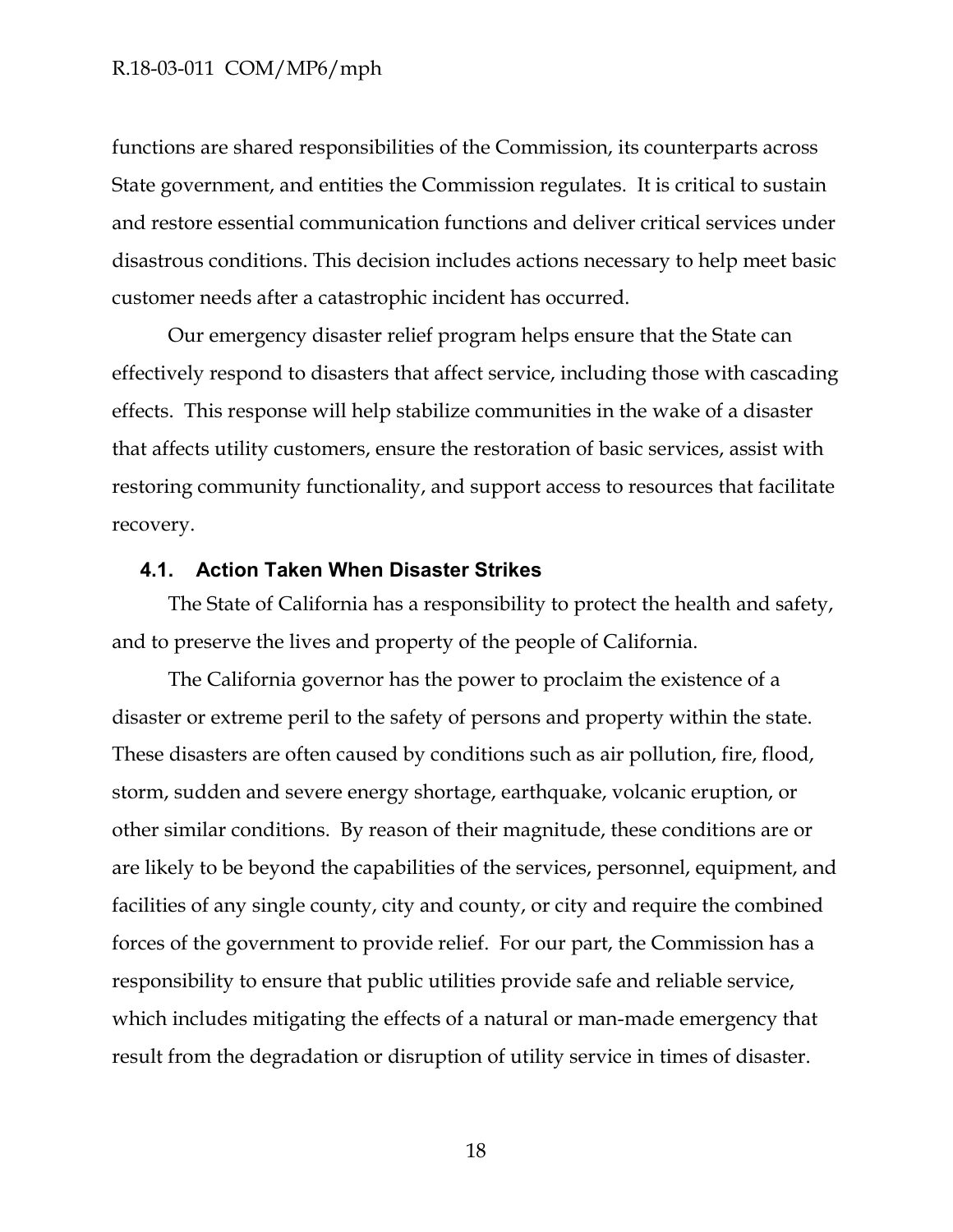functions are shared responsibilities of the Commission, its counterparts across State government, and entities the Commission regulates. It is critical to sustain and restore essential communication functions and deliver critical services under disastrous conditions. This decision includes actions necessary to help meet basic customer needs after a catastrophic incident has occurred.

Our emergency disaster relief program helps ensure that the State can effectively respond to disasters that affect service, including those with cascading effects. This response will help stabilize communities in the wake of a disaster that affects utility customers, ensure the restoration of basic services, assist with restoring community functionality, and support access to resources that facilitate recovery.

### <span id="page-18-0"></span>**4.1. Action Taken When Disaster Strikes**

The State of California has a responsibility to protect the health and safety, and to preserve the lives and property of the people of California.

The California governor has the power to proclaim the existence of a disaster or extreme peril to the safety of persons and property within the state. These disasters are often caused by conditions such as air pollution, fire, flood, storm, sudden and severe energy shortage, earthquake, volcanic eruption, or other similar conditions. By reason of their magnitude, these conditions are or are likely to be beyond the capabilities of the services, personnel, equipment, and facilities of any single county, city and county, or city and require the combined forces of the government to provide relief. For our part, the Commission has a responsibility to ensure that public utilities provide safe and reliable service, which includes mitigating the effects of a natural or man-made emergency that result from the degradation or disruption of utility service in times of disaster.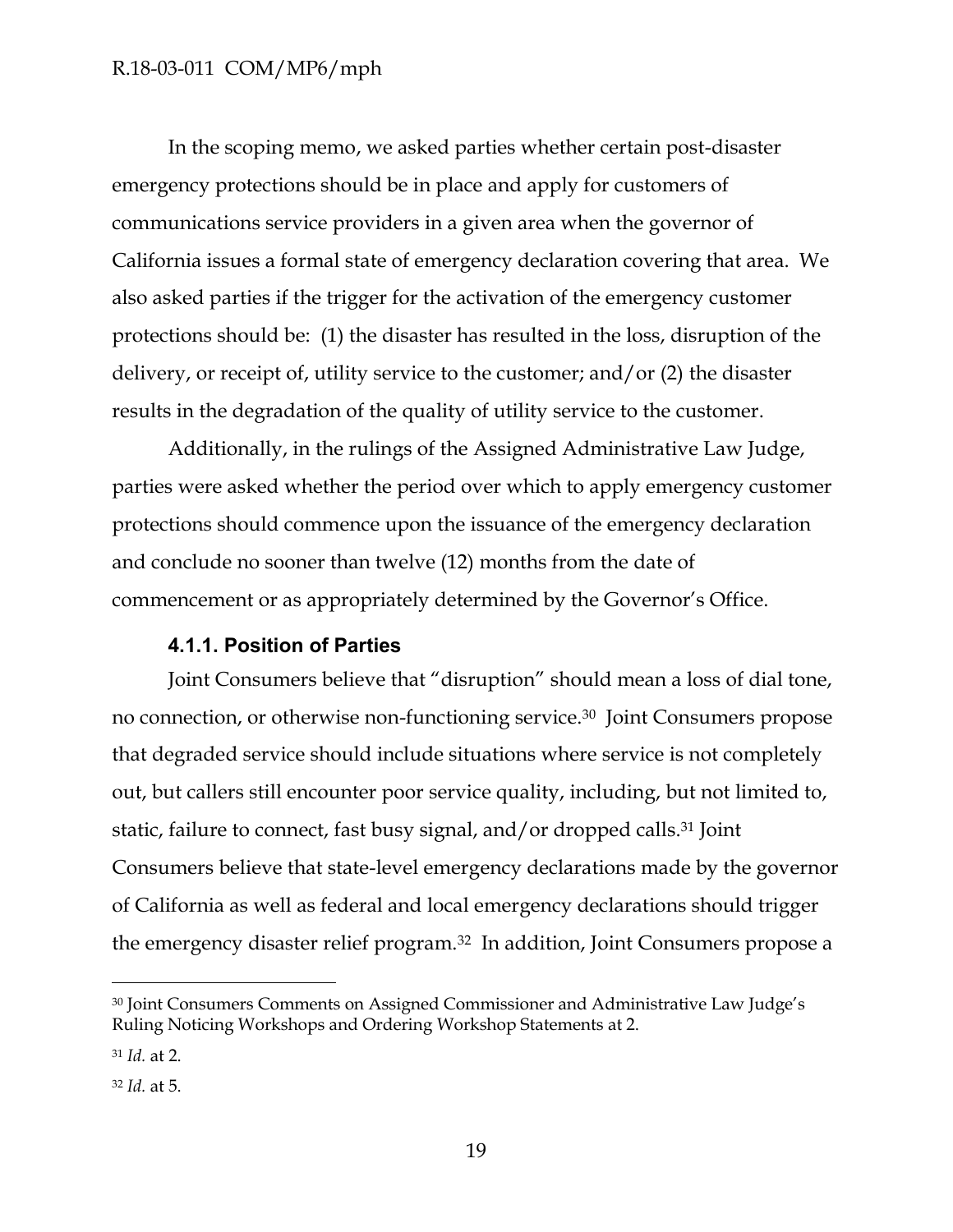In the scoping memo, we asked parties whether certain post-disaster emergency protections should be in place and apply for customers of communications service providers in a given area when the governor of California issues a formal state of emergency declaration covering that area. We also asked parties if the trigger for the activation of the emergency customer protections should be: (1) the disaster has resulted in the loss, disruption of the delivery, or receipt of, utility service to the customer; and/or (2) the disaster results in the degradation of the quality of utility service to the customer.

Additionally, in the rulings of the Assigned Administrative Law Judge, parties were asked whether the period over which to apply emergency customer protections should commence upon the issuance of the emergency declaration and conclude no sooner than twelve (12) months from the date of commencement or as appropriately determined by the Governor's Office.

### **4.1.1. Position of Parties**

<span id="page-19-0"></span>Joint Consumers believe that "disruption" should mean a loss of dial tone, no connection, or otherwise non-functioning service.30 Joint Consumers propose that degraded service should include situations where service is not completely out, but callers still encounter poor service quality, including, but not limited to, static, failure to connect, fast busy signal, and/or dropped calls.<sup>31</sup> Joint Consumers believe that state-level emergency declarations made by the governor of California as well as federal and local emergency declarations should trigger the emergency disaster relief program.<sup>32</sup> In addition, Joint Consumers propose a

<sup>30</sup> Joint Consumers Comments on Assigned Commissioner and Administrative Law Judge's Ruling Noticing Workshops and Ordering Workshop Statements at 2.

<sup>31</sup> *Id.* at 2.

<sup>32</sup> *Id.* at 5.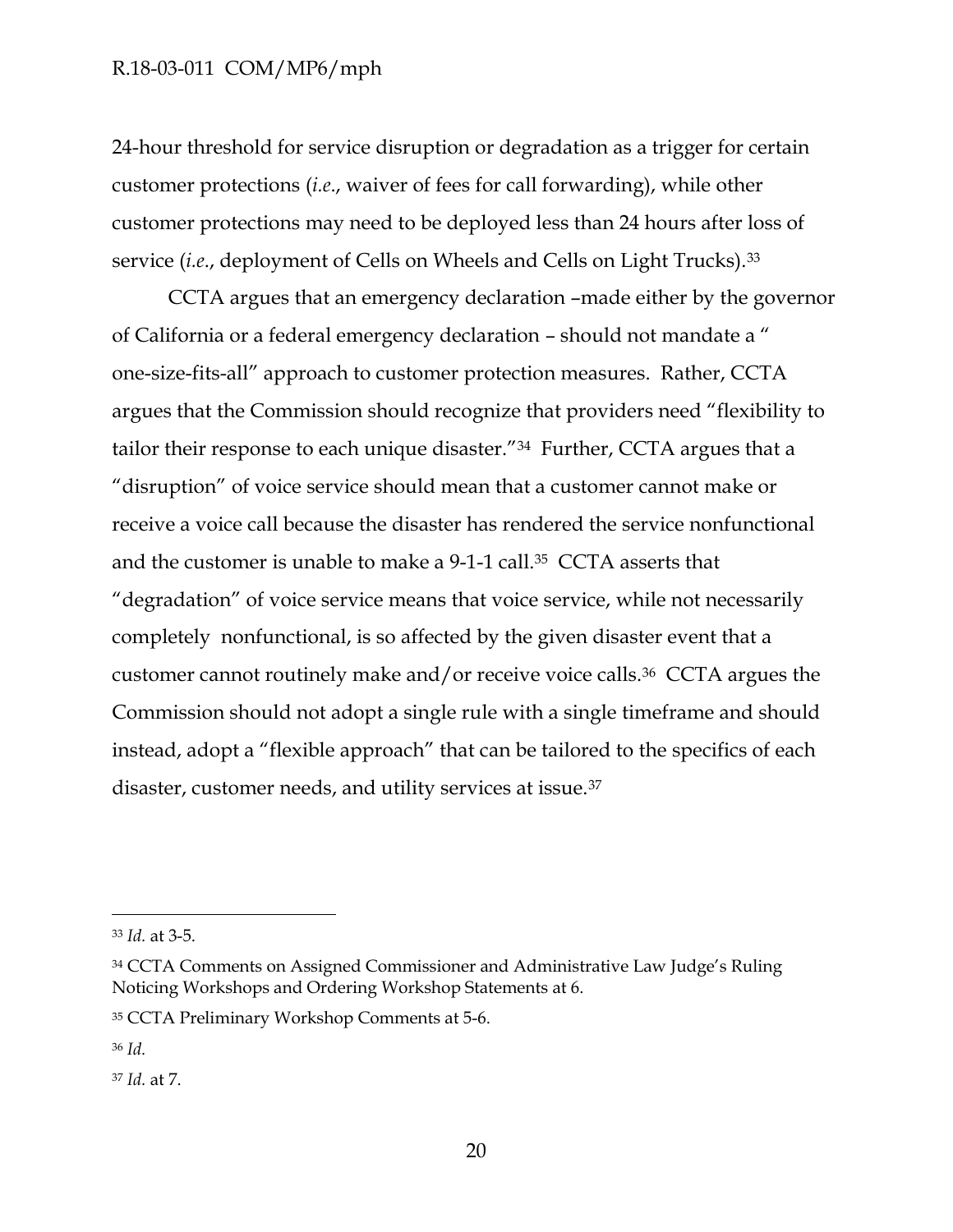24-hour threshold for service disruption or degradation as a trigger for certain customer protections (*i.e*., waiver of fees for call forwarding), while other customer protections may need to be deployed less than 24 hours after loss of service (*i.e*., deployment of Cells on Wheels and Cells on Light Trucks).<sup>33</sup>

CCTA argues that an emergency declaration –made either by the governor of California or a federal emergency declaration – should not mandate a " one-size-fits-all" approach to customer protection measures. Rather, CCTA argues that the Commission should recognize that providers need "flexibility to tailor their response to each unique disaster."34 Further, CCTA argues that a "disruption" of voice service should mean that a customer cannot make or receive a voice call because the disaster has rendered the service nonfunctional and the customer is unable to make a 9-1-1 call.35 CCTA asserts that "degradation" of voice service means that voice service, while not necessarily completely nonfunctional, is so affected by the given disaster event that a customer cannot routinely make and/or receive voice calls.36 CCTA argues the Commission should not adopt a single rule with a single timeframe and should instead, adopt a "flexible approach" that can be tailored to the specifics of each disaster, customer needs, and utility services at issue.<sup>37</sup>

<sup>33</sup> *Id.* at 3-5.

<sup>34</sup> CCTA Comments on Assigned Commissioner and Administrative Law Judge's Ruling Noticing Workshops and Ordering Workshop Statements at 6.

<sup>35</sup> CCTA Preliminary Workshop Comments at 5-6.

<sup>36</sup> *Id.*

<sup>37</sup> *Id.* at 7.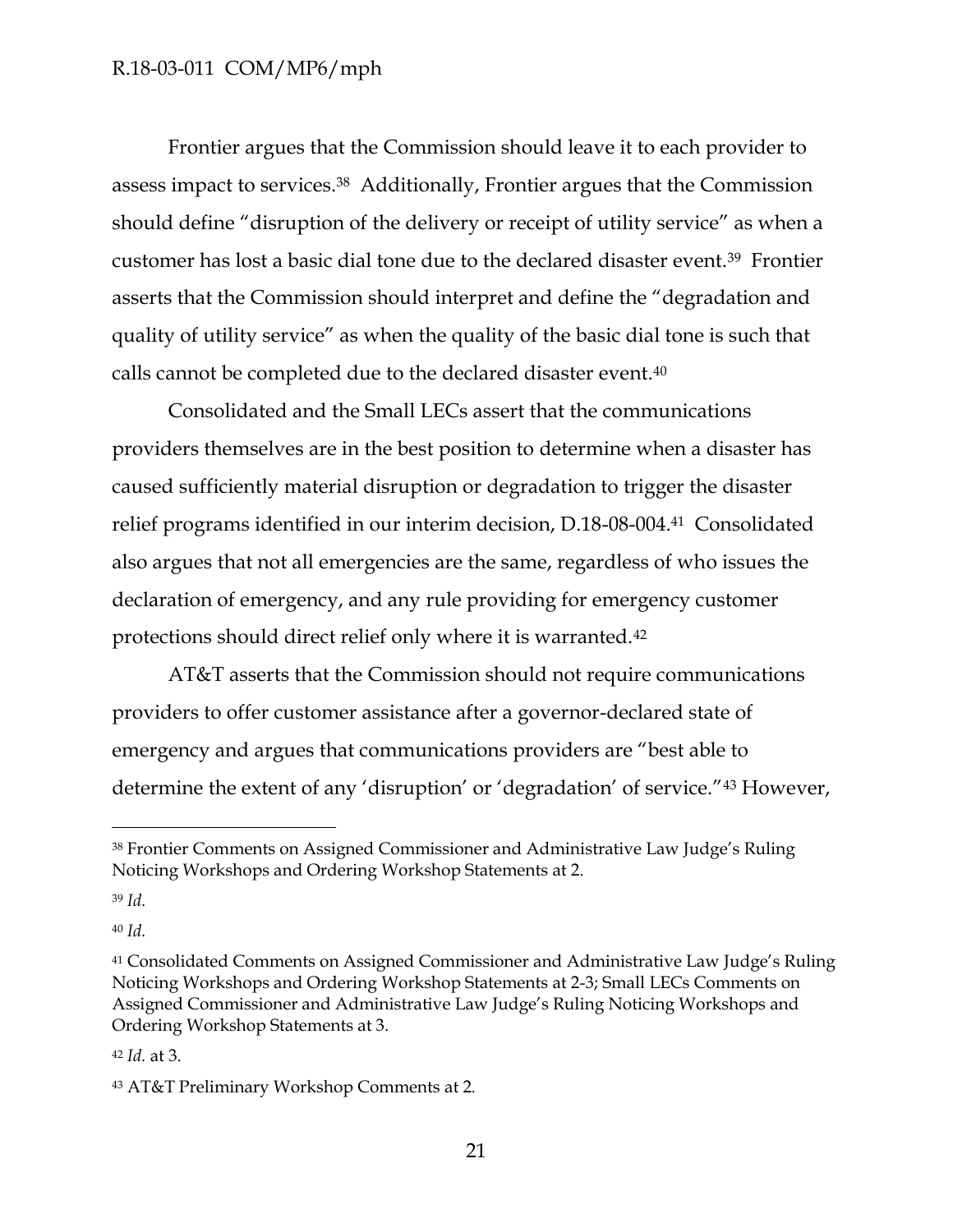Frontier argues that the Commission should leave it to each provider to assess impact to services.38 Additionally, Frontier argues that the Commission should define "disruption of the delivery or receipt of utility service" as when a customer has lost a basic dial tone due to the declared disaster event.<sup>39</sup> Frontier asserts that the Commission should interpret and define the "degradation and quality of utility service" as when the quality of the basic dial tone is such that calls cannot be completed due to the declared disaster event.<sup>40</sup>

Consolidated and the Small LECs assert that the communications providers themselves are in the best position to determine when a disaster has caused sufficiently material disruption or degradation to trigger the disaster relief programs identified in our interim decision, D.18-08-004.41 Consolidated also argues that not all emergencies are the same, regardless of who issues the declaration of emergency, and any rule providing for emergency customer protections should direct relief only where it is warranted.<sup>42</sup>

AT&T asserts that the Commission should not require communications providers to offer customer assistance after a governor-declared state of emergency and argues that communications providers are "best able to determine the extent of any 'disruption' or 'degradation' of service."<sup>43</sup> However,

 $\overline{a}$ 

<sup>40</sup> *Id.*

<sup>38</sup> Frontier Comments on Assigned Commissioner and Administrative Law Judge's Ruling Noticing Workshops and Ordering Workshop Statements at 2.

<sup>39</sup> *Id.*

<sup>41</sup> Consolidated Comments on Assigned Commissioner and Administrative Law Judge's Ruling Noticing Workshops and Ordering Workshop Statements at 2-3; Small LECs Comments on Assigned Commissioner and Administrative Law Judge's Ruling Noticing Workshops and Ordering Workshop Statements at 3.

<sup>42</sup> *Id.* at 3.

<sup>43</sup> AT&T Preliminary Workshop Comments at 2*.*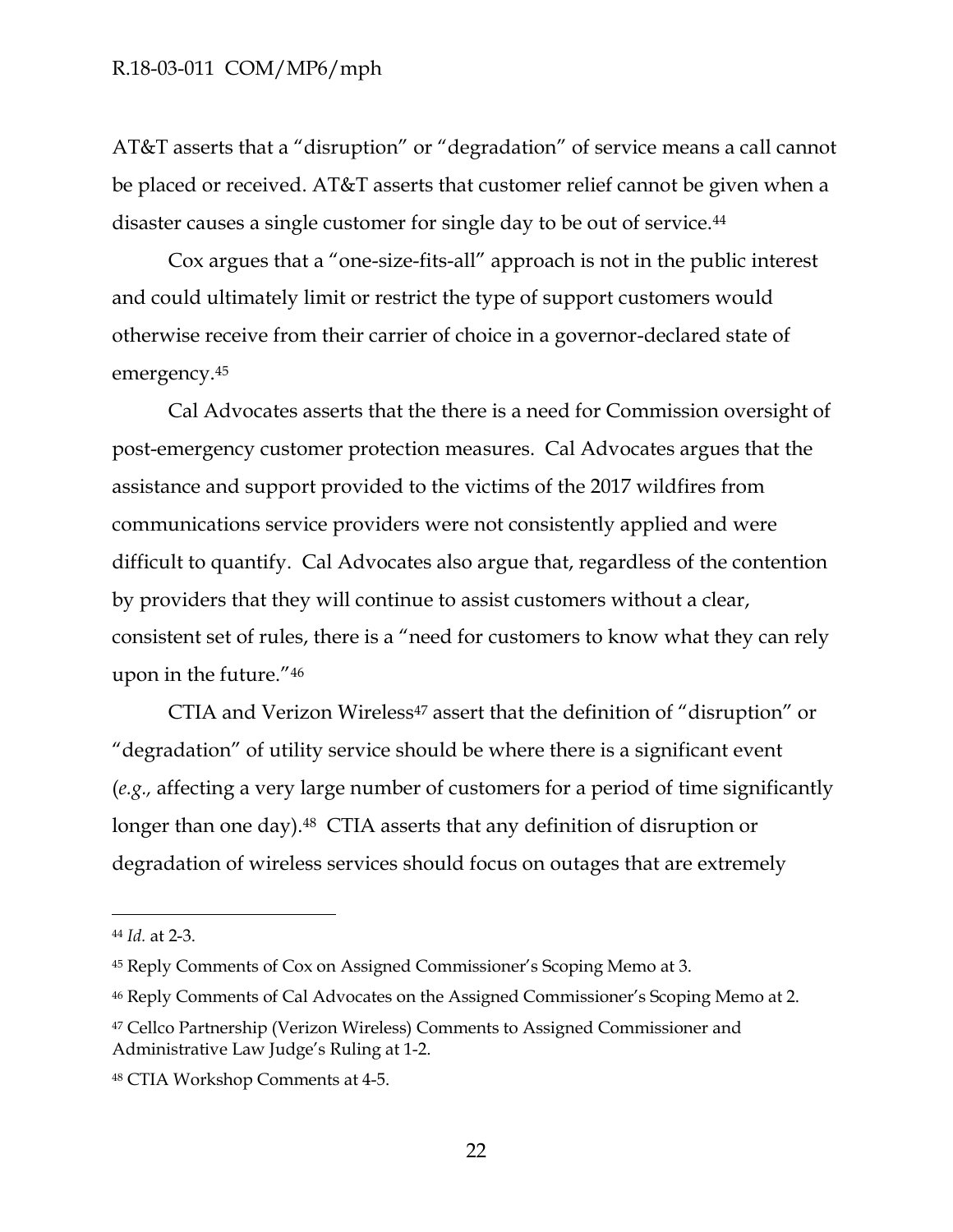AT&T asserts that a "disruption" or "degradation" of service means a call cannot be placed or received. AT&T asserts that customer relief cannot be given when a disaster causes a single customer for single day to be out of service.<sup>44</sup>

Cox argues that a "one-size-fits-all" approach is not in the public interest and could ultimately limit or restrict the type of support customers would otherwise receive from their carrier of choice in a governor-declared state of emergency.<sup>45</sup>

Cal Advocates asserts that the there is a need for Commission oversight of post-emergency customer protection measures. Cal Advocates argues that the assistance and support provided to the victims of the 2017 wildfires from communications service providers were not consistently applied and were difficult to quantify. Cal Advocates also argue that, regardless of the contention by providers that they will continue to assist customers without a clear, consistent set of rules, there is a "need for customers to know what they can rely upon in the future."<sup>46</sup>

CTIA and Verizon Wireless<sup>47</sup> assert that the definition of "disruption" or "degradation" of utility service should be where there is a significant event (*e.g.,* affecting a very large number of customers for a period of time significantly longer than one day).<sup>48</sup> CTIA asserts that any definition of disruption or degradation of wireless services should focus on outages that are extremely

<sup>44</sup> *Id.* at 2-3.

<sup>45</sup> Reply Comments of Cox on Assigned Commissioner's Scoping Memo at 3.

<sup>46</sup> Reply Comments of Cal Advocates on the Assigned Commissioner's Scoping Memo at 2.

<sup>47</sup> Cellco Partnership (Verizon Wireless) Comments to Assigned Commissioner and Administrative Law Judge's Ruling at 1-2.

<sup>48</sup> CTIA Workshop Comments at 4-5.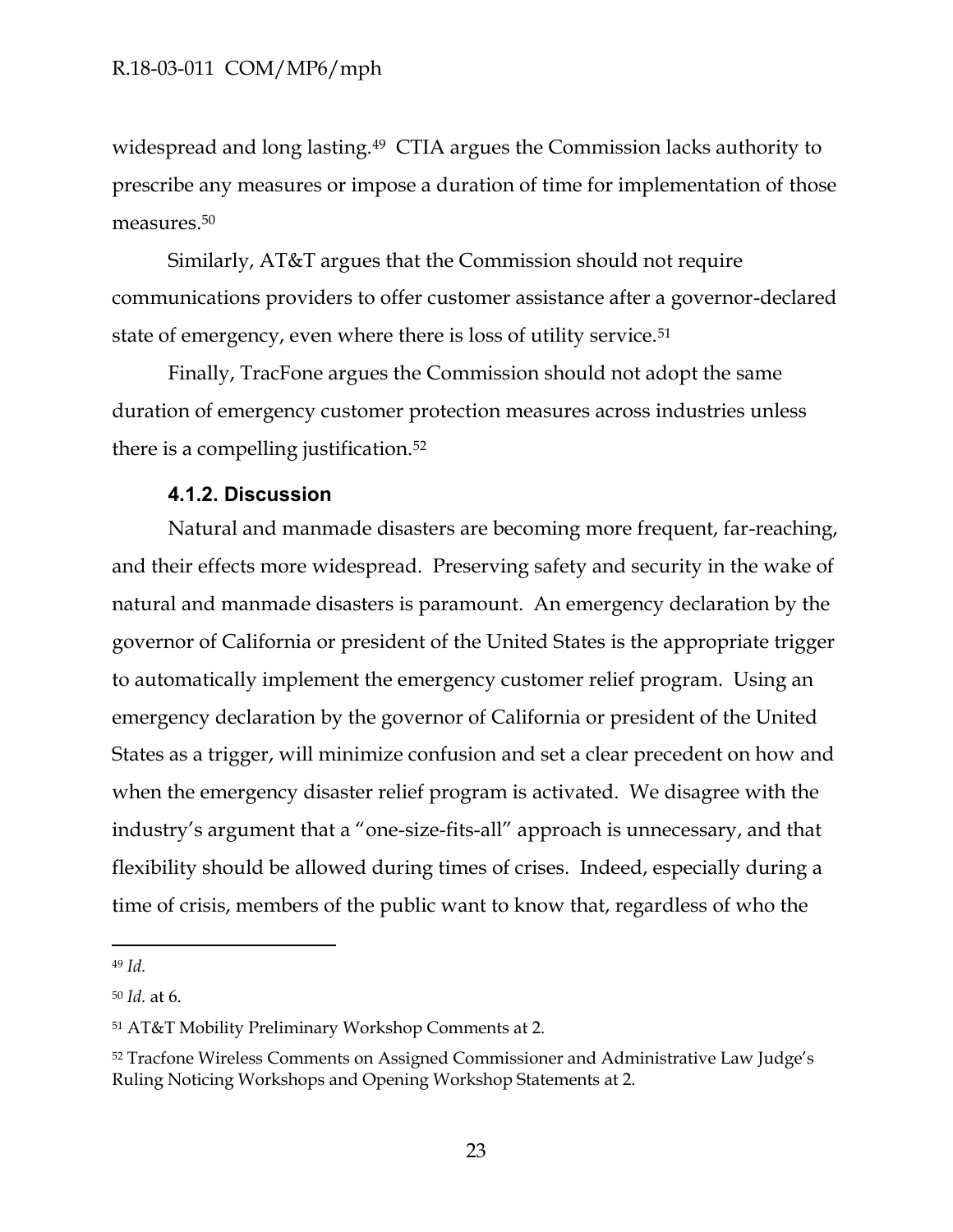widespread and long lasting.49 CTIA argues the Commission lacks authority to prescribe any measures or impose a duration of time for implementation of those measures.<sup>50</sup>

Similarly, AT&T argues that the Commission should not require communications providers to offer customer assistance after a governor-declared state of emergency, even where there is loss of utility service.<sup>51</sup>

Finally, TracFone argues the Commission should not adopt the same duration of emergency customer protection measures across industries unless there is a compelling justification.<sup>52</sup>

### **4.1.2. Discussion**

<span id="page-23-0"></span>Natural and manmade disasters are becoming more frequent, far-reaching, and their effects more widespread. Preserving safety and security in the wake of natural and manmade disasters is paramount. An emergency declaration by the governor of California or president of the United States is the appropriate trigger to automatically implement the emergency customer relief program. Using an emergency declaration by the governor of California or president of the United States as a trigger, will minimize confusion and set a clear precedent on how and when the emergency disaster relief program is activated. We disagree with the industry's argument that a "one-size-fits-all" approach is unnecessary, and that flexibility should be allowed during times of crises. Indeed, especially during a time of crisis, members of the public want to know that, regardless of who the

<sup>49</sup> *Id.*

<sup>50</sup> *Id.* at 6.

<sup>51</sup> AT&T Mobility Preliminary Workshop Comments at 2.

<sup>52</sup> Tracfone Wireless Comments on Assigned Commissioner and Administrative Law Judge's Ruling Noticing Workshops and Opening Workshop Statements at 2.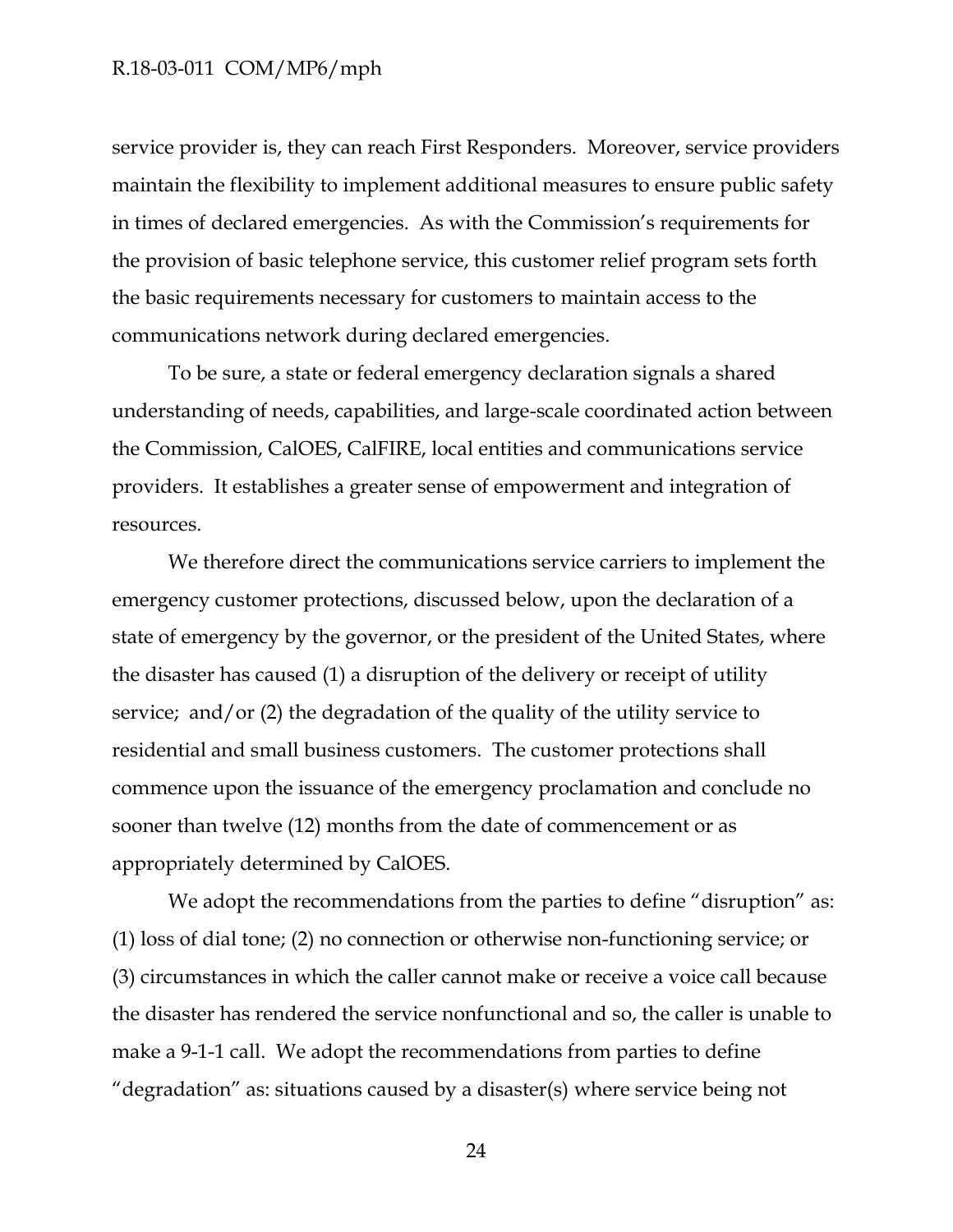service provider is, they can reach First Responders. Moreover, service providers maintain the flexibility to implement additional measures to ensure public safety in times of declared emergencies. As with the Commission's requirements for the provision of basic telephone service, this customer relief program sets forth the basic requirements necessary for customers to maintain access to the communications network during declared emergencies.

To be sure, a state or federal emergency declaration signals a shared understanding of needs, capabilities, and large-scale coordinated action between the Commission, CalOES, CalFIRE, local entities and communications service providers. It establishes a greater sense of empowerment and integration of resources.

We therefore direct the communications service carriers to implement the emergency customer protections, discussed below, upon the declaration of a state of emergency by the governor, or the president of the United States, where the disaster has caused (1) a disruption of the delivery or receipt of utility service; and/or (2) the degradation of the quality of the utility service to residential and small business customers. The customer protections shall commence upon the issuance of the emergency proclamation and conclude no sooner than twelve (12) months from the date of commencement or as appropriately determined by CalOES.

We adopt the recommendations from the parties to define "disruption" as: (1) loss of dial tone; (2) no connection or otherwise non-functioning service; or (3) circumstances in which the caller cannot make or receive a voice call because the disaster has rendered the service nonfunctional and so, the caller is unable to make a 9-1-1 call. We adopt the recommendations from parties to define "degradation" as: situations caused by a disaster(s) where service being not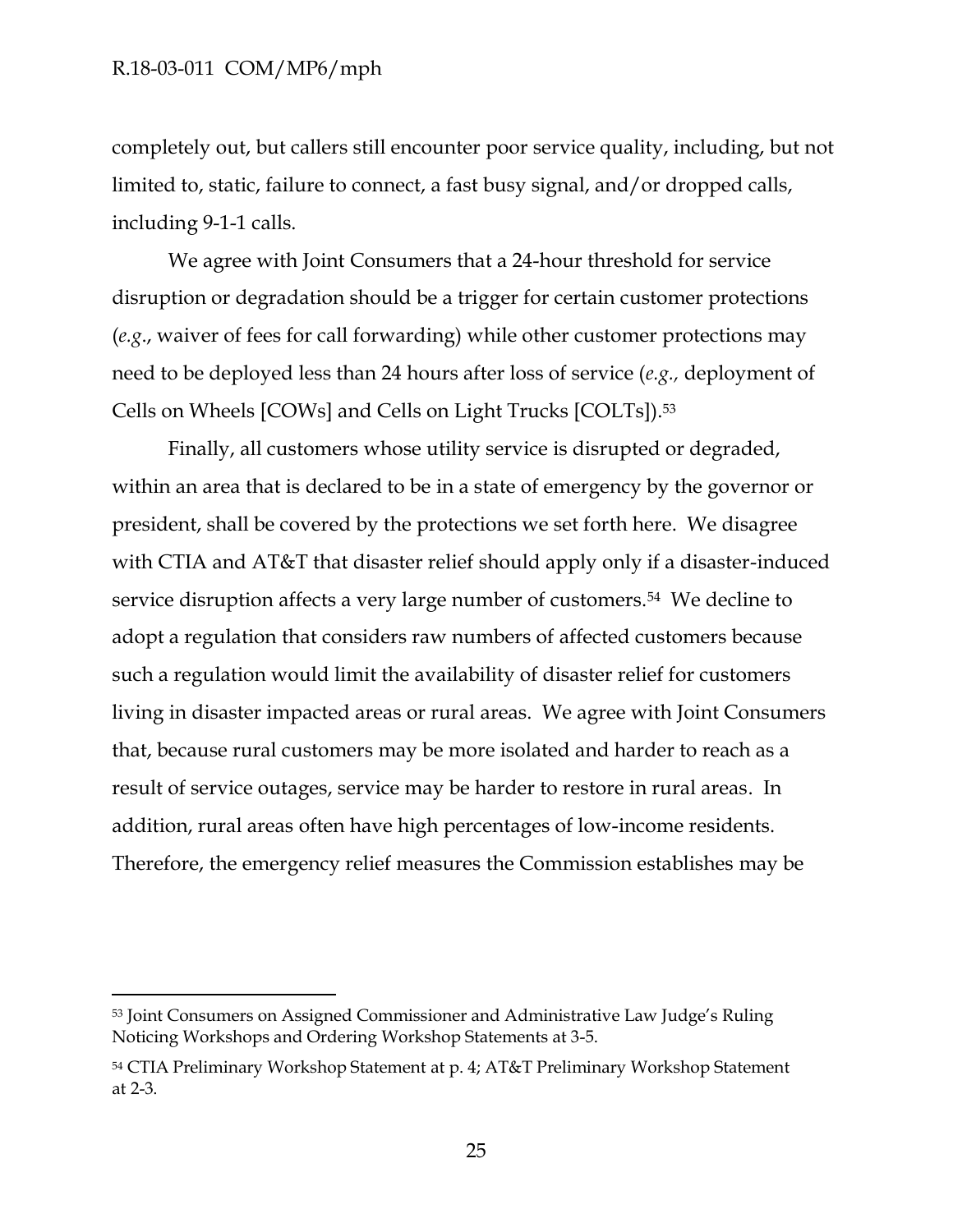$\overline{a}$ 

completely out, but callers still encounter poor service quality, including, but not limited to, static, failure to connect, a fast busy signal, and/or dropped calls, including 9-1-1 calls.

We agree with Joint Consumers that a 24-hour threshold for service disruption or degradation should be a trigger for certain customer protections (*e.g*., waiver of fees for call forwarding) while other customer protections may need to be deployed less than 24 hours after loss of service (*e.g.,* deployment of Cells on Wheels [COWs] and Cells on Light Trucks [COLTs]).<sup>53</sup>

Finally, all customers whose utility service is disrupted or degraded, within an area that is declared to be in a state of emergency by the governor or president, shall be covered by the protections we set forth here. We disagree with CTIA and AT&T that disaster relief should apply only if a disaster-induced service disruption affects a very large number of customers.<sup>54</sup> We decline to adopt a regulation that considers raw numbers of affected customers because such a regulation would limit the availability of disaster relief for customers living in disaster impacted areas or rural areas. We agree with Joint Consumers that, because rural customers may be more isolated and harder to reach as a result of service outages, service may be harder to restore in rural areas. In addition, rural areas often have high percentages of low-income residents. Therefore, the emergency relief measures the Commission establishes may be

<sup>53</sup> Joint Consumers on Assigned Commissioner and Administrative Law Judge's Ruling Noticing Workshops and Ordering Workshop Statements at 3-5.

<sup>54</sup> CTIA Preliminary Workshop Statement at p. 4; AT&T Preliminary Workshop Statement at 2-3.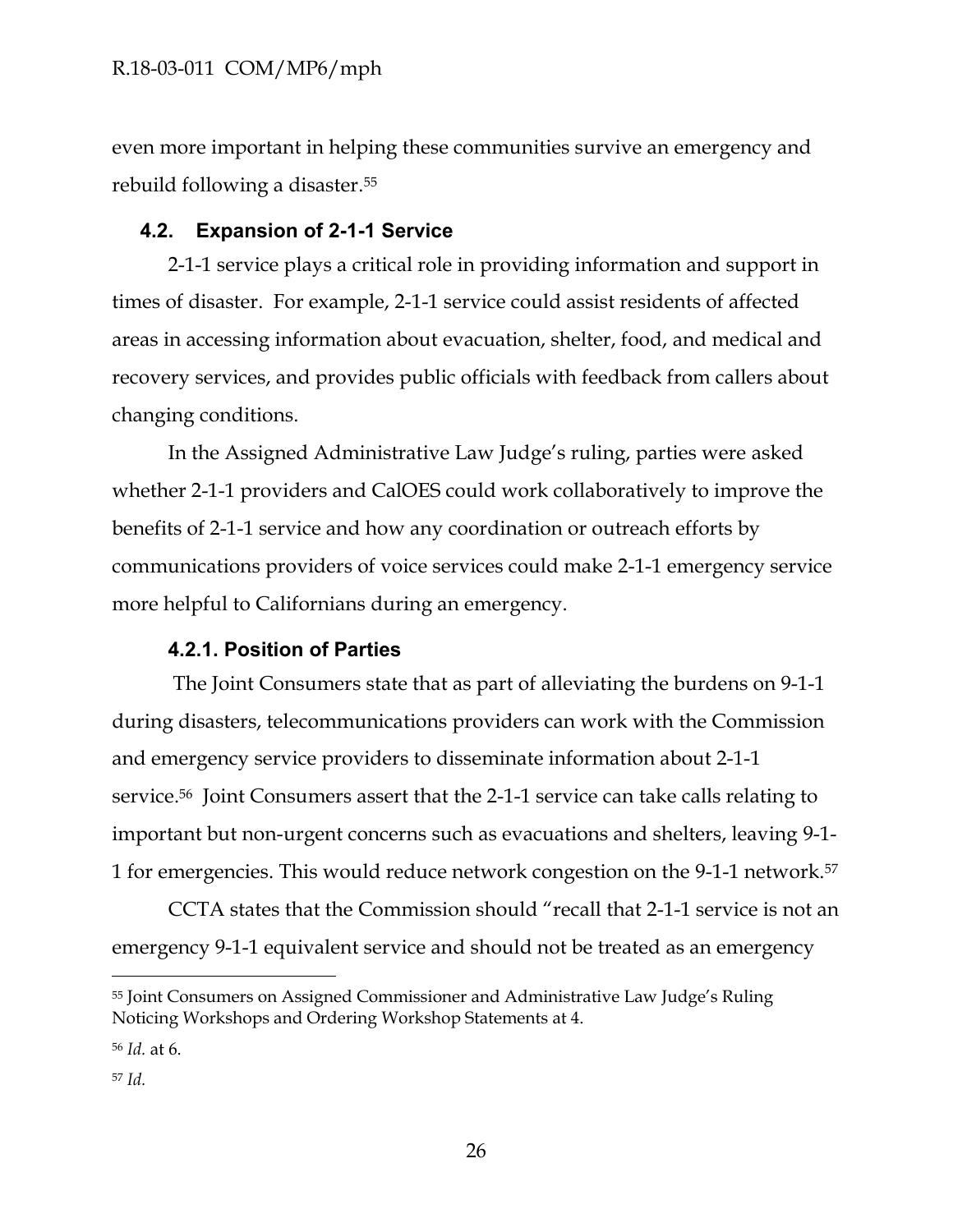even more important in helping these communities survive an emergency and rebuild following a disaster. 55

## <span id="page-26-0"></span>**4.2. Expansion of 2-1-1 Service**

2-1-1 service plays a critical role in providing information and support in times of disaster. For example, 2-1-1 service could assist residents of affected areas in accessing information about evacuation, shelter, food, and medical and recovery services, and provides public officials with feedback from callers about changing conditions.

In the Assigned Administrative Law Judge's ruling, parties were asked whether 2-1-1 providers and CalOES could work collaboratively to improve the benefits of 2-1-1 service and how any coordination or outreach efforts by communications providers of voice services could make 2-1-1 emergency service more helpful to Californians during an emergency.

### **4.2.1. Position of Parties**

<span id="page-26-1"></span>The Joint Consumers state that as part of alleviating the burdens on 9-1-1 during disasters, telecommunications providers can work with the Commission and emergency service providers to disseminate information about 2-1-1 service. <sup>56</sup> Joint Consumers assert that the 2-1-1 service can take calls relating to important but non-urgent concerns such as evacuations and shelters, leaving 9-1- 1 for emergencies. This would reduce network congestion on the 9-1-1 network.<sup>57</sup>

CCTA states that the Commission should "recall that 2-1-1 service is not an emergency 9-1-1 equivalent service and should not be treated as an emergency

<sup>55</sup> Joint Consumers on Assigned Commissioner and Administrative Law Judge's Ruling Noticing Workshops and Ordering Workshop Statements at 4.

<sup>56</sup> *Id.* at 6.

<sup>57</sup> *Id.*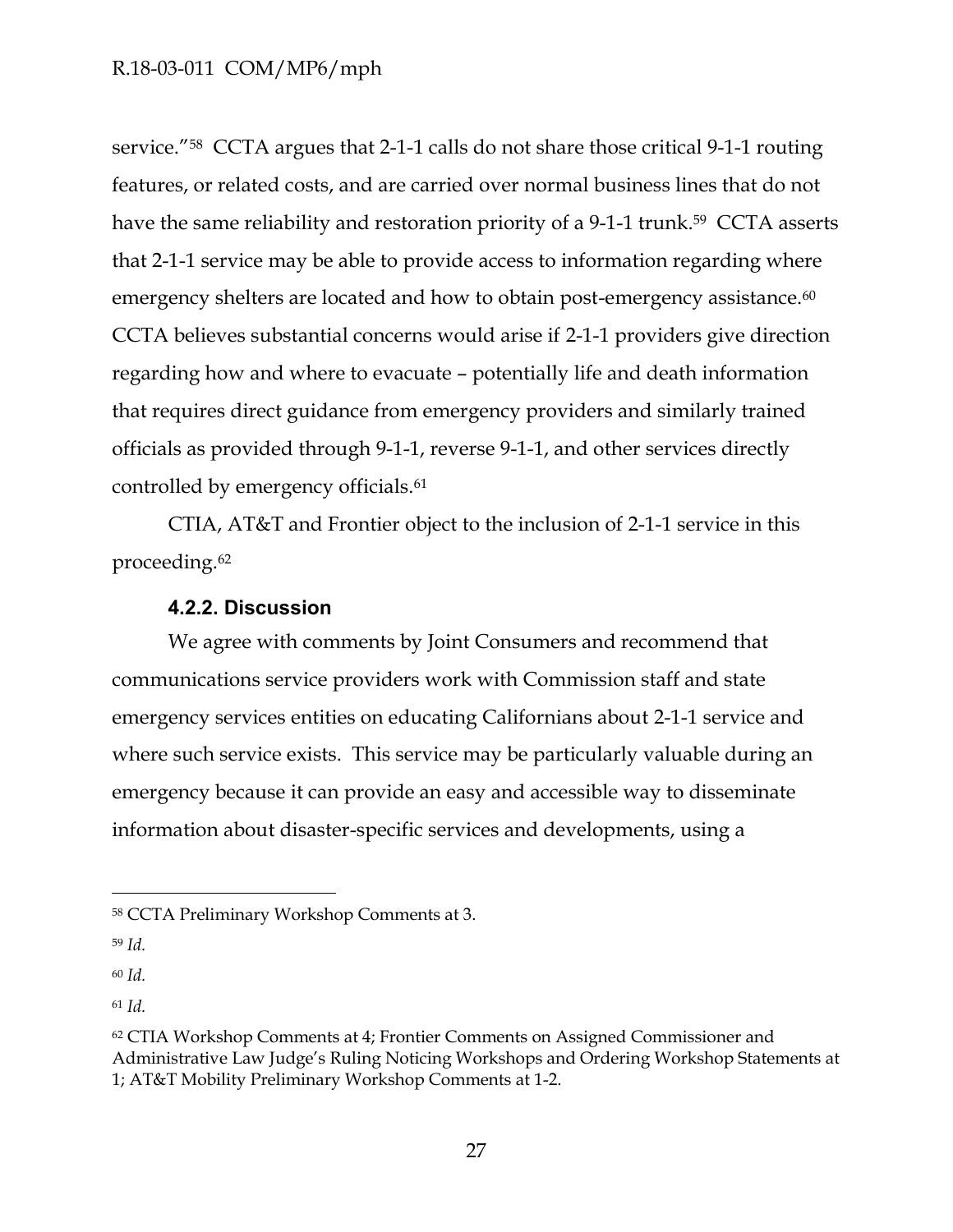service."58 CCTA argues that 2-1-1 calls do not share those critical 9-1-1 routing features, or related costs, and are carried over normal business lines that do not have the same reliability and restoration priority of a 9-1-1 trunk.<sup>59</sup> CCTA asserts that 2-1-1 service may be able to provide access to information regarding where emergency shelters are located and how to obtain post-emergency assistance.<sup>60</sup> CCTA believes substantial concerns would arise if 2-1-1 providers give direction regarding how and where to evacuate – potentially life and death information that requires direct guidance from emergency providers and similarly trained officials as provided through 9-1-1, reverse 9-1-1, and other services directly controlled by emergency officials.<sup>61</sup>

CTIA, AT&T and Frontier object to the inclusion of 2-1-1 service in this proceeding.<sup>62</sup>

### **4.2.2. Discussion**

<span id="page-27-0"></span>We agree with comments by Joint Consumers and recommend that communications service providers work with Commission staff and state emergency services entities on educating Californians about 2-1-1 service and where such service exists. This service may be particularly valuable during an emergency because it can provide an easy and accessible way to disseminate information about disaster-specific services and developments, using a

<sup>58</sup> CCTA Preliminary Workshop Comments at 3.

<sup>59</sup> *Id.*

<sup>60</sup> *Id.*

<sup>61</sup> *Id.*

<sup>62</sup> CTIA Workshop Comments at 4; Frontier Comments on Assigned Commissioner and Administrative Law Judge's Ruling Noticing Workshops and Ordering Workshop Statements at 1; AT&T Mobility Preliminary Workshop Comments at 1-2.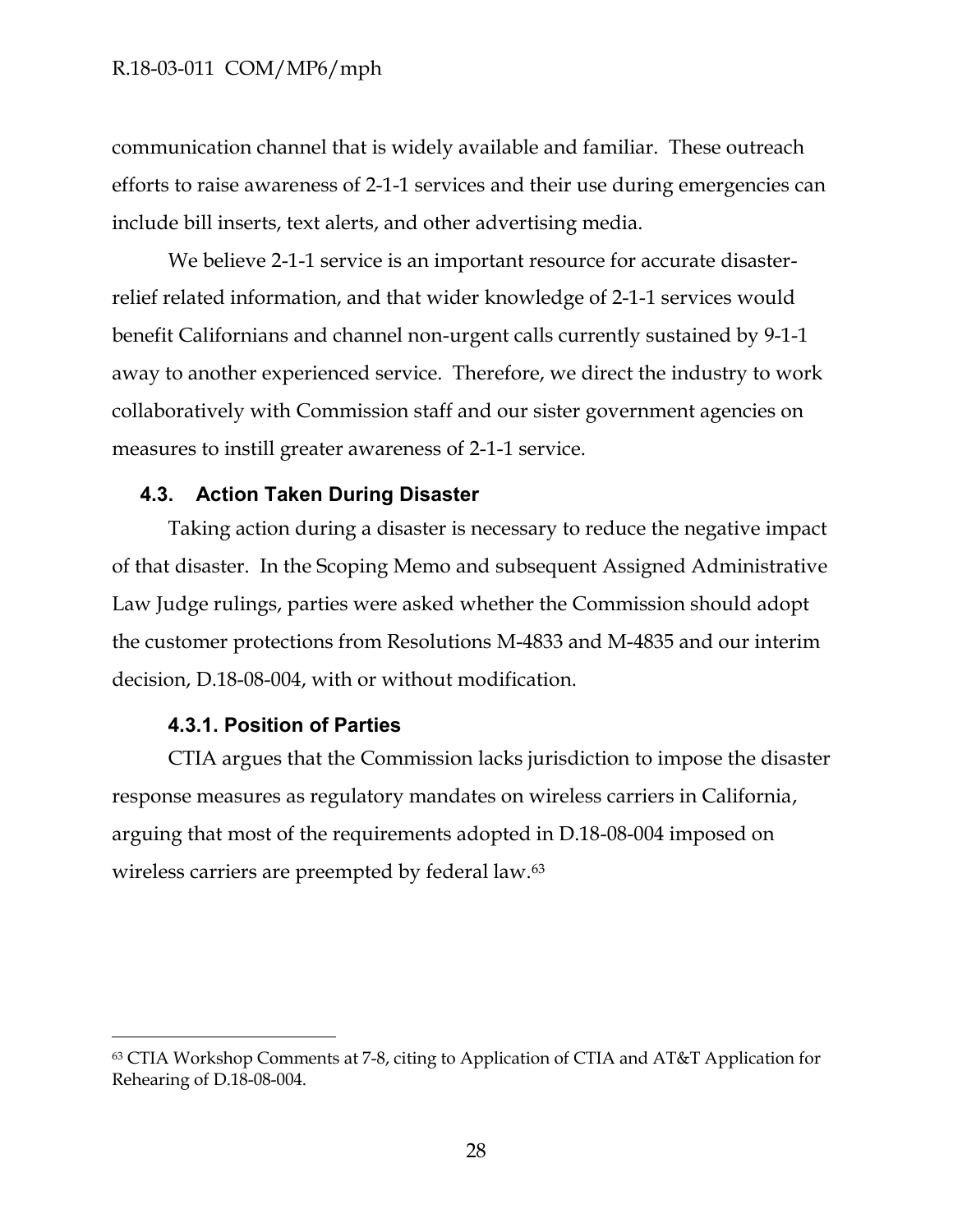communication channel that is widely available and familiar. These outreach efforts to raise awareness of 2-1-1 services and their use during emergencies can include bill inserts, text alerts, and other advertising media.

We believe 2-1-1 service is an important resource for accurate disasterrelief related information, and that wider knowledge of 2-1-1 services would benefit Californians and channel non-urgent calls currently sustained by 9-1-1 away to another experienced service. Therefore, we direct the industry to work collaboratively with Commission staff and our sister government agencies on measures to instill greater awareness of 2-1-1 service.

### <span id="page-28-0"></span>**4.3. Action Taken During Disaster**

Taking action during a disaster is necessary to reduce the negative impact of that disaster. In the Scoping Memo and subsequent Assigned Administrative Law Judge rulings, parties were asked whether the Commission should adopt the customer protections from Resolutions M-4833 and M-4835 and our interim decision, D.18-08-004, with or without modification.

#### **4.3.1. Position of Parties**

 $\overline{a}$ 

<span id="page-28-1"></span>CTIA argues that the Commission lacks jurisdiction to impose the disaster response measures as regulatory mandates on wireless carriers in California, arguing that most of the requirements adopted in D.18-08-004 imposed on wireless carriers are preempted by federal law.<sup>63</sup>

<sup>63</sup> CTIA Workshop Comments at 7-8, citing to Application of CTIA and AT&T Application for Rehearing of D.18-08-004.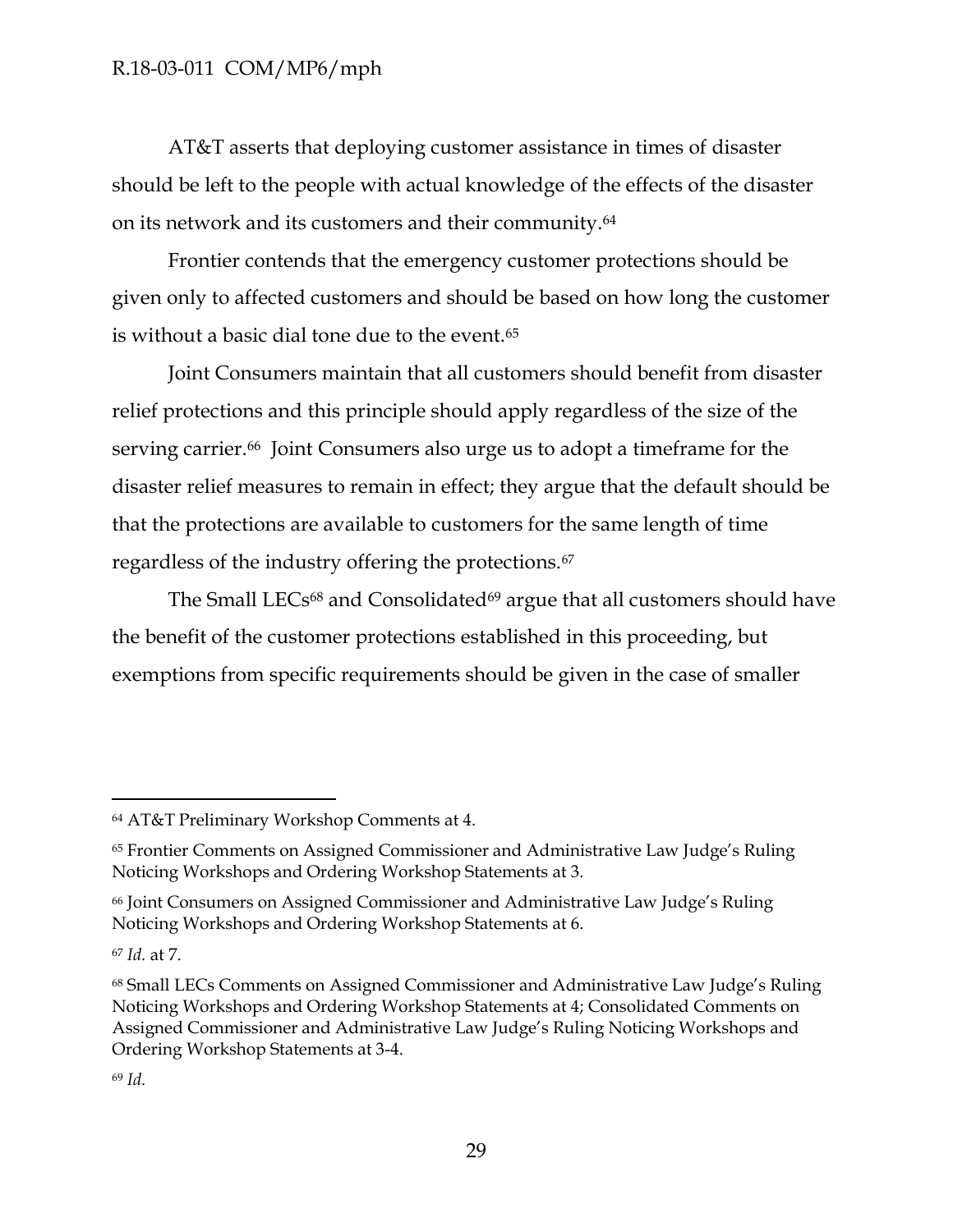AT&T asserts that deploying customer assistance in times of disaster should be left to the people with actual knowledge of the effects of the disaster on its network and its customers and their community.<sup>64</sup>

Frontier contends that the emergency customer protections should be given only to affected customers and should be based on how long the customer is without a basic dial tone due to the event.<sup>65</sup>

Joint Consumers maintain that all customers should benefit from disaster relief protections and this principle should apply regardless of the size of the serving carrier.<sup>66</sup> Joint Consumers also urge us to adopt a timeframe for the disaster relief measures to remain in effect; they argue that the default should be that the protections are available to customers for the same length of time regardless of the industry offering the protections.<sup>67</sup>

The Small LECs<sup>68</sup> and Consolidated<sup>69</sup> argue that all customers should have the benefit of the customer protections established in this proceeding, but exemptions from specific requirements should be given in the case of smaller

<sup>64</sup> AT&T Preliminary Workshop Comments at 4.

<sup>65</sup> Frontier Comments on Assigned Commissioner and Administrative Law Judge's Ruling Noticing Workshops and Ordering Workshop Statements at 3.

<sup>66</sup> Joint Consumers on Assigned Commissioner and Administrative Law Judge's Ruling Noticing Workshops and Ordering Workshop Statements at 6.

<sup>67</sup> *Id.* at 7.

<sup>68</sup> Small LECs Comments on Assigned Commissioner and Administrative Law Judge's Ruling Noticing Workshops and Ordering Workshop Statements at 4; Consolidated Comments on Assigned Commissioner and Administrative Law Judge's Ruling Noticing Workshops and Ordering Workshop Statements at 3-4.

<sup>69</sup> *Id.*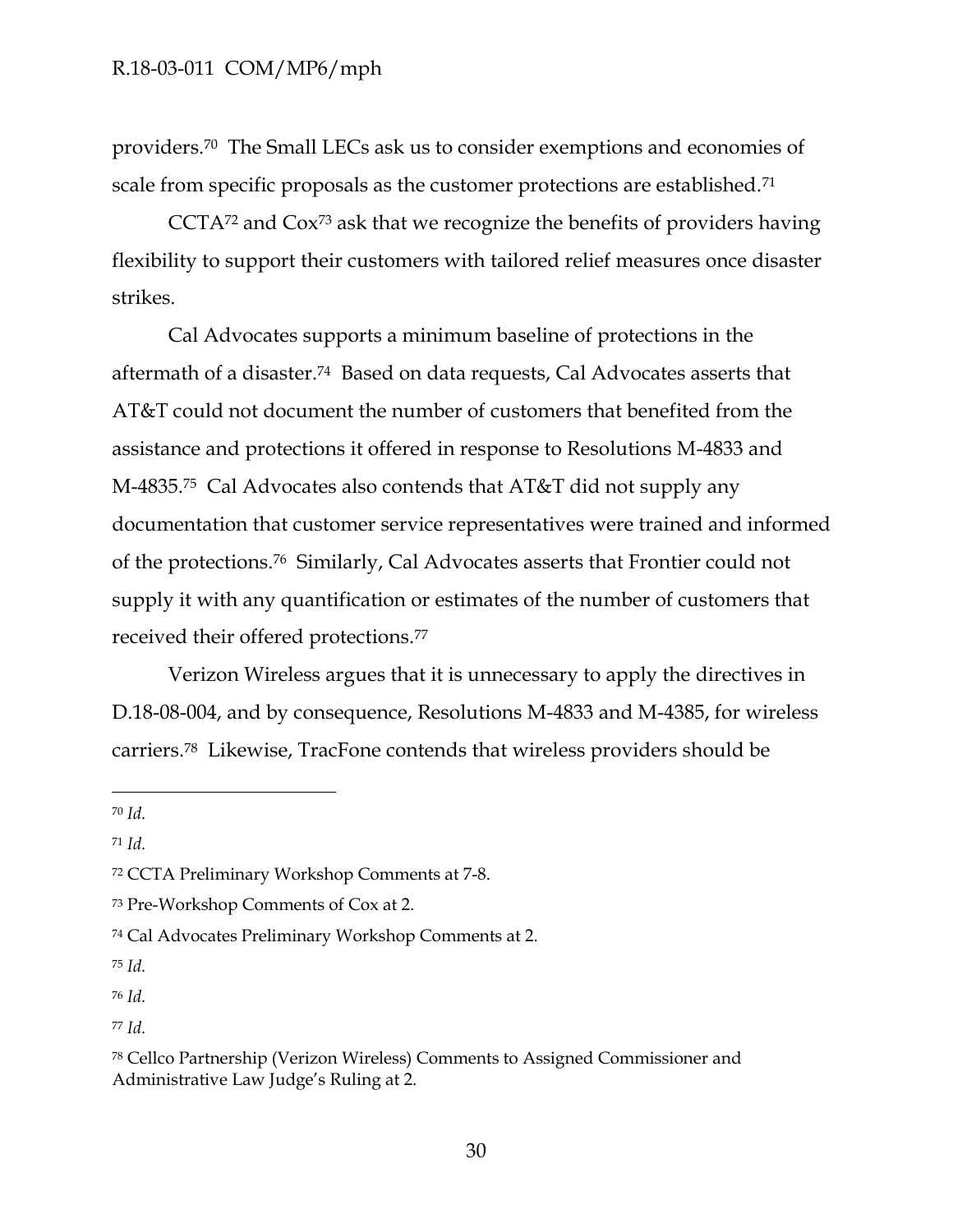providers.70 The Small LECs ask us to consider exemptions and economies of scale from specific proposals as the customer protections are established.<sup>71</sup>

CCTA<sup>72</sup> and Cox<sup>73</sup> ask that we recognize the benefits of providers having flexibility to support their customers with tailored relief measures once disaster strikes.

Cal Advocates supports a minimum baseline of protections in the aftermath of a disaster.74 Based on data requests, Cal Advocates asserts that AT&T could not document the number of customers that benefited from the assistance and protections it offered in response to Resolutions M-4833 and M-4835.75 Cal Advocates also contends that AT&T did not supply any documentation that customer service representatives were trained and informed of the protections.<sup>76</sup> Similarly, Cal Advocates asserts that Frontier could not supply it with any quantification or estimates of the number of customers that received their offered protections.<sup>77</sup>

Verizon Wireless argues that it is unnecessary to apply the directives in D.18-08-004, and by consequence, Resolutions M-4833 and M-4385, for wireless carriers.78 Likewise, TracFone contends that wireless providers should be

<sup>70</sup> *Id.*

 $\overline{a}$ 

<sup>71</sup> *Id.*

<sup>75</sup> *Id.*

<sup>76</sup> *Id.*

<sup>77</sup> *Id.*

<sup>72</sup> CCTA Preliminary Workshop Comments at 7-8.

<sup>73</sup> Pre-Workshop Comments of Cox at 2.

<sup>74</sup> Cal Advocates Preliminary Workshop Comments at 2.

<sup>78</sup> Cellco Partnership (Verizon Wireless) Comments to Assigned Commissioner and Administrative Law Judge's Ruling at 2.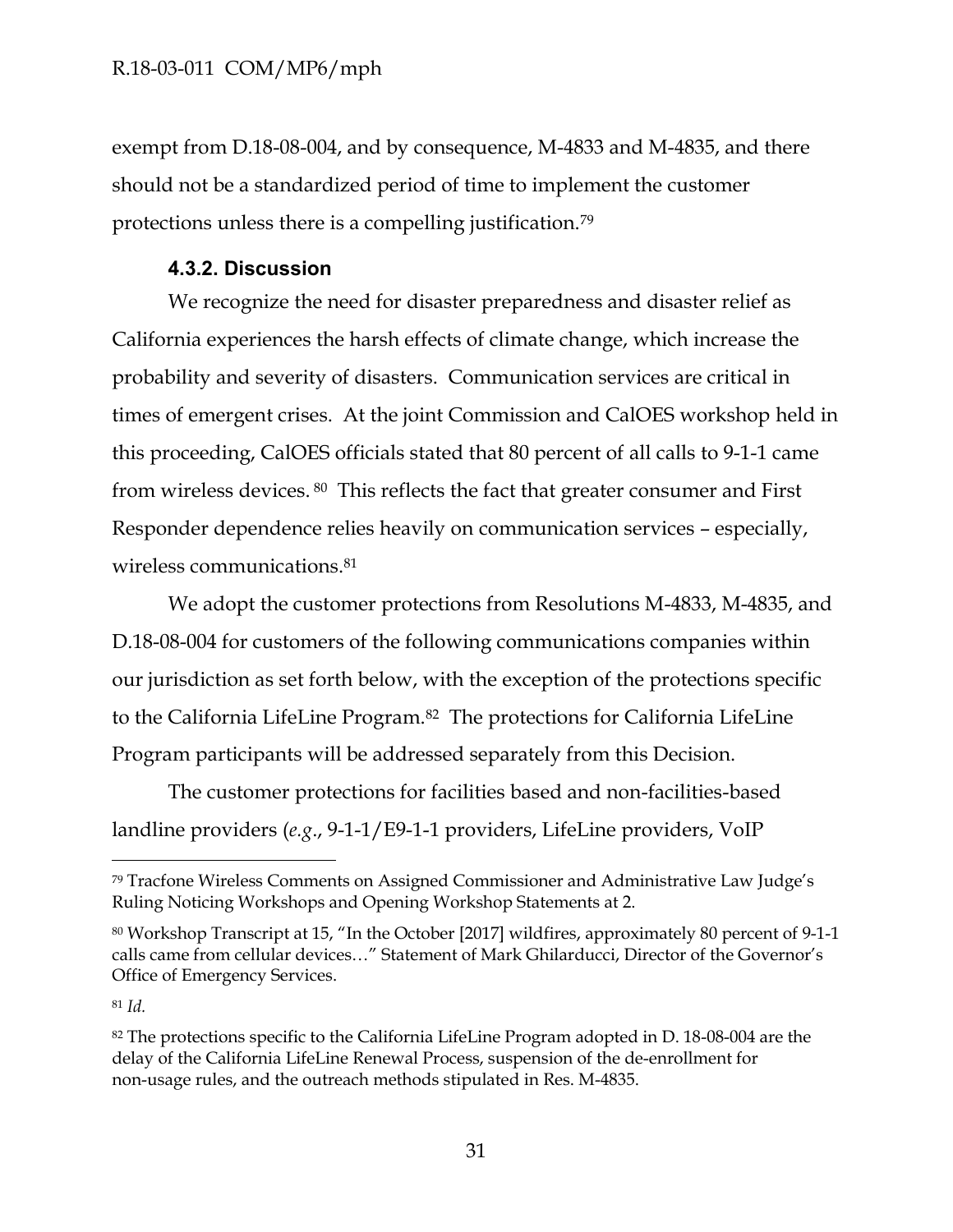exempt from D.18-08-004, and by consequence, M-4833 and M-4835, and there should not be a standardized period of time to implement the customer protections unless there is a compelling justification.<sup>79</sup>

## **4.3.2. Discussion**

<span id="page-31-0"></span>We recognize the need for disaster preparedness and disaster relief as California experiences the harsh effects of climate change, which increase the probability and severity of disasters. Communication services are critical in times of emergent crises. At the joint Commission and CalOES workshop held in this proceeding, CalOES officials stated that 80 percent of all calls to 9-1-1 came from wireless devices. <sup>80</sup> This reflects the fact that greater consumer and First Responder dependence relies heavily on communication services – especially, wireless communications.<sup>81</sup>

We adopt the customer protections from Resolutions M-4833, M-4835, and D.18-08-004 for customers of the following communications companies within our jurisdiction as set forth below, with the exception of the protections specific to the California LifeLine Program.<sup>82</sup> The protections for California LifeLine Program participants will be addressed separately from this Decision.

The customer protections for facilities based and non-facilities-based landline providers (*e.g*., 9-1-1/E9-1-1 providers, LifeLine providers, VoIP

<sup>81</sup> *Id.*

<sup>79</sup> Tracfone Wireless Comments on Assigned Commissioner and Administrative Law Judge's Ruling Noticing Workshops and Opening Workshop Statements at 2.

<sup>80</sup> Workshop Transcript at 15, "In the October [2017] wildfires, approximately 80 percent of 9-1-1 calls came from cellular devices…" Statement of Mark Ghilarducci, Director of the Governor's Office of Emergency Services.

<sup>82</sup> The protections specific to the California LifeLine Program adopted in D. 18-08-004 are the delay of the California LifeLine Renewal Process, suspension of the de-enrollment for non-usage rules, and the outreach methods stipulated in Res. M-4835.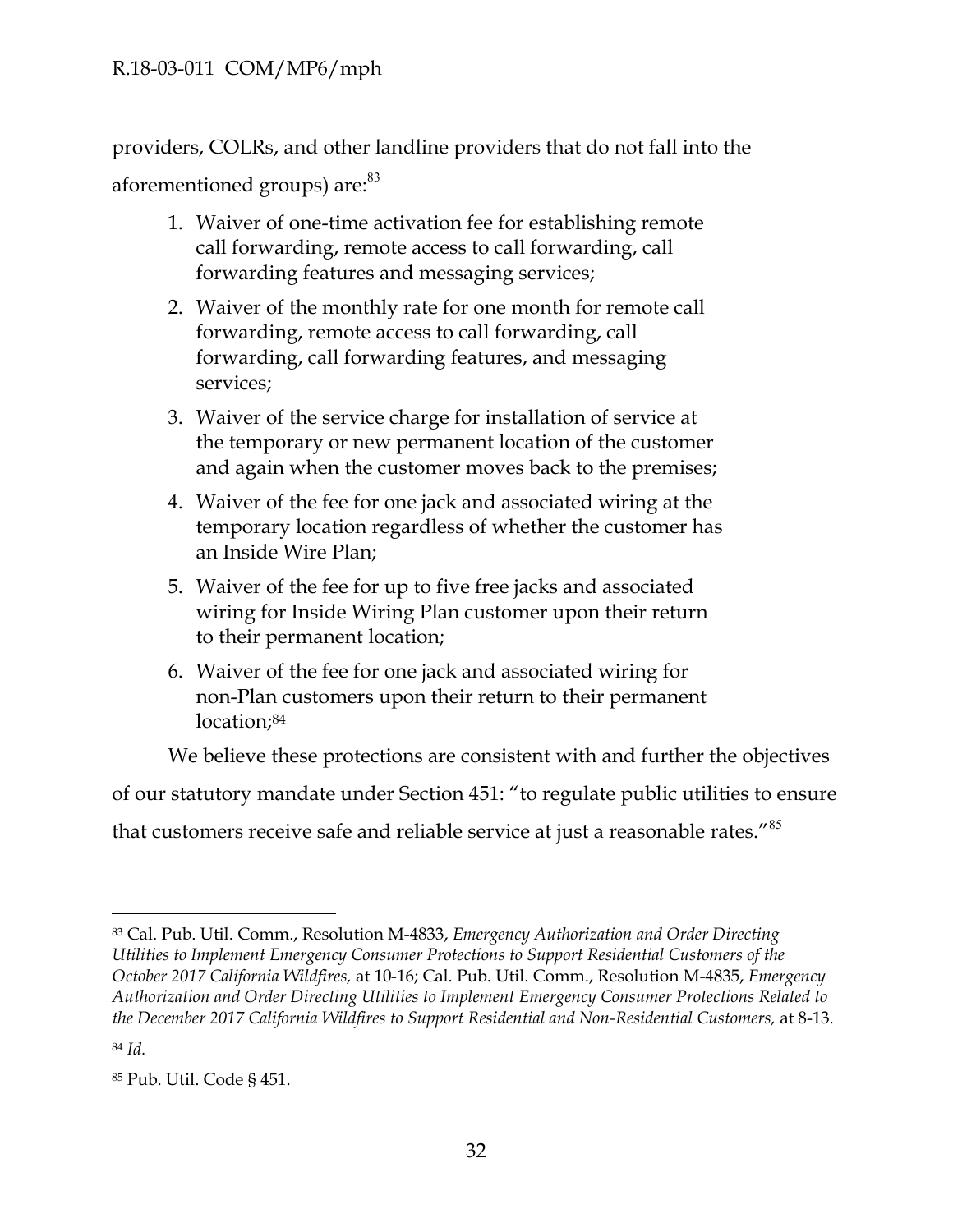providers, COLRs, and other landline providers that do not fall into the aforementioned groups) are:<sup>83</sup>

- 1. Waiver of one-time activation fee for establishing remote call forwarding, remote access to call forwarding, call forwarding features and messaging services;
- 2. Waiver of the monthly rate for one month for remote call forwarding, remote access to call forwarding, call forwarding, call forwarding features, and messaging services;
- 3. Waiver of the service charge for installation of service at the temporary or new permanent location of the customer and again when the customer moves back to the premises;
- 4. Waiver of the fee for one jack and associated wiring at the temporary location regardless of whether the customer has an Inside Wire Plan;
- 5. Waiver of the fee for up to five free jacks and associated wiring for Inside Wiring Plan customer upon their return to their permanent location;
- 6. Waiver of the fee for one jack and associated wiring for non-Plan customers upon their return to their permanent location:<sup>84</sup>

We believe these protections are consistent with and further the objectives

of our statutory mandate under Section 451: "to regulate public utilities to ensure

that customers receive safe and reliable service at just a reasonable rates."<sup>85</sup>

<sup>83</sup> Cal. Pub. Util. Comm., Resolution M-4833, *Emergency Authorization and Order Directing Utilities to Implement Emergency Consumer Protections to Support Residential Customers of the October 2017 California Wildfires,* at 10-16; Cal. Pub. Util. Comm., Resolution M-4835, *Emergency Authorization and Order Directing Utilities to Implement Emergency Consumer Protections Related to the December 2017 California Wildfires to Support Residential and Non-Residential Customers,* at 8-13.

<sup>84</sup> *Id.*

<sup>85</sup> Pub. Util. Code § 451.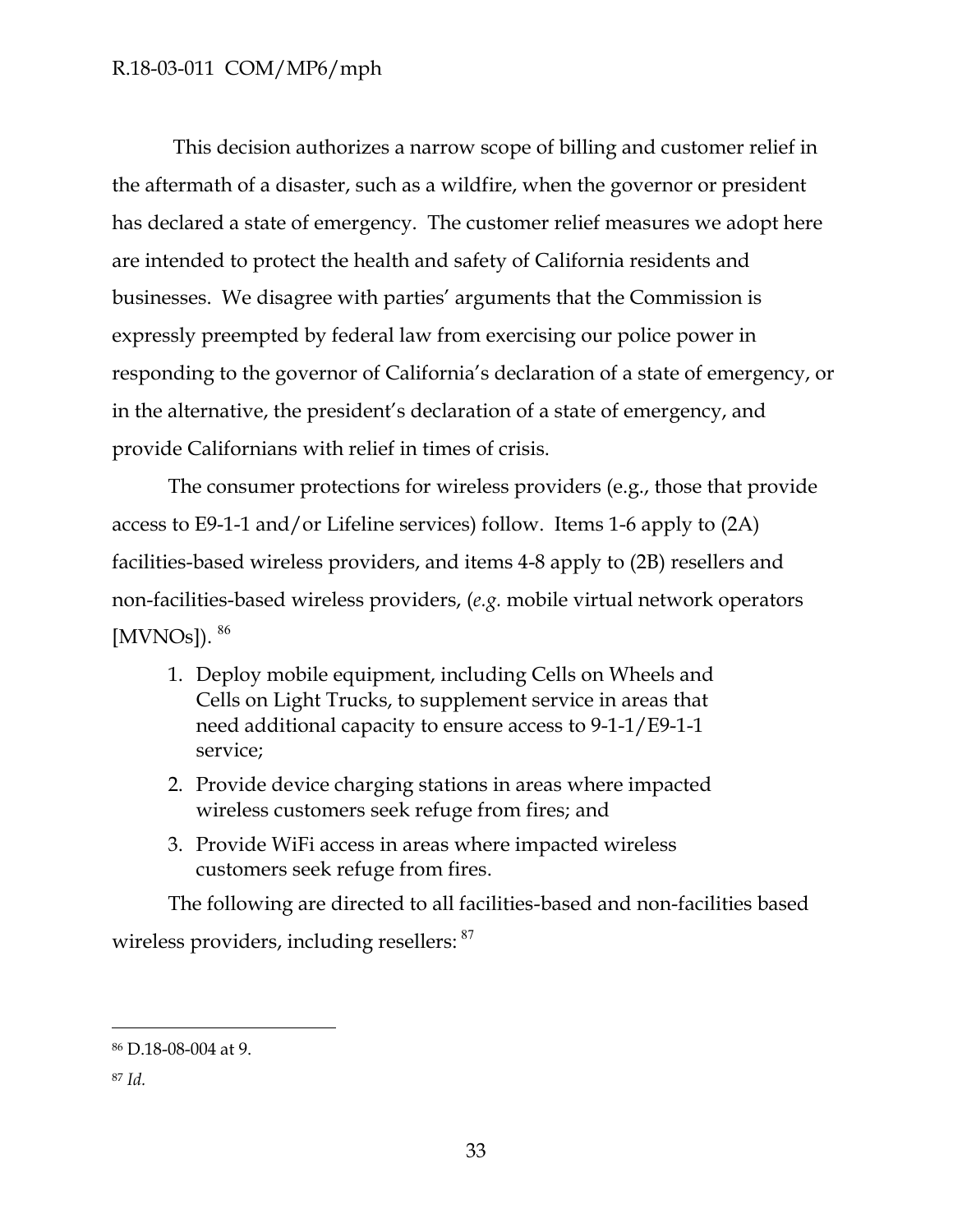This decision authorizes a narrow scope of billing and customer relief in the aftermath of a disaster, such as a wildfire, when the governor or president has declared a state of emergency. The customer relief measures we adopt here are intended to protect the health and safety of California residents and businesses. We disagree with parties' arguments that the Commission is expressly preempted by federal law from exercising our police power in responding to the governor of California's declaration of a state of emergency, or in the alternative, the president's declaration of a state of emergency, and provide Californians with relief in times of crisis.

The consumer protections for wireless providers (e.g., those that provide access to E9-1-1 and/or Lifeline services) follow. Items 1-6 apply to (2A) facilities-based wireless providers, and items 4-8 apply to (2B) resellers and non-facilities-based wireless providers, (*e.g.* mobile virtual network operators [MVNOs]). <sup>86</sup>

- 1. Deploy mobile equipment, including Cells on Wheels and Cells on Light Trucks, to supplement service in areas that need additional capacity to ensure access to 9-1-1/E9-1-1 service;
- 2. Provide device charging stations in areas where impacted wireless customers seek refuge from fires; and
- 3. Provide WiFi access in areas where impacted wireless customers seek refuge from fires.

The following are directed to all facilities-based and non-facilities based wireless providers, including resellers: <sup>87</sup>

<sup>86</sup> D.18-08-004 at 9.

<sup>87</sup> *Id.*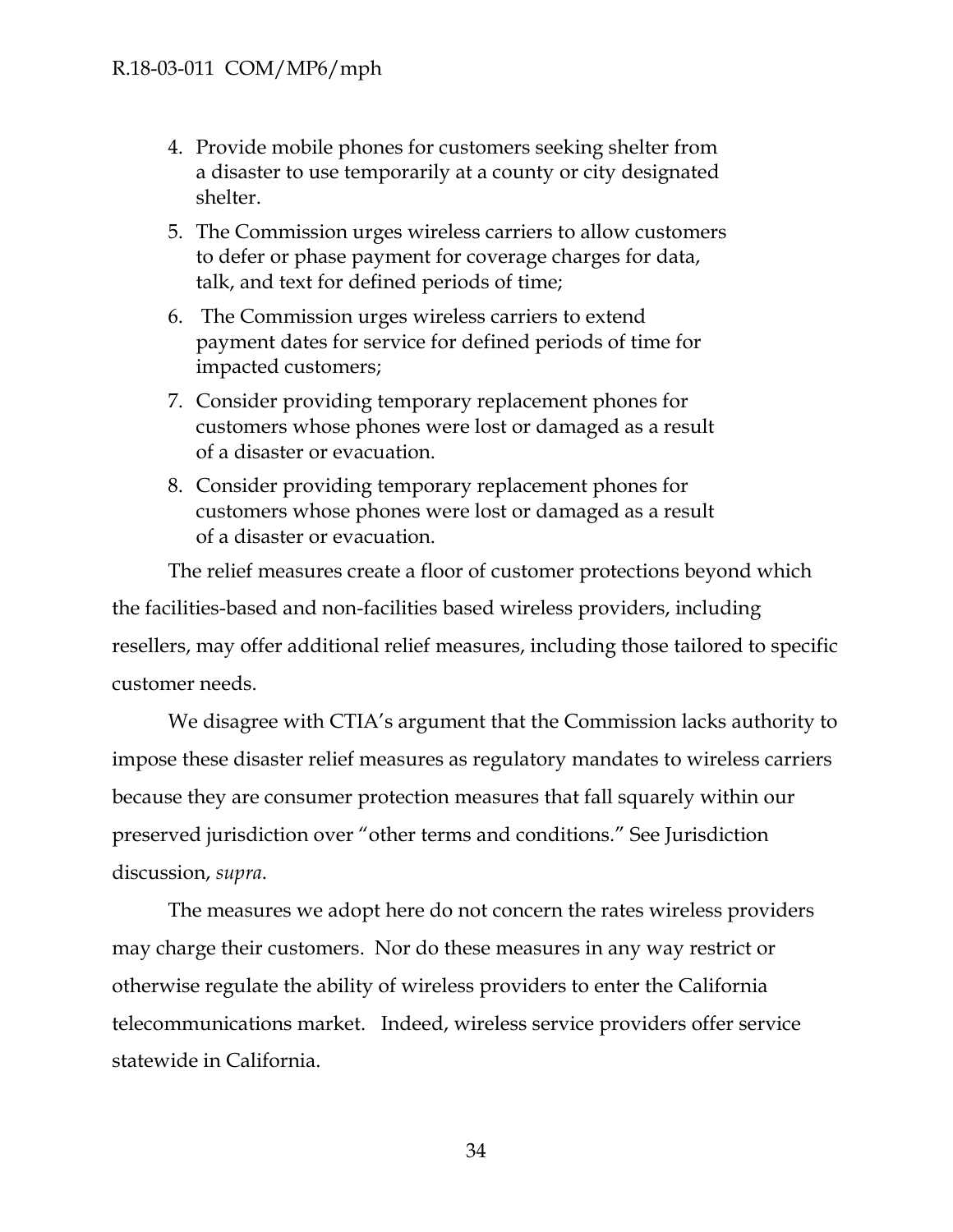- 4. Provide mobile phones for customers seeking shelter from a disaster to use temporarily at a county or city designated shelter.
- 5. The Commission urges wireless carriers to allow customers to defer or phase payment for coverage charges for data, talk, and text for defined periods of time;
- 6. The Commission urges wireless carriers to extend payment dates for service for defined periods of time for impacted customers;
- 7. Consider providing temporary replacement phones for customers whose phones were lost or damaged as a result of a disaster or evacuation.
- 8. Consider providing temporary replacement phones for customers whose phones were lost or damaged as a result of a disaster or evacuation.

The relief measures create a floor of customer protections beyond which the facilities-based and non-facilities based wireless providers, including resellers, may offer additional relief measures, including those tailored to specific customer needs.

We disagree with CTIA's argument that the Commission lacks authority to impose these disaster relief measures as regulatory mandates to wireless carriers because they are consumer protection measures that fall squarely within our preserved jurisdiction over "other terms and conditions." See Jurisdiction discussion, *supra*.

The measures we adopt here do not concern the rates wireless providers may charge their customers. Nor do these measures in any way restrict or otherwise regulate the ability of wireless providers to enter the California telecommunications market. Indeed, wireless service providers offer service statewide in California.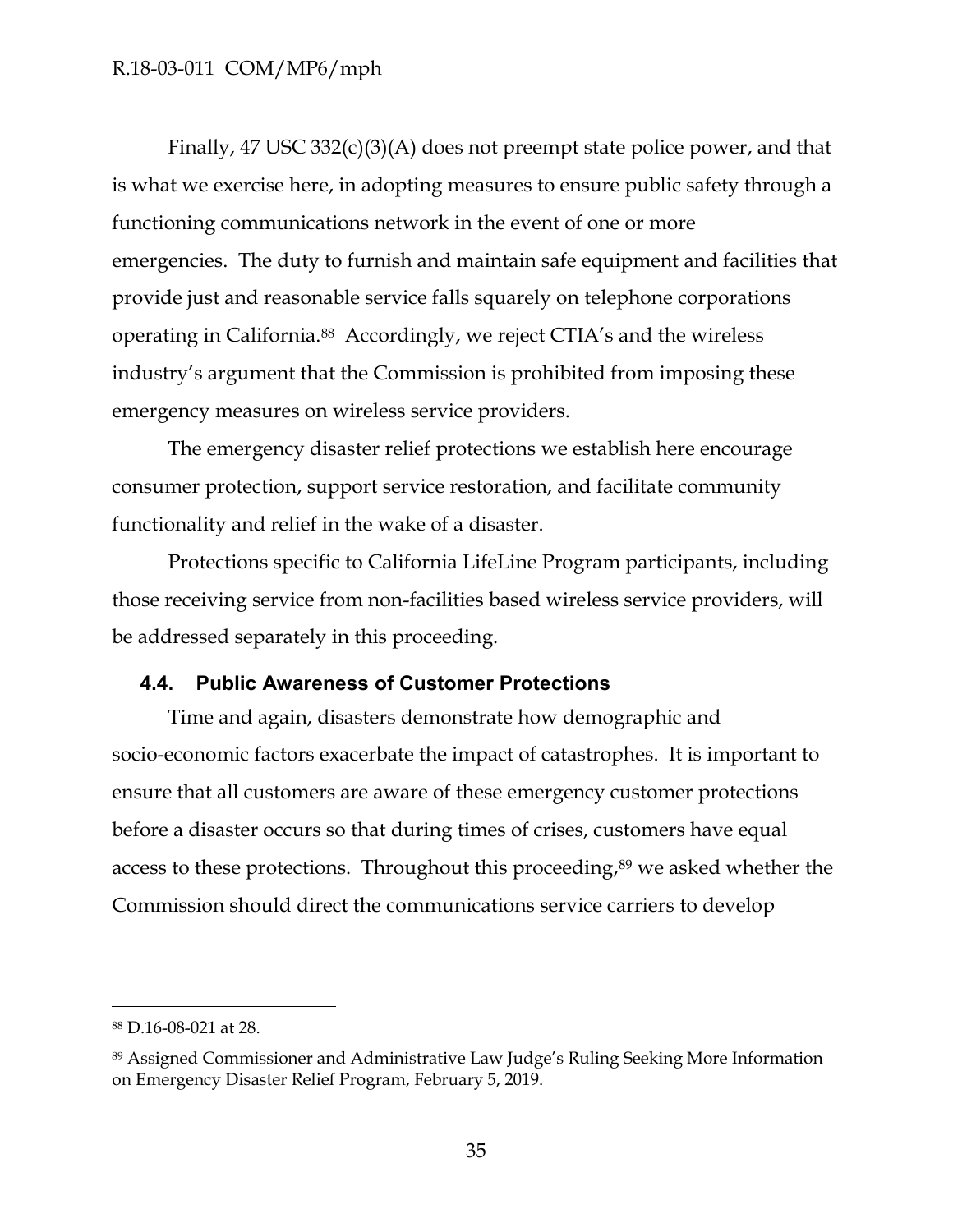Finally, 47 USC 332(c)(3)(A) does not preempt state police power, and that is what we exercise here, in adopting measures to ensure public safety through a functioning communications network in the event of one or more emergencies. The duty to furnish and maintain safe equipment and facilities that provide just and reasonable service falls squarely on telephone corporations operating in California.<sup>88</sup> Accordingly, we reject CTIA's and the wireless industry's argument that the Commission is prohibited from imposing these emergency measures on wireless service providers.

The emergency disaster relief protections we establish here encourage consumer protection, support service restoration, and facilitate community functionality and relief in the wake of a disaster.

Protections specific to California LifeLine Program participants, including those receiving service from non-facilities based wireless service providers, will be addressed separately in this proceeding.

### <span id="page-35-0"></span>**4.4. Public Awareness of Customer Protections**

Time and again, disasters demonstrate how demographic and socio-economic factors exacerbate the impact of catastrophes. It is important to ensure that all customers are aware of these emergency customer protections before a disaster occurs so that during times of crises, customers have equal access to these protections. Throughout this proceeding,<sup>89</sup> we asked whether the Commission should direct the communications service carriers to develop

<sup>88</sup> D.16-08-021 at 28.

<sup>89</sup> Assigned Commissioner and Administrative Law Judge's Ruling Seeking More Information on Emergency Disaster Relief Program, February 5, 2019.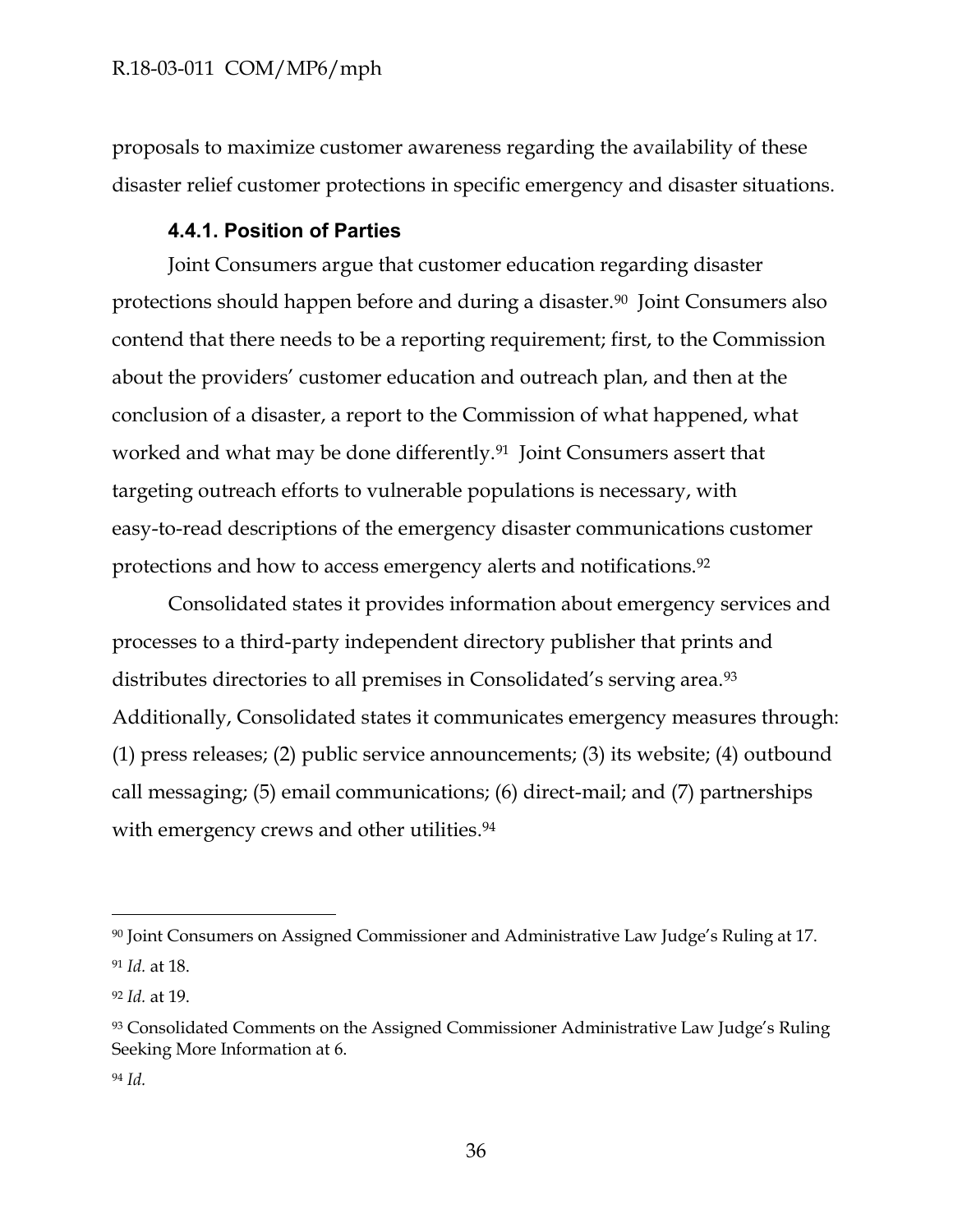proposals to maximize customer awareness regarding the availability of these disaster relief customer protections in specific emergency and disaster situations.

## **4.4.1. Position of Parties**

<span id="page-36-0"></span>Joint Consumers argue that customer education regarding disaster protections should happen before and during a disaster.90 Joint Consumers also contend that there needs to be a reporting requirement; first, to the Commission about the providers' customer education and outreach plan, and then at the conclusion of a disaster, a report to the Commission of what happened, what worked and what may be done differently.<sup>91</sup> Joint Consumers assert that targeting outreach efforts to vulnerable populations is necessary, with easy-to-read descriptions of the emergency disaster communications customer protections and how to access emergency alerts and notifications.<sup>92</sup>

Consolidated states it provides information about emergency services and processes to a third-party independent directory publisher that prints and distributes directories to all premises in Consolidated's serving area.<sup>93</sup> Additionally, Consolidated states it communicates emergency measures through: (1) press releases; (2) public service announcements; (3) its website; (4) outbound call messaging; (5) email communications; (6) direct-mail; and (7) partnerships with emergency crews and other utilities.<sup>94</sup>

<sup>90</sup> Joint Consumers on Assigned Commissioner and Administrative Law Judge's Ruling at 17. <sup>91</sup> *Id.* at 18.

<sup>92</sup> *Id.* at 19.

<sup>93</sup> Consolidated Comments on the Assigned Commissioner Administrative Law Judge's Ruling Seeking More Information at 6.

<sup>94</sup> *Id.*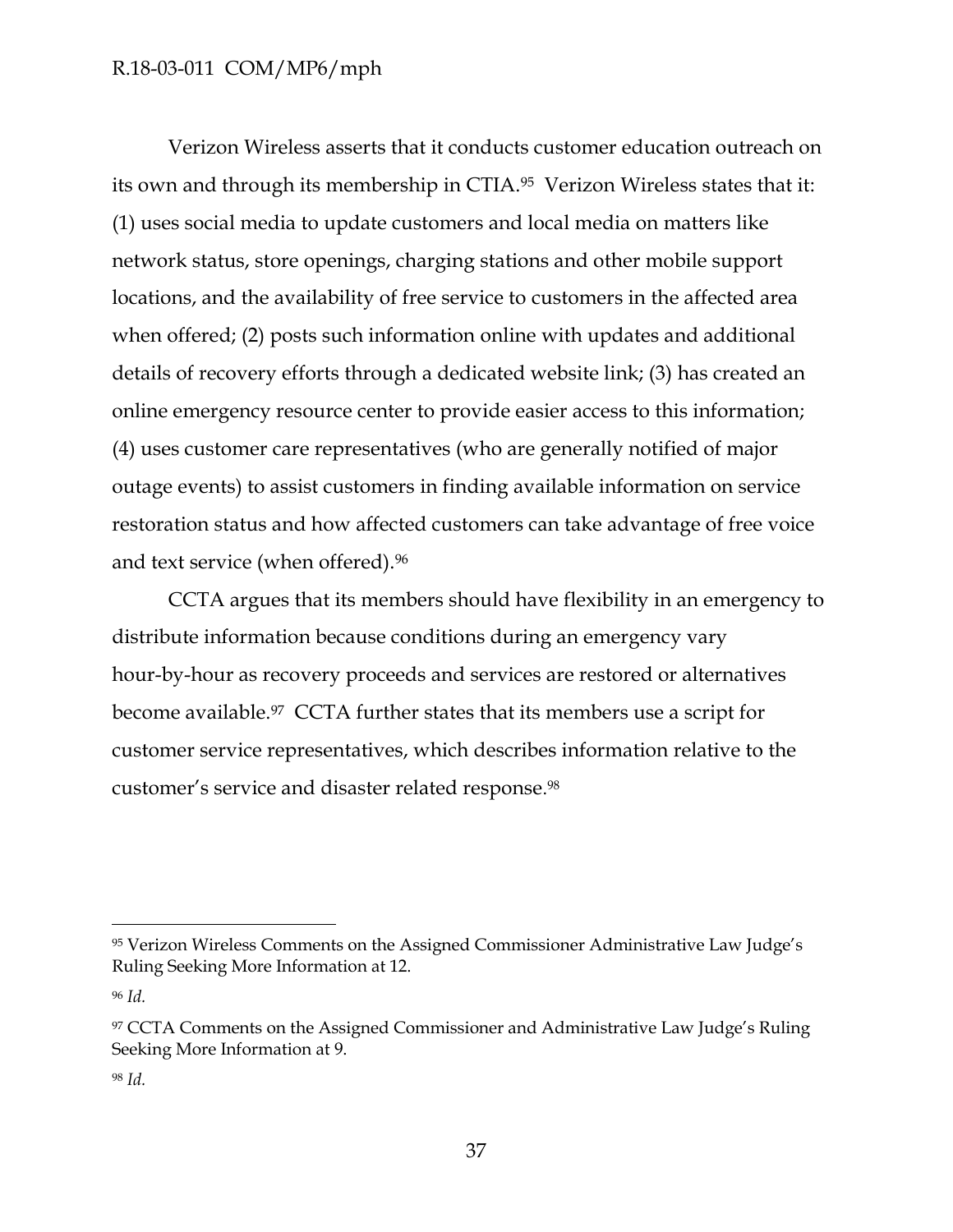Verizon Wireless asserts that it conducts customer education outreach on its own and through its membership in CTIA.95 Verizon Wireless states that it: (1) uses social media to update customers and local media on matters like network status, store openings, charging stations and other mobile support locations, and the availability of free service to customers in the affected area when offered; (2) posts such information online with updates and additional details of recovery efforts through a dedicated website link; (3) has created an online emergency resource center to provide easier access to this information; (4) uses customer care representatives (who are generally notified of major outage events) to assist customers in finding available information on service restoration status and how affected customers can take advantage of free voice and text service (when offered).<sup>96</sup>

CCTA argues that its members should have flexibility in an emergency to distribute information because conditions during an emergency vary hour-by-hour as recovery proceeds and services are restored or alternatives become available.97 CCTA further states that its members use a script for customer service representatives, which describes information relative to the customer's service and disaster related response. 98

<sup>95</sup> Verizon Wireless Comments on the Assigned Commissioner Administrative Law Judge's Ruling Seeking More Information at 12.

<sup>96</sup> *Id.*

<sup>&</sup>lt;sup>97</sup> CCTA Comments on the Assigned Commissioner and Administrative Law Judge's Ruling Seeking More Information at 9.

<sup>98</sup> *Id.*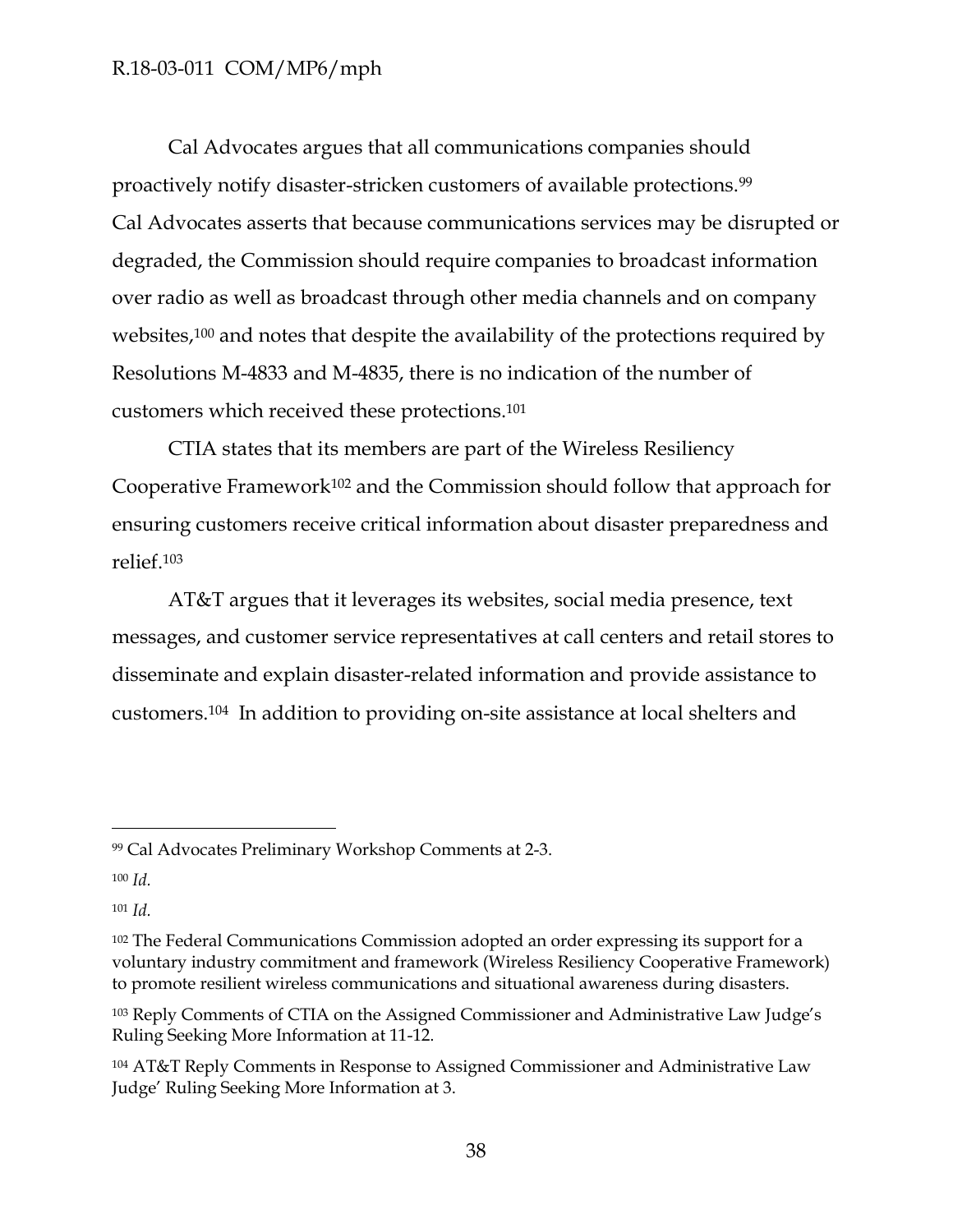Cal Advocates argues that all communications companies should proactively notify disaster-stricken customers of available protections.<sup>99</sup> Cal Advocates asserts that because communications services may be disrupted or degraded, the Commission should require companies to broadcast information over radio as well as broadcast through other media channels and on company websites,<sup>100</sup> and notes that despite the availability of the protections required by Resolutions M-4833 and M-4835, there is no indication of the number of customers which received these protections.<sup>101</sup>

CTIA states that its members are part of the Wireless Resiliency Cooperative Framework<sup>102</sup> and the Commission should follow that approach for ensuring customers receive critical information about disaster preparedness and relief.<sup>103</sup>

AT&T argues that it leverages its websites, social media presence, text messages, and customer service representatives at call centers and retail stores to disseminate and explain disaster-related information and provide assistance to customers.104 In addition to providing on-site assistance at local shelters and

<sup>99</sup> Cal Advocates Preliminary Workshop Comments at 2-3.

<sup>100</sup> *Id.*

<sup>101</sup> *Id.*

<sup>&</sup>lt;sup>102</sup> The Federal Communications Commission adopted an order expressing its support for a voluntary industry commitment and framework (Wireless Resiliency Cooperative Framework) to promote resilient wireless communications and situational awareness during disasters.

<sup>103</sup> Reply Comments of CTIA on the Assigned Commissioner and Administrative Law Judge's Ruling Seeking More Information at 11-12.

<sup>104</sup> AT&T Reply Comments in Response to Assigned Commissioner and Administrative Law Judge' Ruling Seeking More Information at 3.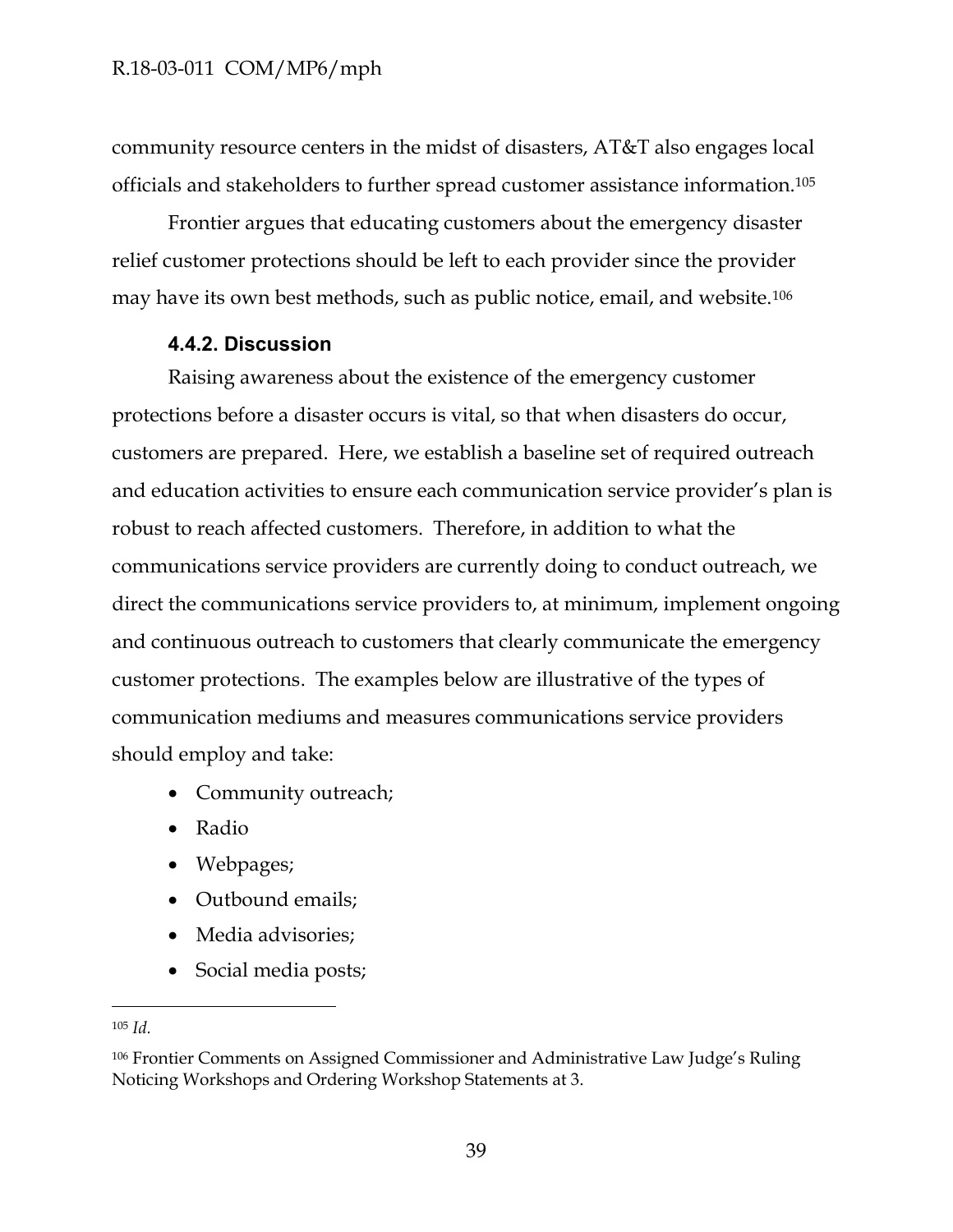community resource centers in the midst of disasters, AT&T also engages local officials and stakeholders to further spread customer assistance information.<sup>105</sup>

Frontier argues that educating customers about the emergency disaster relief customer protections should be left to each provider since the provider may have its own best methods, such as public notice, email, and website.<sup>106</sup>

### **4.4.2. Discussion**

<span id="page-39-0"></span>Raising awareness about the existence of the emergency customer protections before a disaster occurs is vital, so that when disasters do occur, customers are prepared. Here, we establish a baseline set of required outreach and education activities to ensure each communication service provider's plan is robust to reach affected customers. Therefore, in addition to what the communications service providers are currently doing to conduct outreach, we direct the communications service providers to, at minimum, implement ongoing and continuous outreach to customers that clearly communicate the emergency customer protections. The examples below are illustrative of the types of communication mediums and measures communications service providers should employ and take:

- Community outreach;
- Radio
- Webpages;
- Outbound emails;
- Media advisories;
- Social media posts;

<sup>105</sup> *Id.*

<sup>106</sup> Frontier Comments on Assigned Commissioner and Administrative Law Judge's Ruling Noticing Workshops and Ordering Workshop Statements at 3.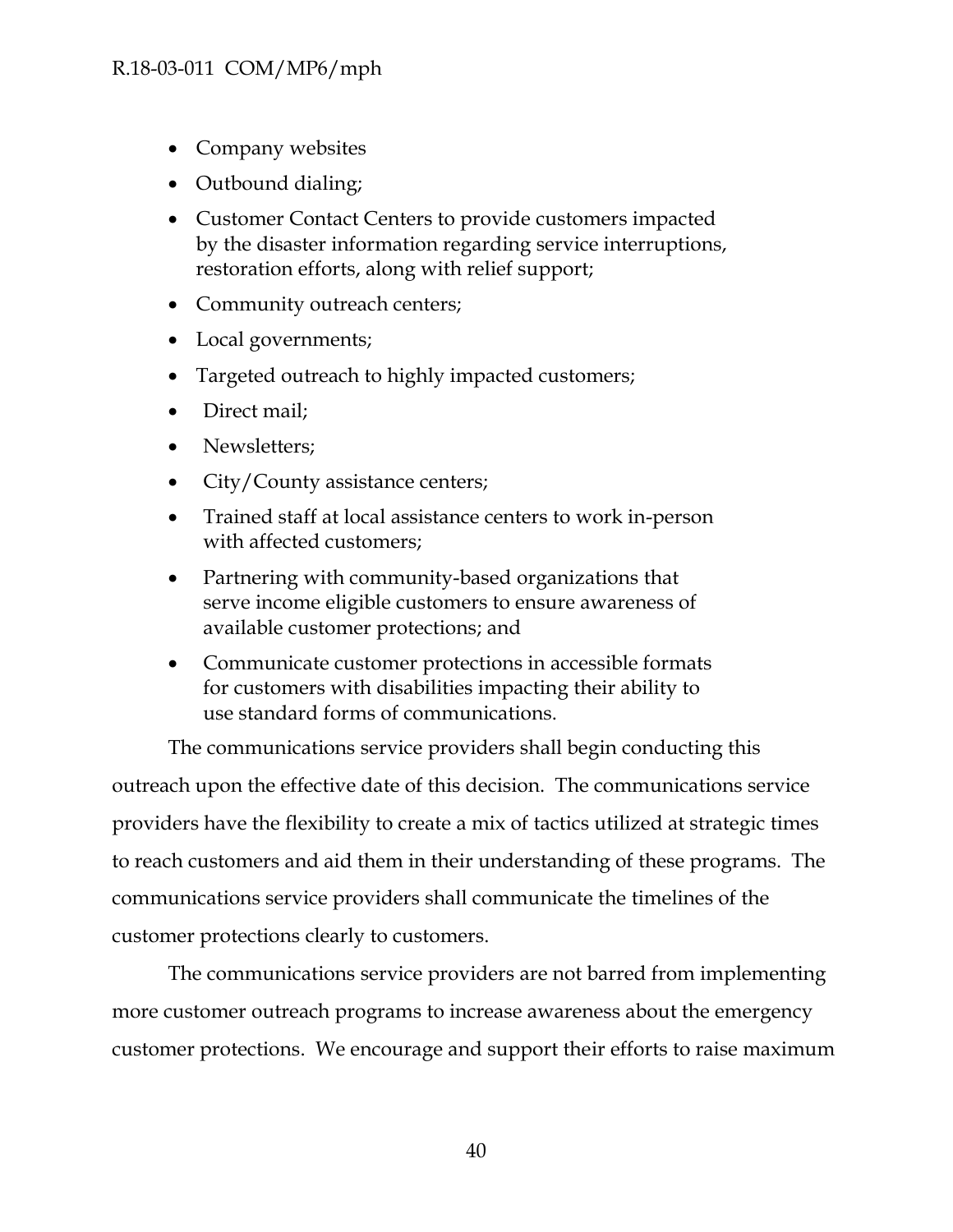- Company websites
- Outbound dialing;
- Customer Contact Centers to provide customers impacted by the disaster information regarding service interruptions, restoration efforts, along with relief support;
- Community outreach centers;
- Local governments;
- Targeted outreach to highly impacted customers;
- Direct mail;
- Newsletters:
- City/County assistance centers;
- Trained staff at local assistance centers to work in-person with affected customers;
- Partnering with community-based organizations that serve income eligible customers to ensure awareness of available customer protections; and
- Communicate customer protections in accessible formats for customers with disabilities impacting their ability to use standard forms of communications.

The communications service providers shall begin conducting this outreach upon the effective date of this decision. The communications service providers have the flexibility to create a mix of tactics utilized at strategic times to reach customers and aid them in their understanding of these programs. The communications service providers shall communicate the timelines of the customer protections clearly to customers.

The communications service providers are not barred from implementing more customer outreach programs to increase awareness about the emergency customer protections. We encourage and support their efforts to raise maximum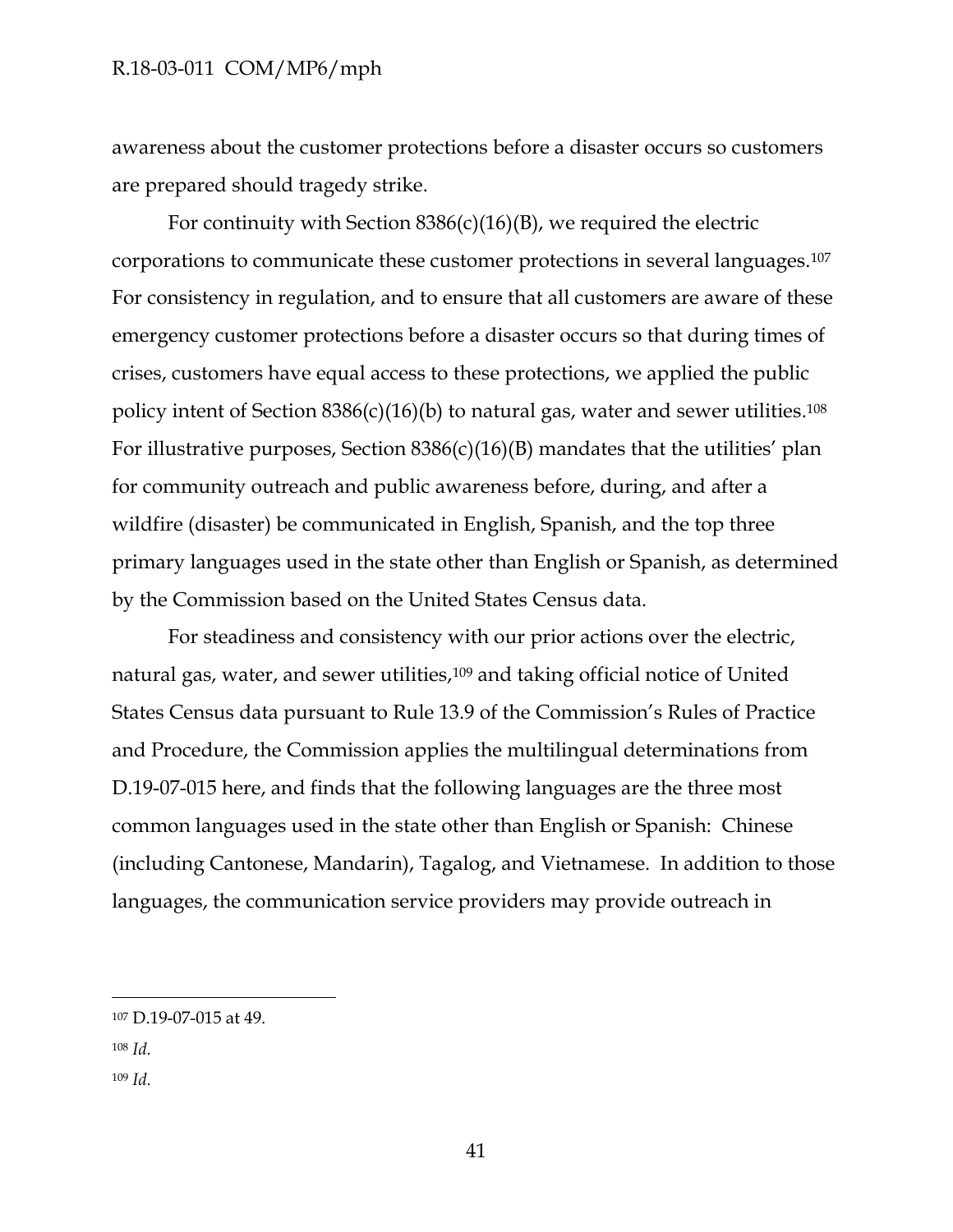awareness about the customer protections before a disaster occurs so customers are prepared should tragedy strike.

For continuity with Section  $8386(c)(16)(B)$ , we required the electric corporations to communicate these customer protections in several languages.<sup>107</sup> For consistency in regulation, and to ensure that all customers are aware of these emergency customer protections before a disaster occurs so that during times of crises, customers have equal access to these protections, we applied the public policy intent of Section  $8386(c)(16)(b)$  to natural gas, water and sewer utilities.<sup>108</sup> For illustrative purposes, Section  $8386(c)(16)(B)$  mandates that the utilities' plan for community outreach and public awareness before, during, and after a wildfire (disaster) be communicated in English, Spanish, and the top three primary languages used in the state other than English or Spanish, as determined by the Commission based on the United States Census data.

For steadiness and consistency with our prior actions over the electric, natural gas, water, and sewer utilities,<sup>109</sup> and taking official notice of United States Census data pursuant to Rule 13.9 of the Commission's Rules of Practice and Procedure, the Commission applies the multilingual determinations from D.19-07-015 here, and finds that the following languages are the three most common languages used in the state other than English or Spanish: Chinese (including Cantonese, Mandarin), Tagalog, and Vietnamese. In addition to those languages, the communication service providers may provide outreach in

<sup>107</sup> D.19-07-015 at 49.

<sup>108</sup> *Id.*

<sup>109</sup> *Id.*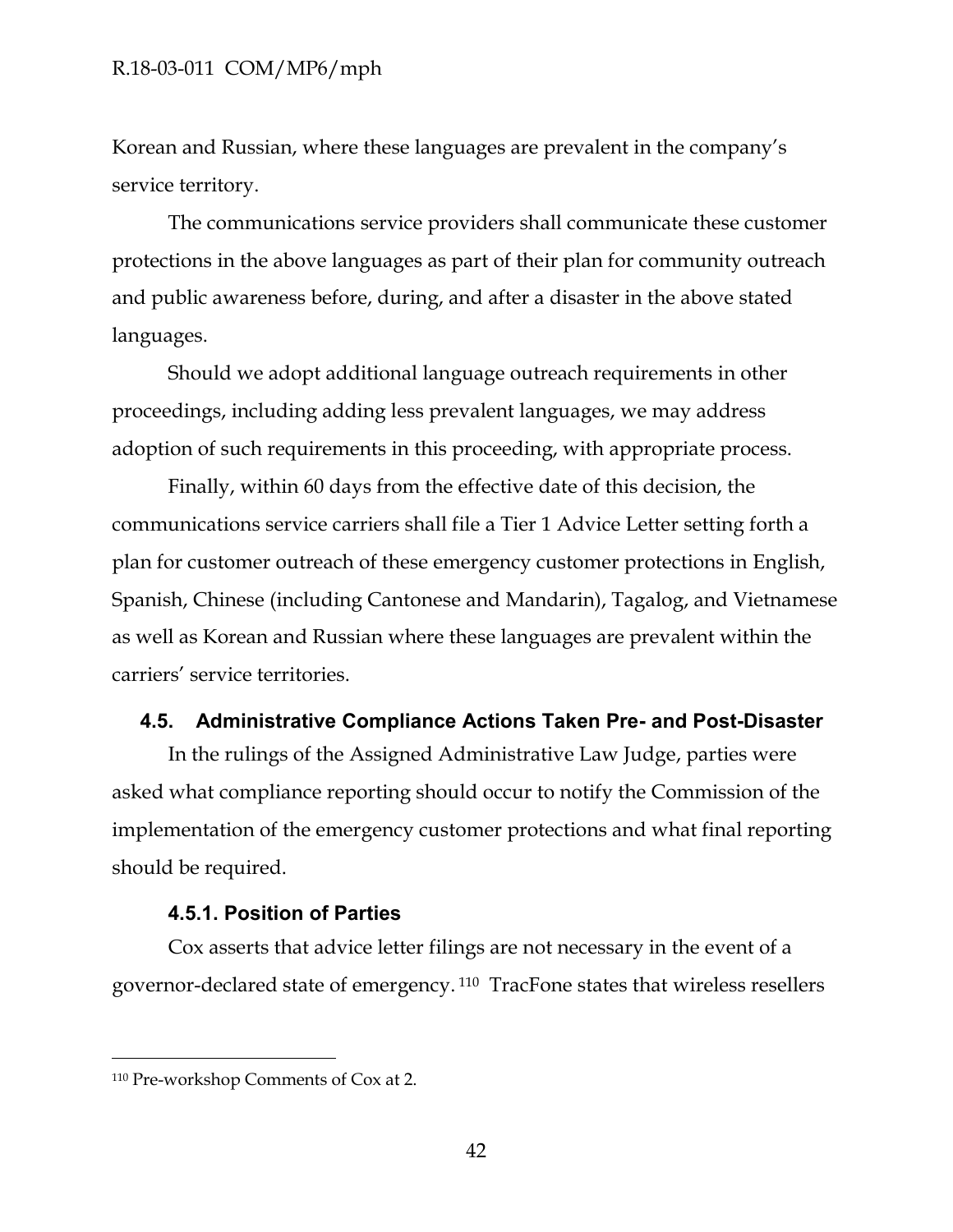Korean and Russian, where these languages are prevalent in the company's service territory.

The communications service providers shall communicate these customer protections in the above languages as part of their plan for community outreach and public awareness before, during, and after a disaster in the above stated languages.

Should we adopt additional language outreach requirements in other proceedings, including adding less prevalent languages, we may address adoption of such requirements in this proceeding, with appropriate process.

Finally, within 60 days from the effective date of this decision, the communications service carriers shall file a Tier 1 Advice Letter setting forth a plan for customer outreach of these emergency customer protections in English, Spanish, Chinese (including Cantonese and Mandarin), Tagalog, and Vietnamese as well as Korean and Russian where these languages are prevalent within the carriers' service territories.

### <span id="page-42-0"></span>**4.5. Administrative Compliance Actions Taken Pre- and Post-Disaster**

In the rulings of the Assigned Administrative Law Judge, parties were asked what compliance reporting should occur to notify the Commission of the implementation of the emergency customer protections and what final reporting should be required.

#### **4.5.1. Position of Parties**

<span id="page-42-1"></span>Cox asserts that advice letter filings are not necessary in the event of a governor-declared state of emergency. <sup>110</sup> TracFone states that wireless resellers

<sup>110</sup> Pre-workshop Comments of Cox at 2.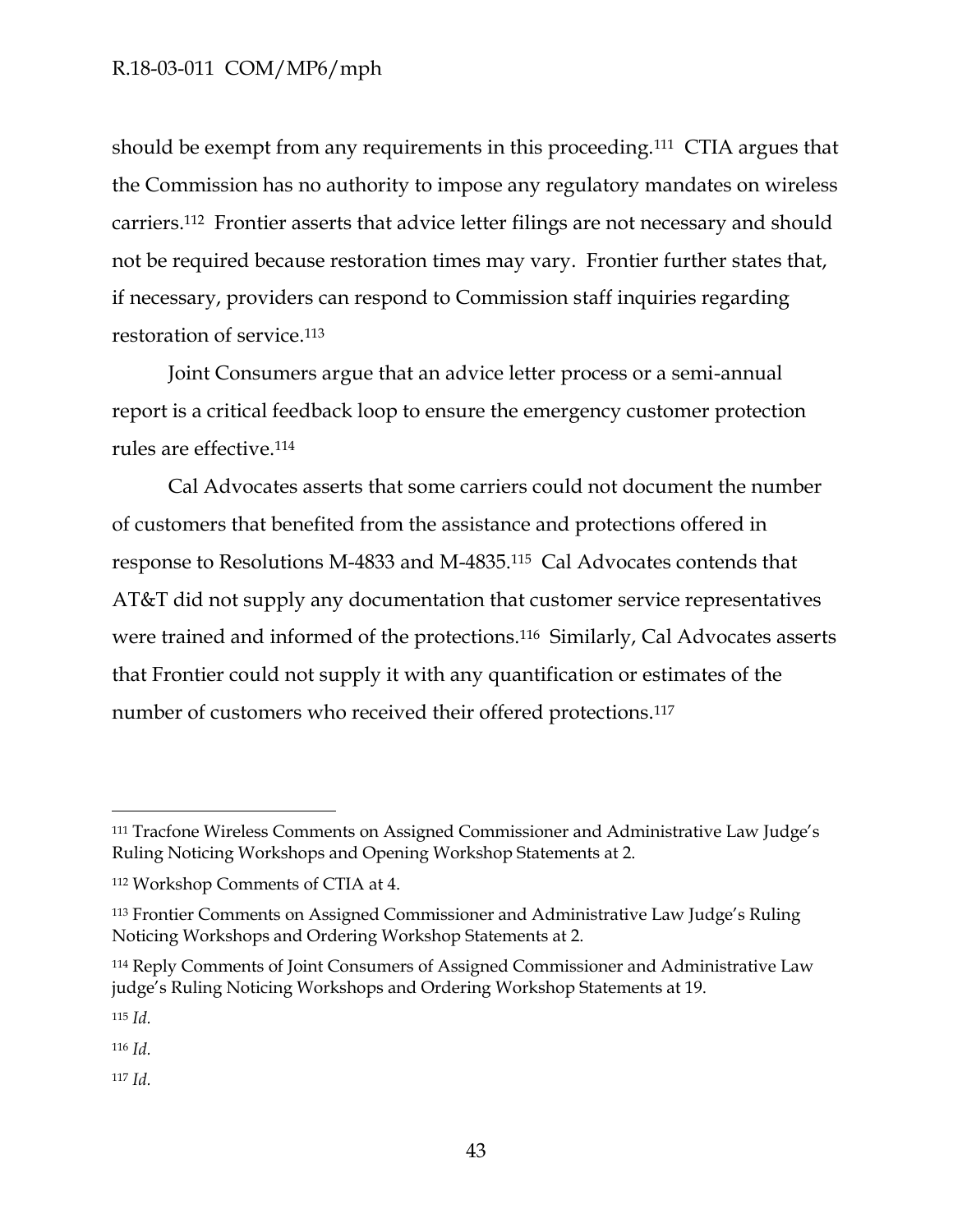should be exempt from any requirements in this proceeding.<sup>111</sup> CTIA argues that the Commission has no authority to impose any regulatory mandates on wireless carriers.<sup>112</sup> Frontier asserts that advice letter filings are not necessary and should not be required because restoration times may vary. Frontier further states that, if necessary, providers can respond to Commission staff inquiries regarding restoration of service.<sup>113</sup>

Joint Consumers argue that an advice letter process or a semi-annual report is a critical feedback loop to ensure the emergency customer protection rules are effective.<sup>114</sup>

Cal Advocates asserts that some carriers could not document the number of customers that benefited from the assistance and protections offered in response to Resolutions M-4833 and M-4835.115 Cal Advocates contends that AT&T did not supply any documentation that customer service representatives were trained and informed of the protections.<sup>116</sup> Similarly, Cal Advocates asserts that Frontier could not supply it with any quantification or estimates of the number of customers who received their offered protections.<sup>117</sup>

<sup>115</sup> *Id.*

 $\overline{a}$ 

<sup>116</sup> *Id.*

<sup>117</sup> *Id.*

<sup>111</sup> Tracfone Wireless Comments on Assigned Commissioner and Administrative Law Judge's Ruling Noticing Workshops and Opening Workshop Statements at 2.

<sup>112</sup> Workshop Comments of CTIA at 4.

<sup>113</sup> Frontier Comments on Assigned Commissioner and Administrative Law Judge's Ruling Noticing Workshops and Ordering Workshop Statements at 2.

<sup>114</sup> Reply Comments of Joint Consumers of Assigned Commissioner and Administrative Law judge's Ruling Noticing Workshops and Ordering Workshop Statements at 19.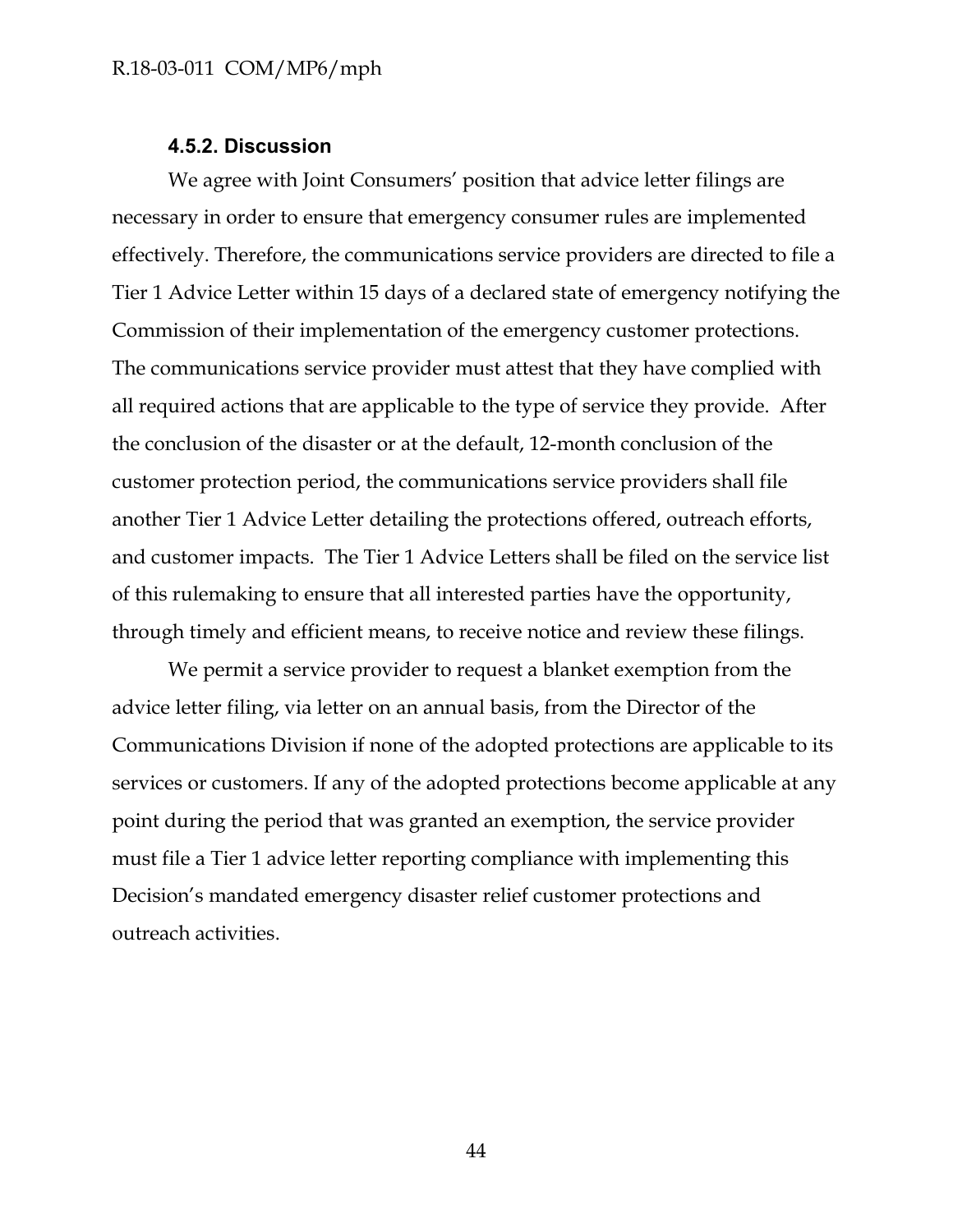### **4.5.2. Discussion**

<span id="page-44-0"></span>We agree with Joint Consumers' position that advice letter filings are necessary in order to ensure that emergency consumer rules are implemented effectively. Therefore, the communications service providers are directed to file a Tier 1 Advice Letter within 15 days of a declared state of emergency notifying the Commission of their implementation of the emergency customer protections. The communications service provider must attest that they have complied with all required actions that are applicable to the type of service they provide. After the conclusion of the disaster or at the default, 12-month conclusion of the customer protection period, the communications service providers shall file another Tier 1 Advice Letter detailing the protections offered, outreach efforts, and customer impacts. The Tier 1 Advice Letters shall be filed on the service list of this rulemaking to ensure that all interested parties have the opportunity, through timely and efficient means, to receive notice and review these filings.

We permit a service provider to request a blanket exemption from the advice letter filing, via letter on an annual basis, from the Director of the Communications Division if none of the adopted protections are applicable to its services or customers. If any of the adopted protections become applicable at any point during the period that was granted an exemption, the service provider must file a Tier 1 advice letter reporting compliance with implementing this Decision's mandated emergency disaster relief customer protections and outreach activities.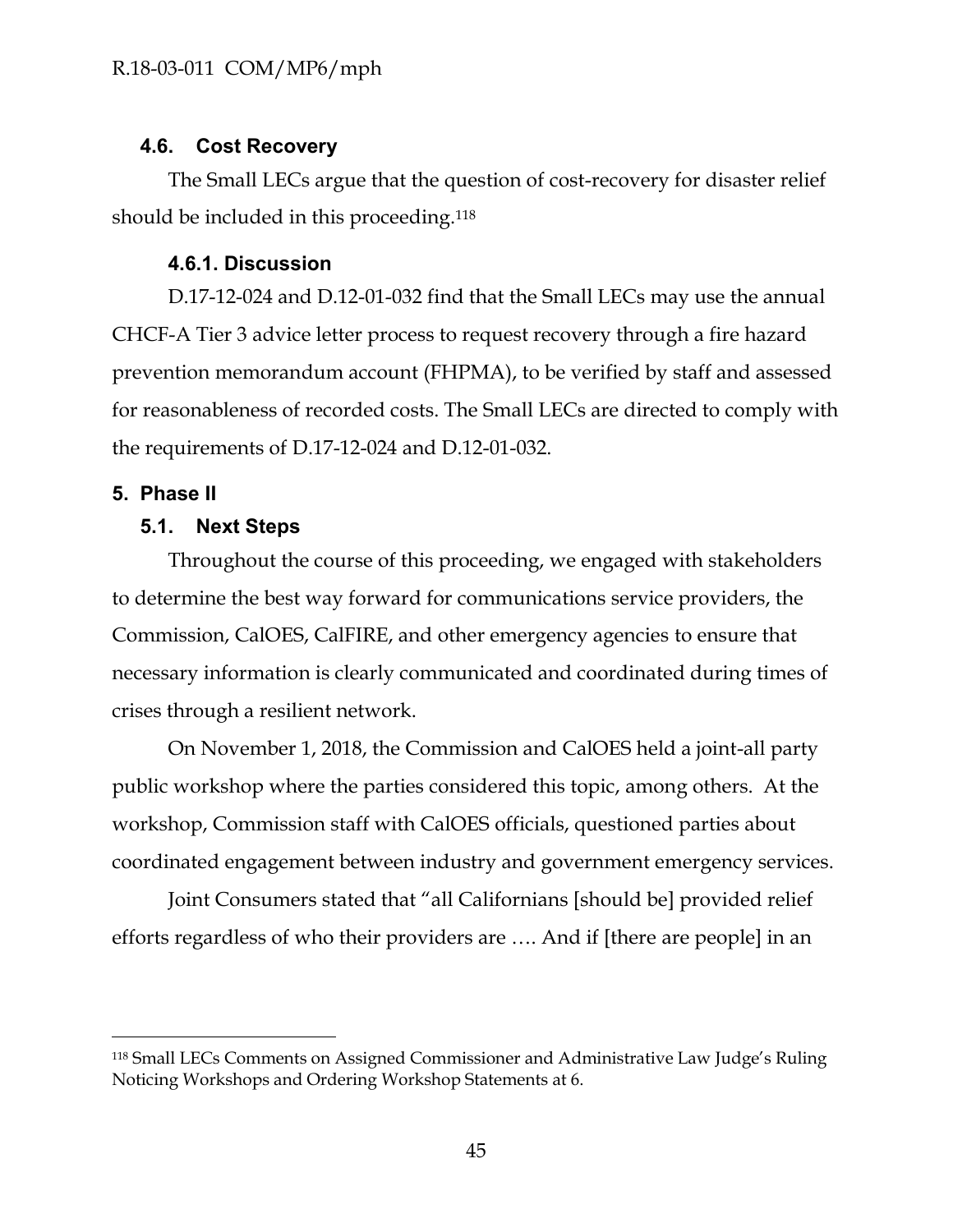### <span id="page-45-0"></span>**4.6. Cost Recovery**

The Small LECs argue that the question of cost-recovery for disaster relief should be included in this proceeding.<sup>118</sup>

## **4.6.1. Discussion**

<span id="page-45-1"></span>D.17-12-024 and D.12-01-032 find that the Small LECs may use the annual CHCF-A Tier 3 advice letter process to request recovery through a fire hazard prevention memorandum account (FHPMA), to be verified by staff and assessed for reasonableness of recorded costs. The Small LECs are directed to comply with the requirements of D.17-12-024 and D.12-01-032.

## <span id="page-45-3"></span><span id="page-45-2"></span>**5. Phase II**

 $\overline{a}$ 

### **5.1. Next Steps**

Throughout the course of this proceeding, we engaged with stakeholders to determine the best way forward for communications service providers, the Commission, CalOES, CalFIRE, and other emergency agencies to ensure that necessary information is clearly communicated and coordinated during times of crises through a resilient network.

On November 1, 2018, the Commission and CalOES held a joint-all party public workshop where the parties considered this topic, among others. At the workshop, Commission staff with CalOES officials, questioned parties about coordinated engagement between industry and government emergency services.

Joint Consumers stated that "all Californians [should be] provided relief efforts regardless of who their providers are …. And if [there are people] in an

<sup>118</sup> Small LECs Comments on Assigned Commissioner and Administrative Law Judge's Ruling Noticing Workshops and Ordering Workshop Statements at 6.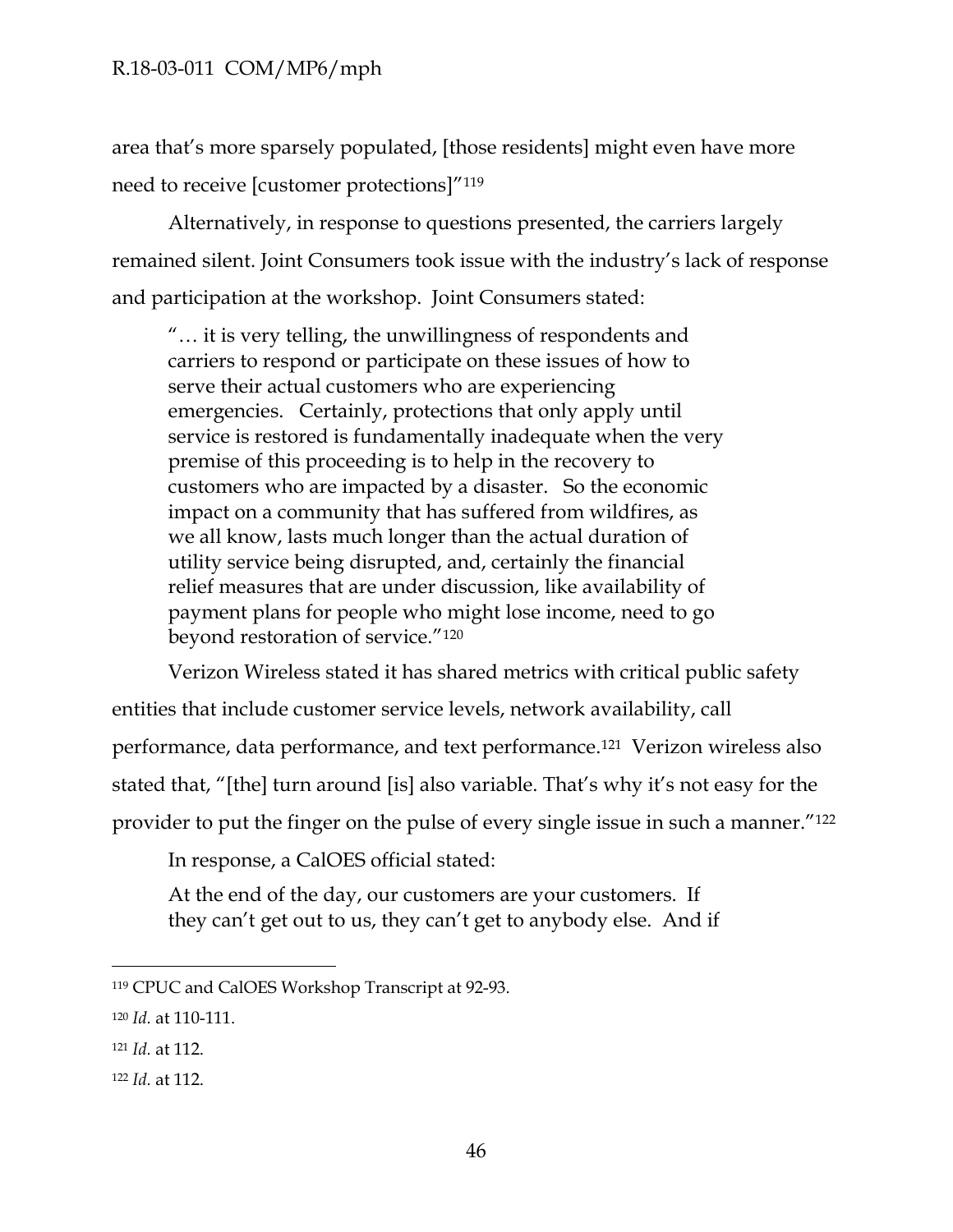area that's more sparsely populated, [those residents] might even have more need to receive [customer protections]"<sup>119</sup>

Alternatively, in response to questions presented, the carriers largely remained silent. Joint Consumers took issue with the industry's lack of response and participation at the workshop. Joint Consumers stated:

"… it is very telling, the unwillingness of respondents and carriers to respond or participate on these issues of how to serve their actual customers who are experiencing emergencies. Certainly, protections that only apply until service is restored is fundamentally inadequate when the very premise of this proceeding is to help in the recovery to customers who are impacted by a disaster. So the economic impact on a community that has suffered from wildfires, as we all know, lasts much longer than the actual duration of utility service being disrupted, and, certainly the financial relief measures that are under discussion, like availability of payment plans for people who might lose income, need to go beyond restoration of service."<sup>120</sup>

Verizon Wireless stated it has shared metrics with critical public safety entities that include customer service levels, network availability, call performance, data performance, and text performance.121 Verizon wireless also stated that, "[the] turn around [is] also variable. That's why it's not easy for the provider to put the finger on the pulse of every single issue in such a manner."<sup>122</sup>

In response, a CalOES official stated:

At the end of the day, our customers are your customers. If they can't get out to us, they can't get to anybody else. And if

<sup>119</sup> CPUC and CalOES Workshop Transcript at 92-93.

<sup>120</sup> *Id.* at 110-111.

<sup>121</sup> *Id.* at 112.

<sup>122</sup> *Id.* at 112.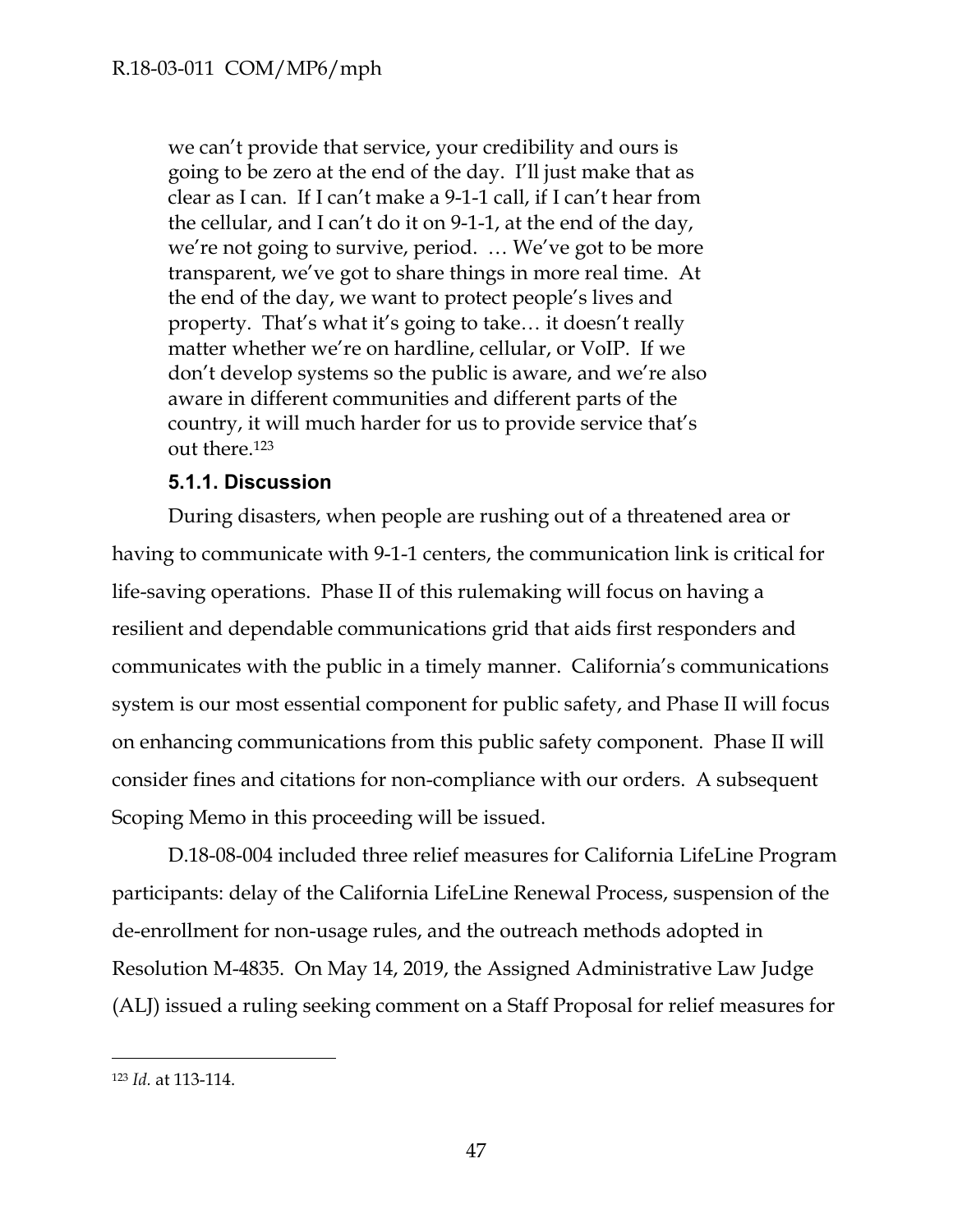we can't provide that service, your credibility and ours is going to be zero at the end of the day. I'll just make that as clear as I can. If I can't make a 9-1-1 call, if I can't hear from the cellular, and I can't do it on 9-1-1, at the end of the day, we're not going to survive, period. … We've got to be more transparent, we've got to share things in more real time. At the end of the day, we want to protect people's lives and property. That's what it's going to take… it doesn't really matter whether we're on hardline, cellular, or VoIP. If we don't develop systems so the public is aware, and we're also aware in different communities and different parts of the country, it will much harder for us to provide service that's out there.<sup>123</sup>

## **5.1.1. Discussion**

<span id="page-47-0"></span>During disasters, when people are rushing out of a threatened area or having to communicate with 9-1-1 centers, the communication link is critical for life-saving operations. Phase II of this rulemaking will focus on having a resilient and dependable communications grid that aids first responders and communicates with the public in a timely manner. California's communications system is our most essential component for public safety, and Phase II will focus on enhancing communications from this public safety component. Phase II will consider fines and citations for non-compliance with our orders. A subsequent Scoping Memo in this proceeding will be issued.

D.18-08-004 included three relief measures for California LifeLine Program participants: delay of the California LifeLine Renewal Process, suspension of the de-enrollment for non-usage rules, and the outreach methods adopted in Resolution M-4835. On May 14, 2019, the Assigned Administrative Law Judge (ALJ) issued a ruling seeking comment on a Staff Proposal for relief measures for

<sup>123</sup> *Id.* at 113-114.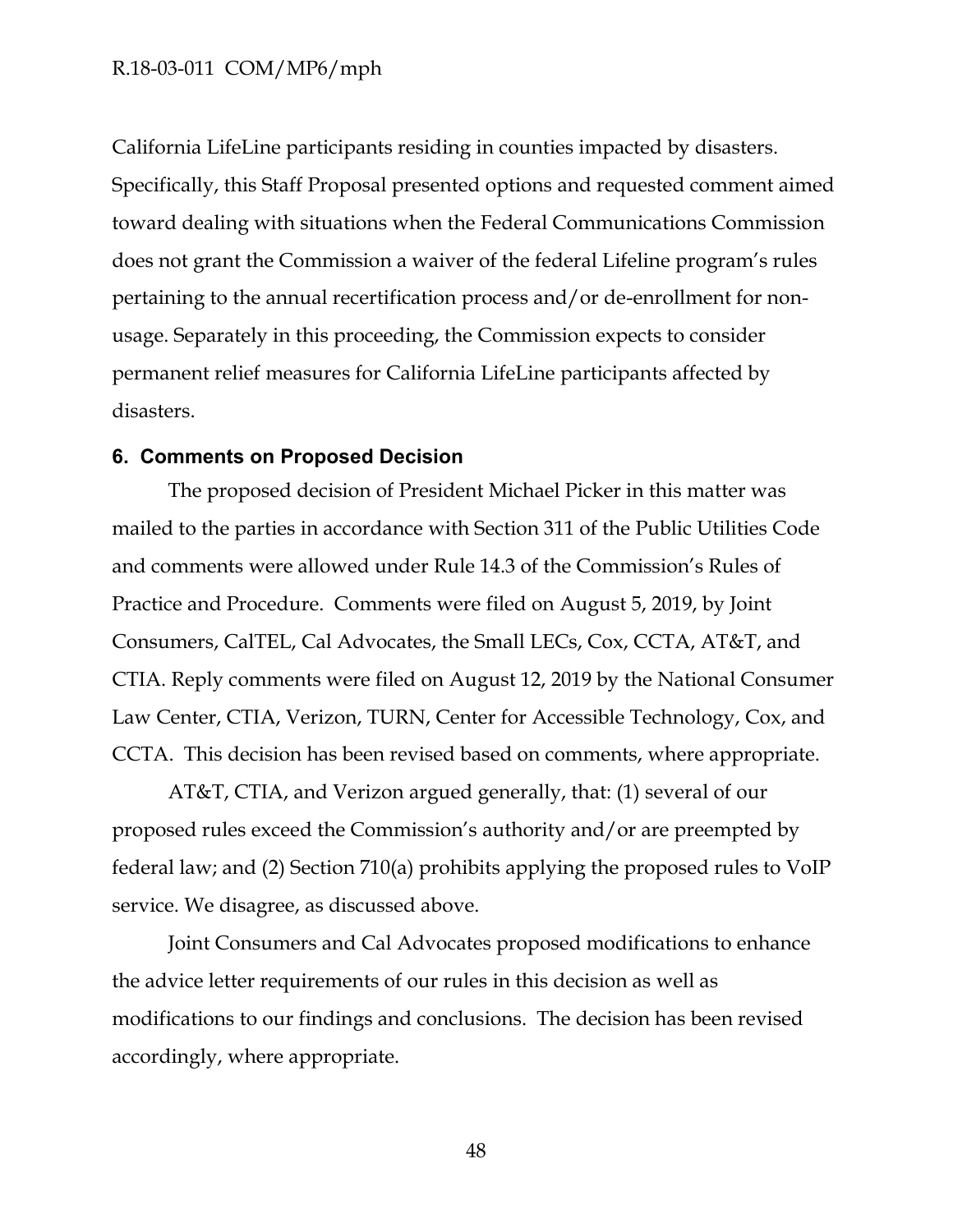California LifeLine participants residing in counties impacted by disasters. Specifically, this Staff Proposal presented options and requested comment aimed toward dealing with situations when the Federal Communications Commission does not grant the Commission a waiver of the federal Lifeline program's rules pertaining to the annual recertification process and/or de-enrollment for nonusage. Separately in this proceeding, the Commission expects to consider permanent relief measures for California LifeLine participants affected by disasters.

### <span id="page-48-0"></span>**6. Comments on Proposed Decision**

The proposed decision of President Michael Picker in this matter was mailed to the parties in accordance with Section 311 of the Public Utilities Code and comments were allowed under Rule 14.3 of the Commission's Rules of Practice and Procedure. Comments were filed on August 5, 2019, by Joint Consumers, CalTEL, Cal Advocates, the Small LECs, Cox, CCTA, AT&T, and CTIA. Reply comments were filed on August 12, 2019 by the National Consumer Law Center, CTIA, Verizon, TURN, Center for Accessible Technology, Cox, and CCTA. This decision has been revised based on comments, where appropriate.

AT&T, CTIA, and Verizon argued generally, that: (1) several of our proposed rules exceed the Commission's authority and/or are preempted by federal law; and (2) Section 710(a) prohibits applying the proposed rules to VoIP service. We disagree, as discussed above.

Joint Consumers and Cal Advocates proposed modifications to enhance the advice letter requirements of our rules in this decision as well as modifications to our findings and conclusions. The decision has been revised accordingly, where appropriate.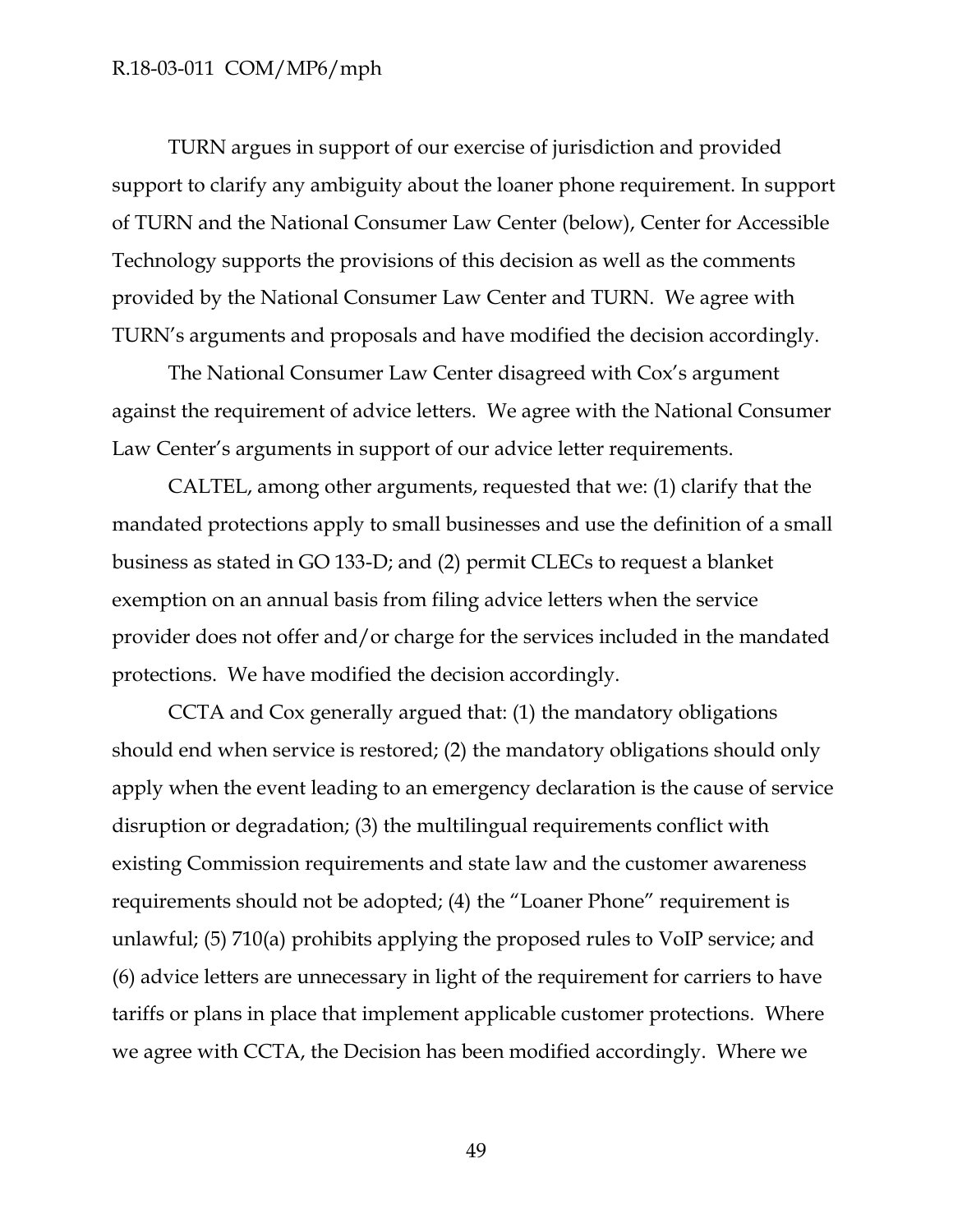TURN argues in support of our exercise of jurisdiction and provided support to clarify any ambiguity about the loaner phone requirement. In support of TURN and the National Consumer Law Center (below), Center for Accessible Technology supports the provisions of this decision as well as the comments provided by the National Consumer Law Center and TURN. We agree with TURN's arguments and proposals and have modified the decision accordingly.

The National Consumer Law Center disagreed with Cox's argument against the requirement of advice letters. We agree with the National Consumer Law Center's arguments in support of our advice letter requirements.

CALTEL, among other arguments, requested that we: (1) clarify that the mandated protections apply to small businesses and use the definition of a small business as stated in GO 133-D; and (2) permit CLECs to request a blanket exemption on an annual basis from filing advice letters when the service provider does not offer and/or charge for the services included in the mandated protections. We have modified the decision accordingly.

CCTA and Cox generally argued that: (1) the mandatory obligations should end when service is restored; (2) the mandatory obligations should only apply when the event leading to an emergency declaration is the cause of service disruption or degradation; (3) the multilingual requirements conflict with existing Commission requirements and state law and the customer awareness requirements should not be adopted; (4) the "Loaner Phone" requirement is unlawful; (5) 710(a) prohibits applying the proposed rules to VoIP service; and (6) advice letters are unnecessary in light of the requirement for carriers to have tariffs or plans in place that implement applicable customer protections. Where we agree with CCTA, the Decision has been modified accordingly. Where we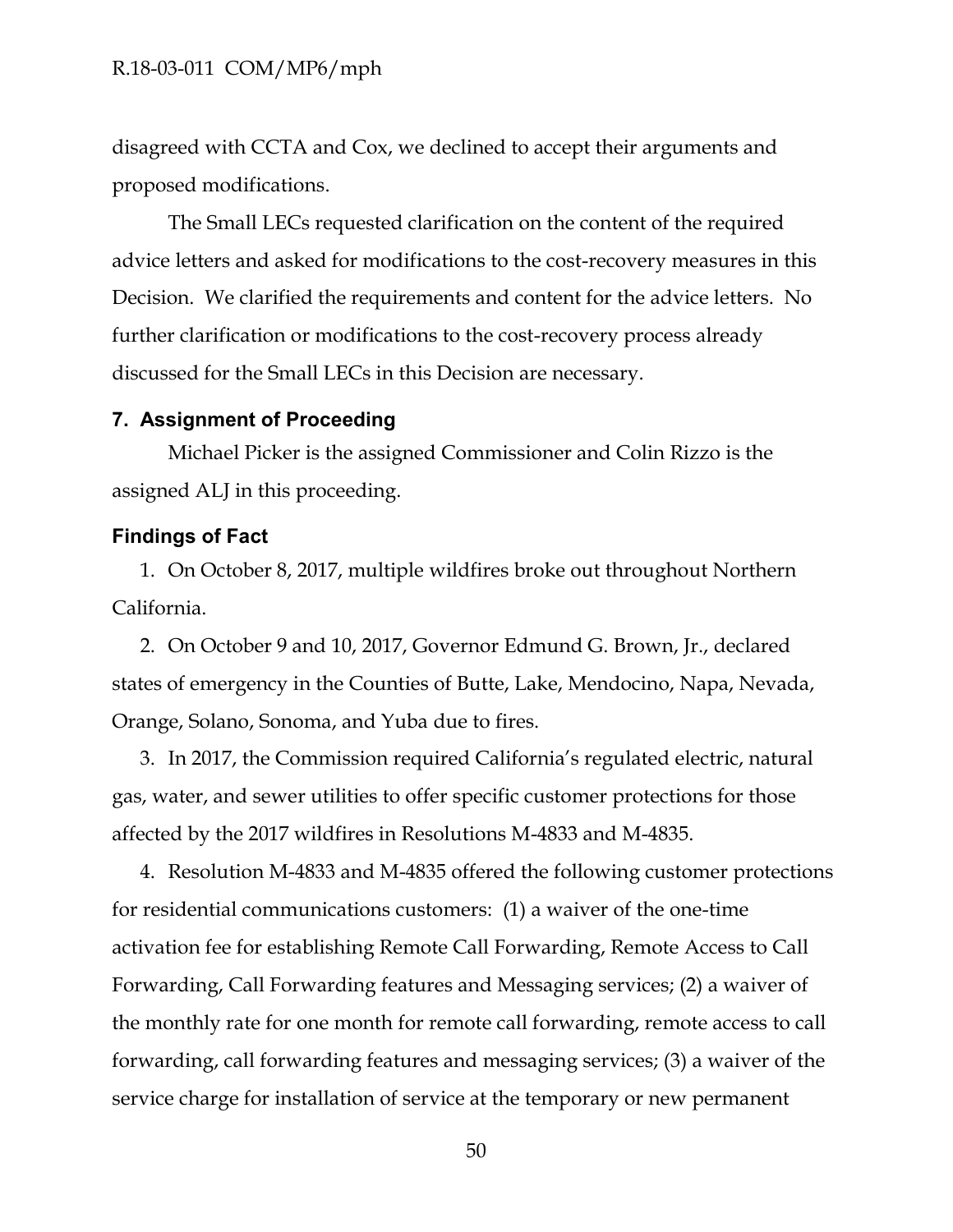disagreed with CCTA and Cox, we declined to accept their arguments and proposed modifications.

The Small LECs requested clarification on the content of the required advice letters and asked for modifications to the cost-recovery measures in this Decision. We clarified the requirements and content for the advice letters. No further clarification or modifications to the cost-recovery process already discussed for the Small LECs in this Decision are necessary.

#### <span id="page-50-0"></span>**7. Assignment of Proceeding**

Michael Picker is the assigned Commissioner and Colin Rizzo is the assigned ALJ in this proceeding.

### **Findings of Fact**

1. On October 8, 2017, multiple wildfires broke out throughout Northern California.

2. On October 9 and 10, 2017, Governor Edmund G. Brown, Jr., declared states of emergency in the Counties of Butte, Lake, Mendocino, Napa, Nevada, Orange, Solano, Sonoma, and Yuba due to fires.

3. In 2017, the Commission required California's regulated electric, natural gas, water, and sewer utilities to offer specific customer protections for those affected by the 2017 wildfires in Resolutions M-4833 and M-4835.

4. Resolution M-4833 and M-4835 offered the following customer protections for residential communications customers: (1) a waiver of the one-time activation fee for establishing Remote Call Forwarding, Remote Access to Call Forwarding, Call Forwarding features and Messaging services; (2) a waiver of the monthly rate for one month for remote call forwarding, remote access to call forwarding, call forwarding features and messaging services; (3) a waiver of the service charge for installation of service at the temporary or new permanent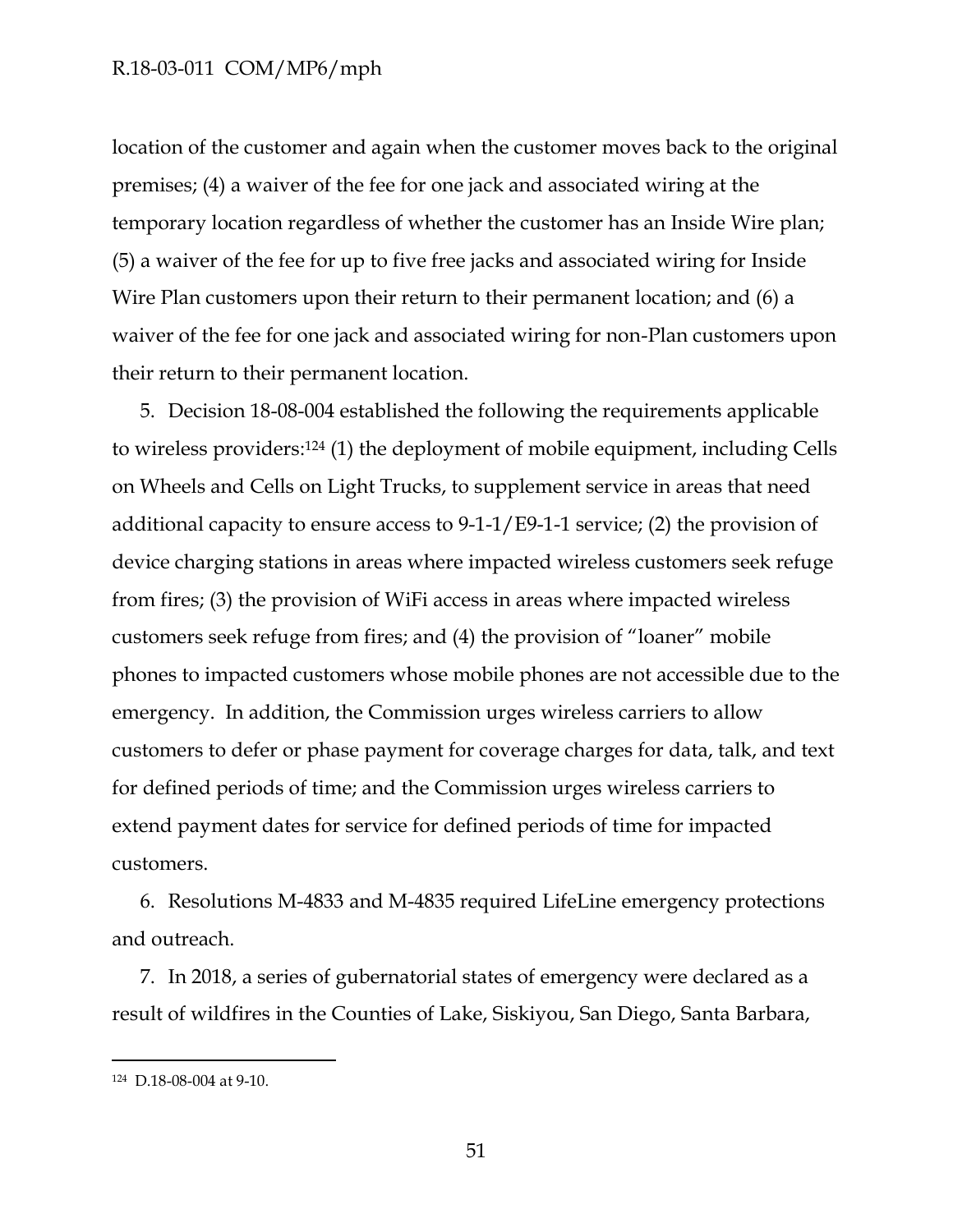location of the customer and again when the customer moves back to the original premises; (4) a waiver of the fee for one jack and associated wiring at the temporary location regardless of whether the customer has an Inside Wire plan; (5) a waiver of the fee for up to five free jacks and associated wiring for Inside Wire Plan customers upon their return to their permanent location; and (6) a waiver of the fee for one jack and associated wiring for non-Plan customers upon their return to their permanent location.

5. Decision 18-08-004 established the following the requirements applicable to wireless providers:<sup>124</sup> (1) the deployment of mobile equipment, including Cells on Wheels and Cells on Light Trucks, to supplement service in areas that need additional capacity to ensure access to 9-1-1/E9-1-1 service; (2) the provision of device charging stations in areas where impacted wireless customers seek refuge from fires; (3) the provision of WiFi access in areas where impacted wireless customers seek refuge from fires; and (4) the provision of "loaner" mobile phones to impacted customers whose mobile phones are not accessible due to the emergency. In addition, the Commission urges wireless carriers to allow customers to defer or phase payment for coverage charges for data, talk, and text for defined periods of time; and the Commission urges wireless carriers to extend payment dates for service for defined periods of time for impacted customers.

6. Resolutions M-4833 and M-4835 required LifeLine emergency protections and outreach.

7. In 2018, a series of gubernatorial states of emergency were declared as a result of wildfires in the Counties of Lake, Siskiyou, San Diego, Santa Barbara,

<sup>124</sup> D.18-08-004 at 9-10.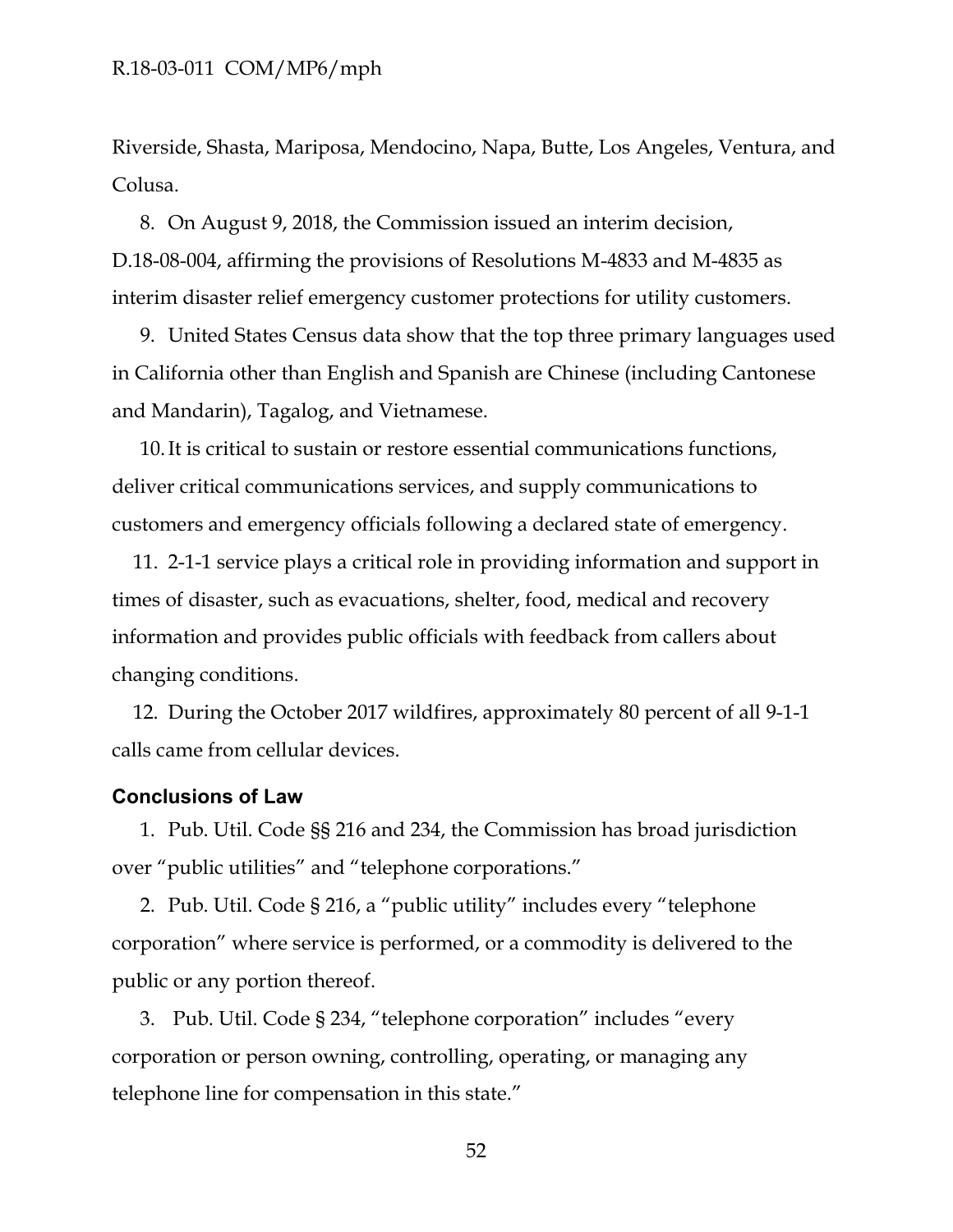Riverside, Shasta, Mariposa, Mendocino, Napa, Butte, Los Angeles, Ventura, and Colusa.

8. On August 9, 2018, the Commission issued an interim decision, D.18-08-004, affirming the provisions of Resolutions M-4833 and M-4835 as interim disaster relief emergency customer protections for utility customers.

9. United States Census data show that the top three primary languages used in California other than English and Spanish are Chinese (including Cantonese and Mandarin), Tagalog, and Vietnamese.

10.It is critical to sustain or restore essential communications functions, deliver critical communications services, and supply communications to customers and emergency officials following a declared state of emergency.

11. 2-1-1 service plays a critical role in providing information and support in times of disaster, such as evacuations, shelter, food, medical and recovery information and provides public officials with feedback from callers about changing conditions.

12. During the October 2017 wildfires, approximately 80 percent of all 9-1-1 calls came from cellular devices.

### **Conclusions of Law**

1. Pub. Util. Code §§ 216 and 234, the Commission has broad jurisdiction over "public utilities" and "telephone corporations."

2. Pub. Util. Code § 216, a "public utility" includes every "telephone corporation" where service is performed, or a commodity is delivered to the public or any portion thereof.

3. Pub. Util. Code § 234, "telephone corporation" includes "every corporation or person owning, controlling, operating, or managing any telephone line for compensation in this state."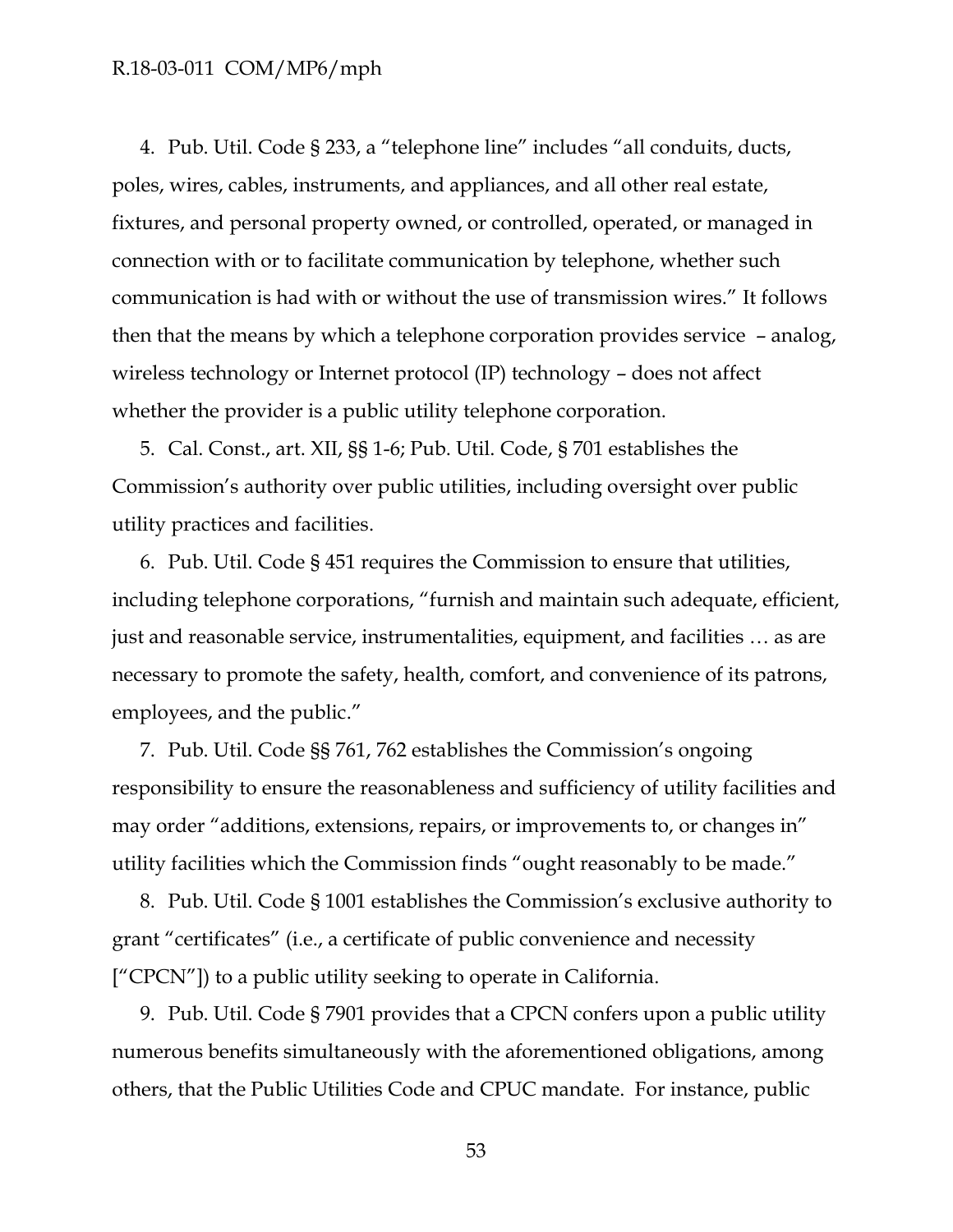4. Pub. Util. Code § 233, a "telephone line" includes "all conduits, ducts, poles, wires, cables, instruments, and appliances, and all other real estate, fixtures, and personal property owned, or controlled, operated, or managed in connection with or to facilitate communication by telephone, whether such communication is had with or without the use of transmission wires." It follows then that the means by which a telephone corporation provides service – analog, wireless technology or Internet protocol (IP) technology – does not affect whether the provider is a public utility telephone corporation.

5. Cal. Const., art. XII, §§ 1-6; Pub. Util. Code, § 701 establishes the Commission's authority over public utilities, including oversight over public utility practices and facilities.

6. Pub. Util. Code § 451 requires the Commission to ensure that utilities, including telephone corporations, "furnish and maintain such adequate, efficient, just and reasonable service, instrumentalities, equipment, and facilities … as are necessary to promote the safety, health, comfort, and convenience of its patrons, employees, and the public."

7. Pub. Util. Code §§ 761, 762 establishes the Commission's ongoing responsibility to ensure the reasonableness and sufficiency of utility facilities and may order "additions, extensions, repairs, or improvements to, or changes in" utility facilities which the Commission finds "ought reasonably to be made."

8. Pub. Util. Code § 1001 establishes the Commission's exclusive authority to grant "certificates" (i.e., a certificate of public convenience and necessity ["CPCN"]) to a public utility seeking to operate in California.

9. Pub. Util. Code § 7901 provides that a CPCN confers upon a public utility numerous benefits simultaneously with the aforementioned obligations, among others, that the Public Utilities Code and CPUC mandate. For instance, public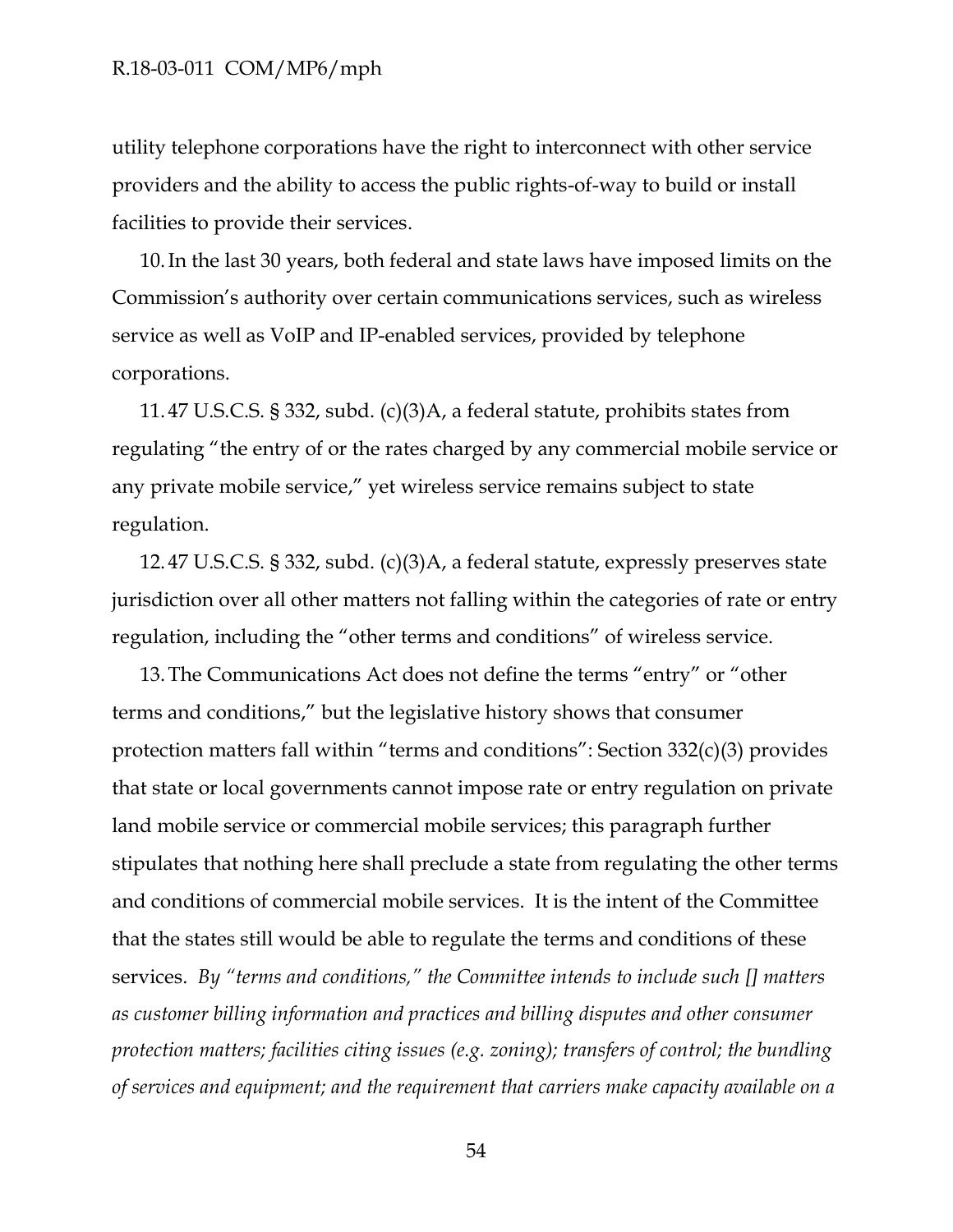utility telephone corporations have the right to interconnect with other service providers and the ability to access the public rights-of-way to build or install facilities to provide their services.

10.In the last 30 years, both federal and state laws have imposed limits on the Commission's authority over certain communications services, such as wireless service as well as VoIP and IP-enabled services, provided by telephone corporations.

11. 47 U.S.C.S. § 332, subd. (c)(3)A, a federal statute, prohibits states from regulating "the entry of or the rates charged by any commercial mobile service or any private mobile service," yet wireless service remains subject to state regulation.

12. 47 U.S.C.S. § 332, subd. (c)(3)A, a federal statute, expressly preserves state jurisdiction over all other matters not falling within the categories of rate or entry regulation, including the "other terms and conditions" of wireless service.

13.The Communications Act does not define the terms "entry" or "other terms and conditions," but the legislative history shows that consumer protection matters fall within "terms and conditions": Section 332(c)(3) provides that state or local governments cannot impose rate or entry regulation on private land mobile service or commercial mobile services; this paragraph further stipulates that nothing here shall preclude a state from regulating the other terms and conditions of commercial mobile services. It is the intent of the Committee that the states still would be able to regulate the terms and conditions of these services. *By "terms and conditions," the Committee intends to include such [] matters as customer billing information and practices and billing disputes and other consumer protection matters; facilities citing issues (e.g. zoning); transfers of control; the bundling of services and equipment; and the requirement that carriers make capacity available on a*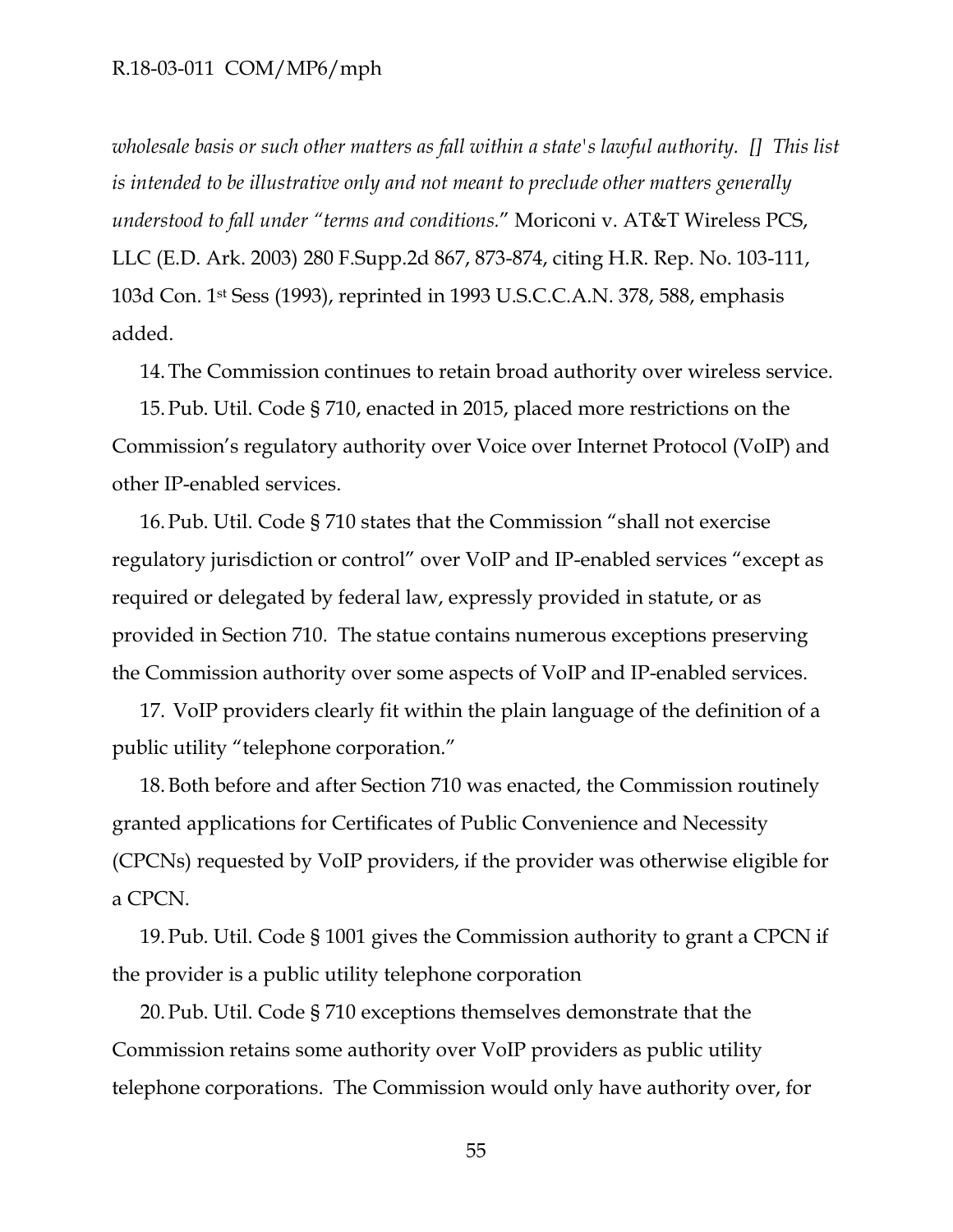*wholesale basis or such other matters as fall within a state's lawful authority. [] This list is intended to be illustrative only and not meant to preclude other matters generally understood to fall under "terms and conditions.*" Moriconi v. AT&T Wireless PCS, LLC (E.D. Ark. 2003) 280 F.Supp.2d 867, 873-874, citing H.R. Rep. No. 103-111, 103d Con. 1st Sess (1993), reprinted in 1993 U.S.C.C.A.N. 378, 588, emphasis added.

14.The Commission continues to retain broad authority over wireless service.

15.Pub. Util. Code § 710, enacted in 2015, placed more restrictions on the Commission's regulatory authority over Voice over Internet Protocol (VoIP) and other IP-enabled services.

16.Pub. Util. Code § 710 states that the Commission "shall not exercise regulatory jurisdiction or control" over VoIP and IP-enabled services "except as required or delegated by federal law, expressly provided in statute, or as provided in Section 710. The statue contains numerous exceptions preserving the Commission authority over some aspects of VoIP and IP-enabled services.

17. VoIP providers clearly fit within the plain language of the definition of a public utility "telephone corporation."

18.Both before and after Section 710 was enacted, the Commission routinely granted applications for Certificates of Public Convenience and Necessity (CPCNs) requested by VoIP providers, if the provider was otherwise eligible for a CPCN.

19.Pub. Util. Code § 1001 gives the Commission authority to grant a CPCN if the provider is a public utility telephone corporation

20.Pub. Util. Code § 710 exceptions themselves demonstrate that the Commission retains some authority over VoIP providers as public utility telephone corporations. The Commission would only have authority over, for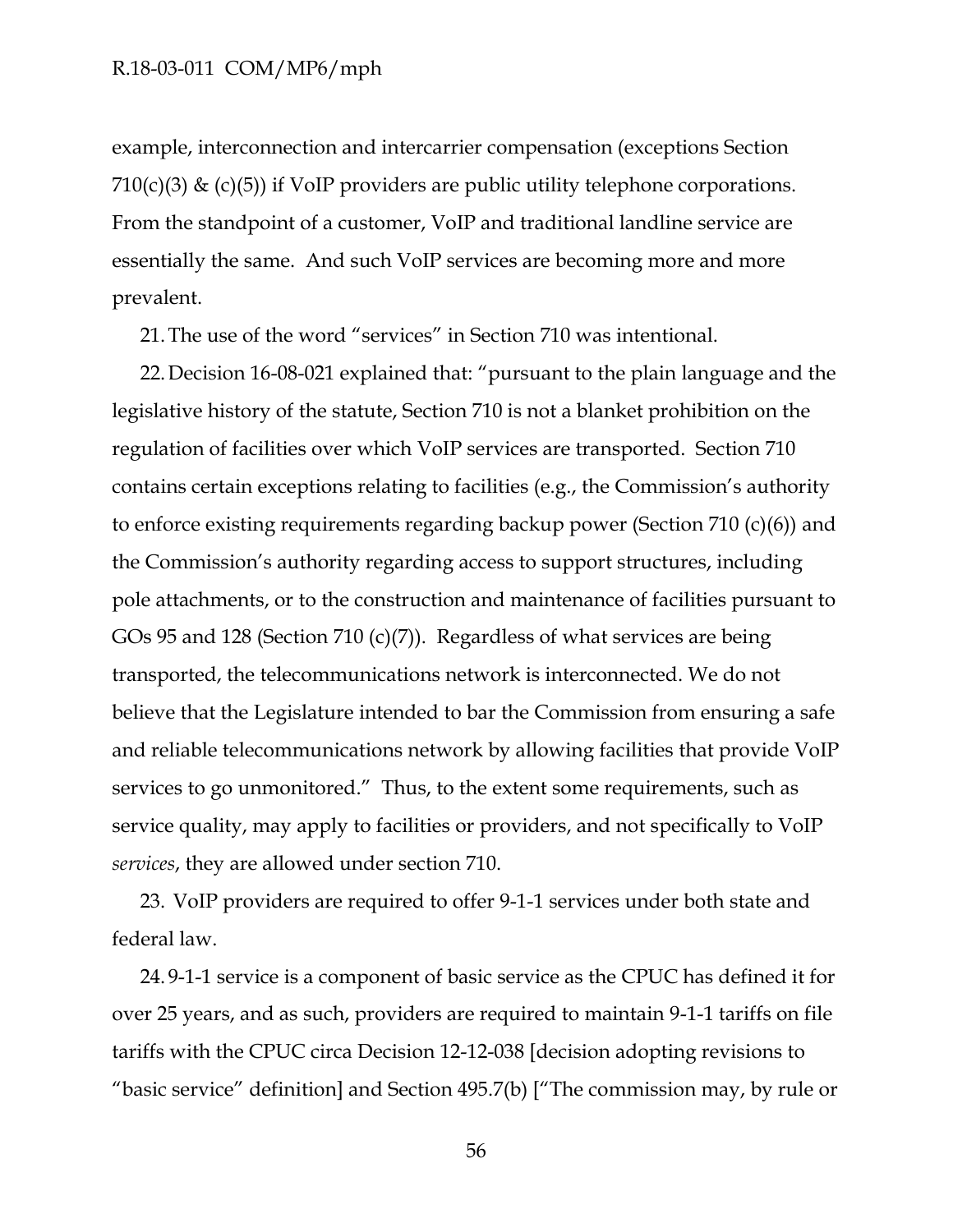example, interconnection and intercarrier compensation (exceptions Section 710(c)(3) & (c)(5)) if VoIP providers are public utility telephone corporations. From the standpoint of a customer, VoIP and traditional landline service are essentially the same. And such VoIP services are becoming more and more prevalent.

21.The use of the word "services" in Section 710 was intentional.

22.Decision 16-08-021 explained that: "pursuant to the plain language and the legislative history of the statute, Section 710 is not a blanket prohibition on the regulation of facilities over which VoIP services are transported. Section 710 contains certain exceptions relating to facilities (e.g., the Commission's authority to enforce existing requirements regarding backup power (Section 710 (c)(6)) and the Commission's authority regarding access to support structures, including pole attachments, or to the construction and maintenance of facilities pursuant to GOs 95 and 128 (Section 710 (c)(7)). Regardless of what services are being transported, the telecommunications network is interconnected. We do not believe that the Legislature intended to bar the Commission from ensuring a safe and reliable telecommunications network by allowing facilities that provide VoIP services to go unmonitored." Thus, to the extent some requirements, such as service quality, may apply to facilities or providers, and not specifically to VoIP *services*, they are allowed under section 710.

23. VoIP providers are required to offer 9-1-1 services under both state and federal law.

24. 9-1-1 service is a component of basic service as the CPUC has defined it for over 25 years, and as such, providers are required to maintain 9-1-1 tariffs on file tariffs with the CPUC circa Decision 12-12-038 [decision adopting revisions to "basic service" definition] and Section 495.7(b) ["The commission may, by rule or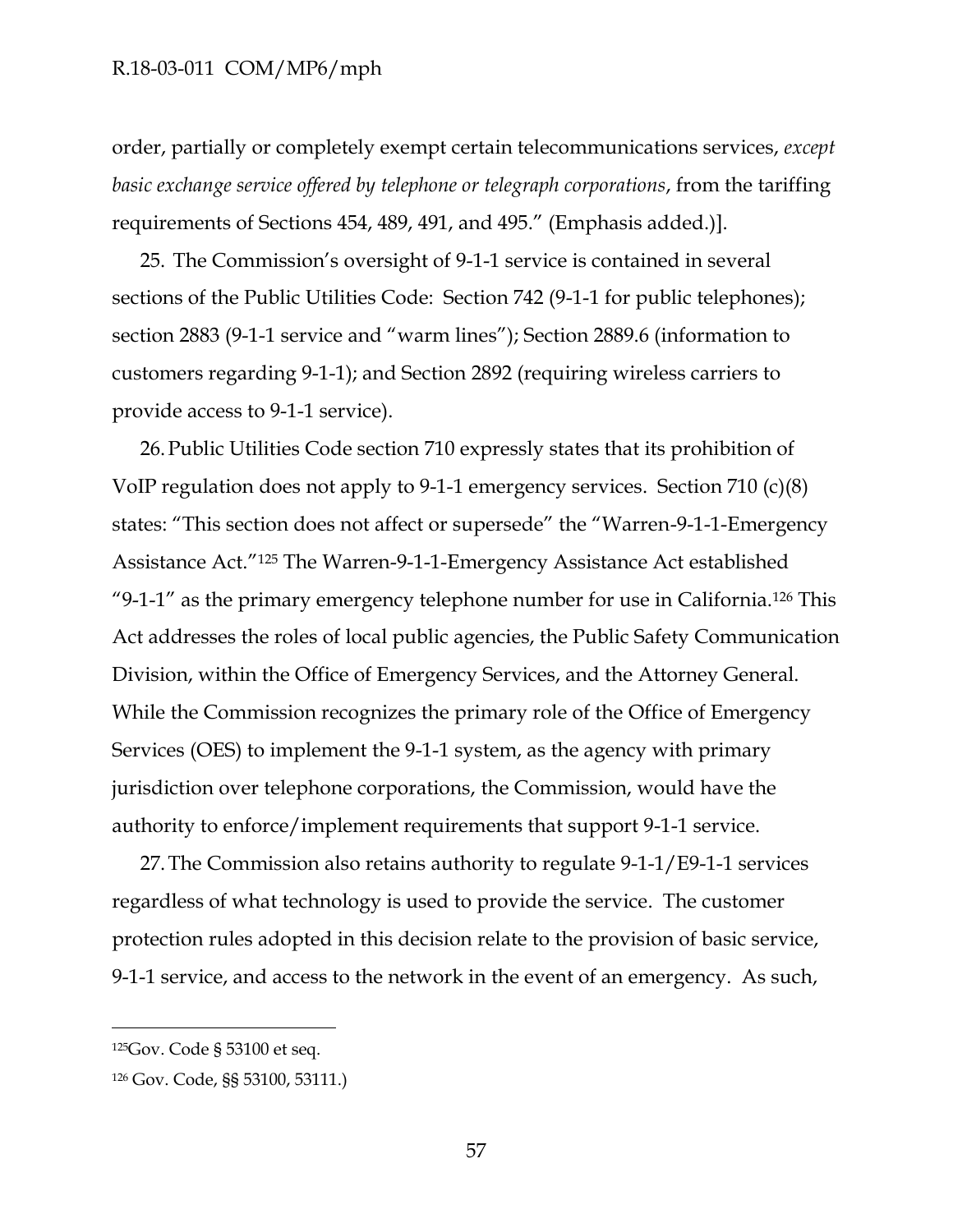order, partially or completely exempt certain telecommunications services, *except basic exchange service offered by telephone or telegraph corporations*, from the tariffing requirements of Sections 454, 489, 491, and 495." (Emphasis added.)].

25. The Commission's oversight of 9-1-1 service is contained in several sections of the Public Utilities Code: Section 742 (9-1-1 for public telephones); section 2883 (9-1-1 service and "warm lines"); Section 2889.6 (information to customers regarding 9-1-1); and Section 2892 (requiring wireless carriers to provide access to 9-1-1 service).

26.Public Utilities Code section 710 expressly states that its prohibition of VoIP regulation does not apply to 9-1-1 emergency services. Section 710 (c)(8) states: "This section does not affect or supersede" the "Warren-9-1-1-Emergency Assistance Act."<sup>125</sup> The Warren-9-1-1-Emergency Assistance Act established "9-1-1" as the primary emergency telephone number for use in California.<sup>126</sup> This Act addresses the roles of local public agencies, the Public Safety Communication Division, within the Office of Emergency Services, and the Attorney General. While the Commission recognizes the primary role of the Office of Emergency Services (OES) to implement the 9-1-1 system, as the agency with primary jurisdiction over telephone corporations, the Commission, would have the authority to enforce/implement requirements that support 9-1-1 service.

27.The Commission also retains authority to regulate 9-1-1/E9-1-1 services regardless of what technology is used to provide the service. The customer protection rules adopted in this decision relate to the provision of basic service, 9-1-1 service, and access to the network in the event of an emergency. As such,

 $\overline{a}$ 

<sup>125</sup>Gov. Code § 53100 et seq.

<sup>126</sup> Gov. Code, §§ 53100, 53111.)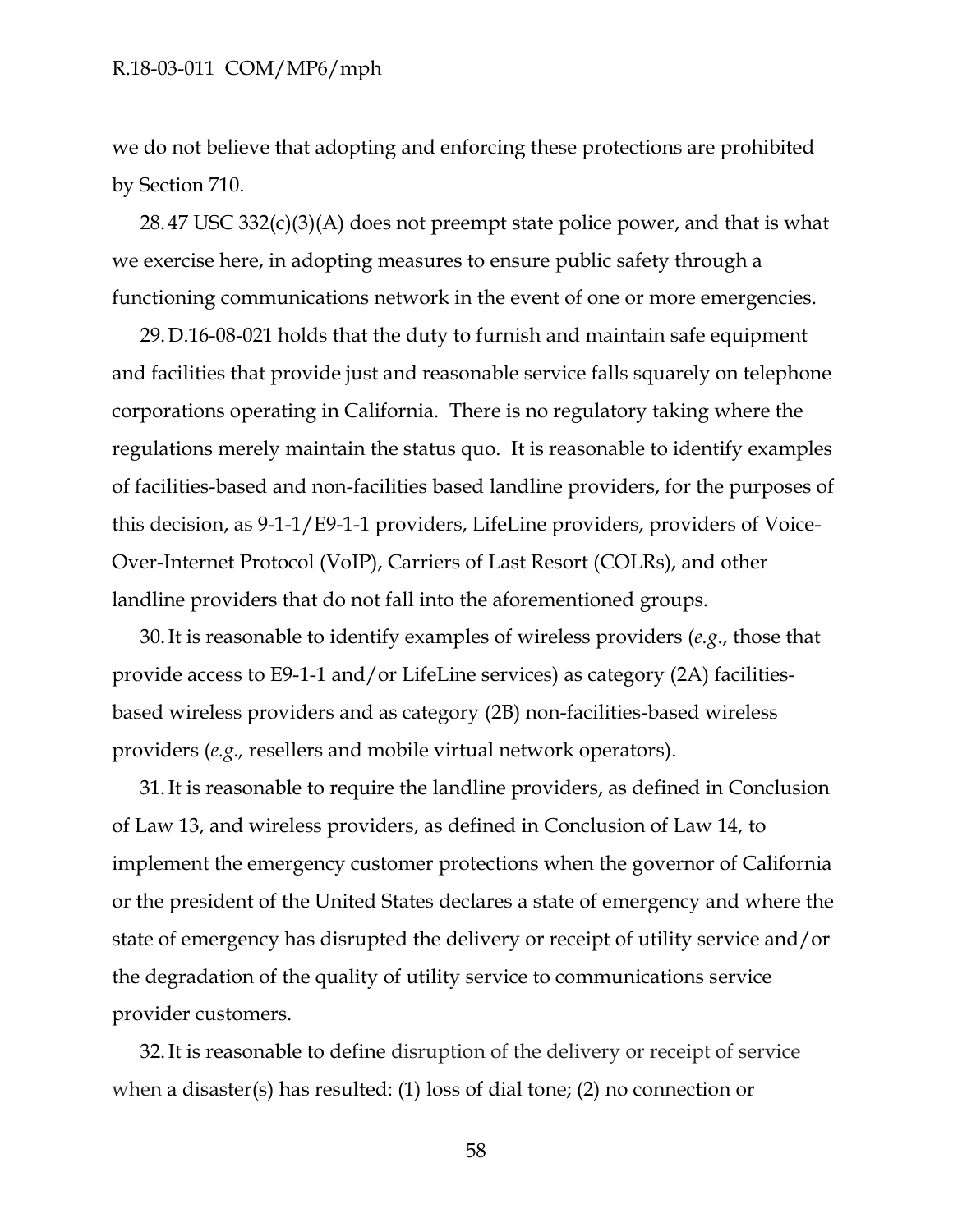we do not believe that adopting and enforcing these protections are prohibited by Section 710.

28. 47 USC 332(c)(3)(A) does not preempt state police power, and that is what we exercise here, in adopting measures to ensure public safety through a functioning communications network in the event of one or more emergencies.

29.D.16-08-021 holds that the duty to furnish and maintain safe equipment and facilities that provide just and reasonable service falls squarely on telephone corporations operating in California. There is no regulatory taking where the regulations merely maintain the status quo. It is reasonable to identify examples of facilities-based and non-facilities based landline providers, for the purposes of this decision, as 9-1-1/E9-1-1 providers, LifeLine providers, providers of Voice-Over-Internet Protocol (VoIP), Carriers of Last Resort (COLRs), and other landline providers that do not fall into the aforementioned groups.

30.It is reasonable to identify examples of wireless providers (*e.g*., those that provide access to E9-1-1 and/or LifeLine services) as category (2A) facilitiesbased wireless providers and as category (2B) non-facilities-based wireless providers (*e.g.,* resellers and mobile virtual network operators).

31.It is reasonable to require the landline providers, as defined in Conclusion of Law 13, and wireless providers, as defined in Conclusion of Law 14, to implement the emergency customer protections when the governor of California or the president of the United States declares a state of emergency and where the state of emergency has disrupted the delivery or receipt of utility service and/or the degradation of the quality of utility service to communications service provider customers.

32.It is reasonable to define disruption of the delivery or receipt of service when a disaster(s) has resulted: (1) loss of dial tone; (2) no connection or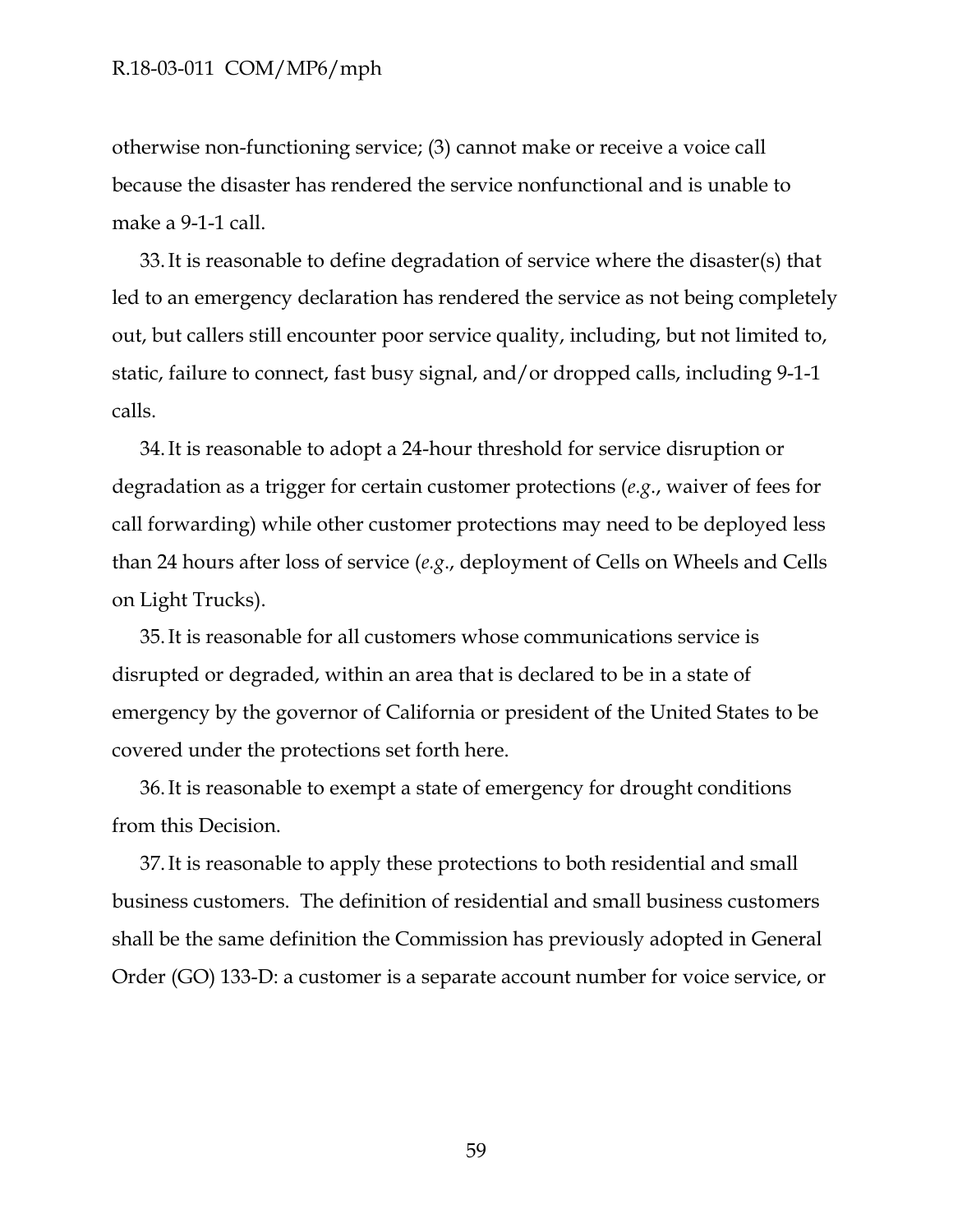otherwise non-functioning service; (3) cannot make or receive a voice call because the disaster has rendered the service nonfunctional and is unable to make a 9-1-1 call.

33.It is reasonable to define degradation of service where the disaster(s) that led to an emergency declaration has rendered the service as not being completely out, but callers still encounter poor service quality, including, but not limited to, static, failure to connect, fast busy signal, and/or dropped calls, including 9-1-1 calls.

34.It is reasonable to adopt a 24-hour threshold for service disruption or degradation as a trigger for certain customer protections (*e.g*., waiver of fees for call forwarding) while other customer protections may need to be deployed less than 24 hours after loss of service (*e.g*., deployment of Cells on Wheels and Cells on Light Trucks).

35.It is reasonable for all customers whose communications service is disrupted or degraded, within an area that is declared to be in a state of emergency by the governor of California or president of the United States to be covered under the protections set forth here.

36.It is reasonable to exempt a state of emergency for drought conditions from this Decision.

37.It is reasonable to apply these protections to both residential and small business customers. The definition of residential and small business customers shall be the same definition the Commission has previously adopted in General Order (GO) 133-D: a customer is a separate account number for voice service, or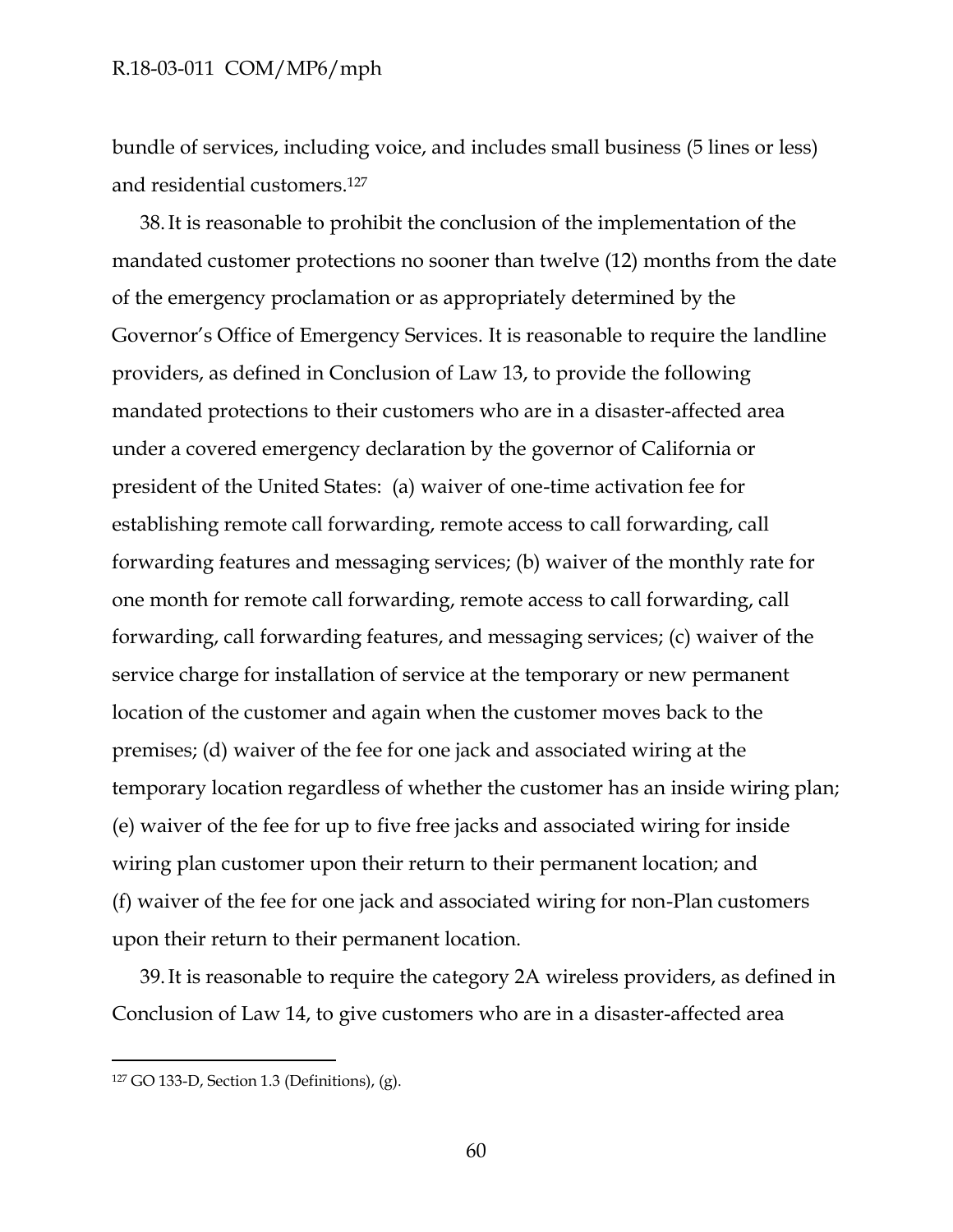bundle of services, including voice, and includes small business (5 lines or less) and residential customers.<sup>127</sup>

38.It is reasonable to prohibit the conclusion of the implementation of the mandated customer protections no sooner than twelve (12) months from the date of the emergency proclamation or as appropriately determined by the Governor's Office of Emergency Services. It is reasonable to require the landline providers, as defined in Conclusion of Law 13, to provide the following mandated protections to their customers who are in a disaster-affected area under a covered emergency declaration by the governor of California or president of the United States: (a) waiver of one-time activation fee for establishing remote call forwarding, remote access to call forwarding, call forwarding features and messaging services; (b) waiver of the monthly rate for one month for remote call forwarding, remote access to call forwarding, call forwarding, call forwarding features, and messaging services; (c) waiver of the service charge for installation of service at the temporary or new permanent location of the customer and again when the customer moves back to the premises; (d) waiver of the fee for one jack and associated wiring at the temporary location regardless of whether the customer has an inside wiring plan; (e) waiver of the fee for up to five free jacks and associated wiring for inside wiring plan customer upon their return to their permanent location; and (f) waiver of the fee for one jack and associated wiring for non-Plan customers upon their return to their permanent location.

39.It is reasonable to require the category 2A wireless providers, as defined in Conclusion of Law 14, to give customers who are in a disaster-affected area

<sup>127</sup> GO 133-D, Section 1.3 (Definitions), (g).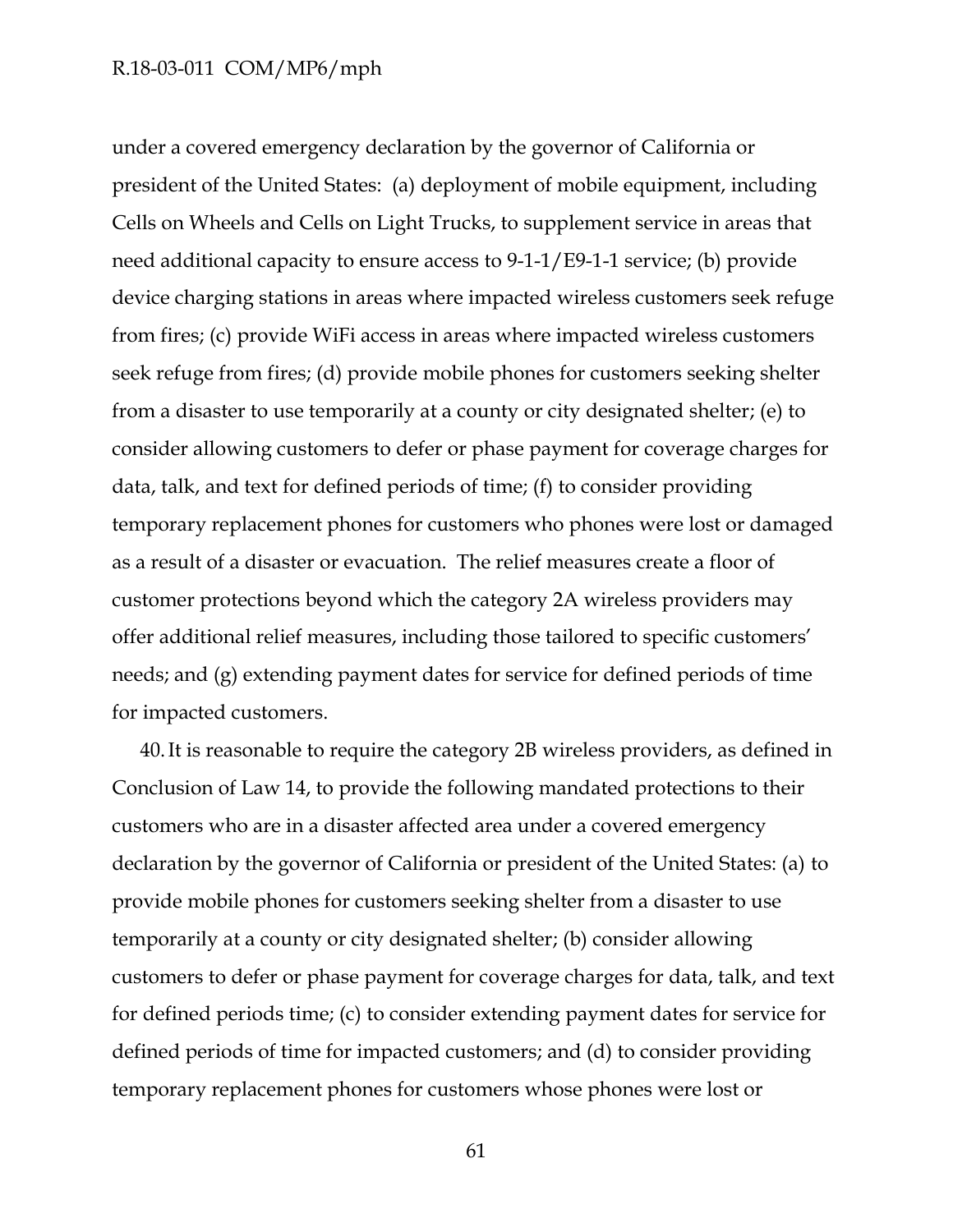under a covered emergency declaration by the governor of California or president of the United States: (a) deployment of mobile equipment, including Cells on Wheels and Cells on Light Trucks, to supplement service in areas that need additional capacity to ensure access to 9-1-1/E9-1-1 service; (b) provide device charging stations in areas where impacted wireless customers seek refuge from fires; (c) provide WiFi access in areas where impacted wireless customers seek refuge from fires; (d) provide mobile phones for customers seeking shelter from a disaster to use temporarily at a county or city designated shelter; (e) to consider allowing customers to defer or phase payment for coverage charges for data, talk, and text for defined periods of time; (f) to consider providing temporary replacement phones for customers who phones were lost or damaged as a result of a disaster or evacuation. The relief measures create a floor of customer protections beyond which the category 2A wireless providers may offer additional relief measures, including those tailored to specific customers' needs; and (g) extending payment dates for service for defined periods of time for impacted customers.

40.It is reasonable to require the category 2B wireless providers, as defined in Conclusion of Law 14, to provide the following mandated protections to their customers who are in a disaster affected area under a covered emergency declaration by the governor of California or president of the United States: (a) to provide mobile phones for customers seeking shelter from a disaster to use temporarily at a county or city designated shelter; (b) consider allowing customers to defer or phase payment for coverage charges for data, talk, and text for defined periods time; (c) to consider extending payment dates for service for defined periods of time for impacted customers; and (d) to consider providing temporary replacement phones for customers whose phones were lost or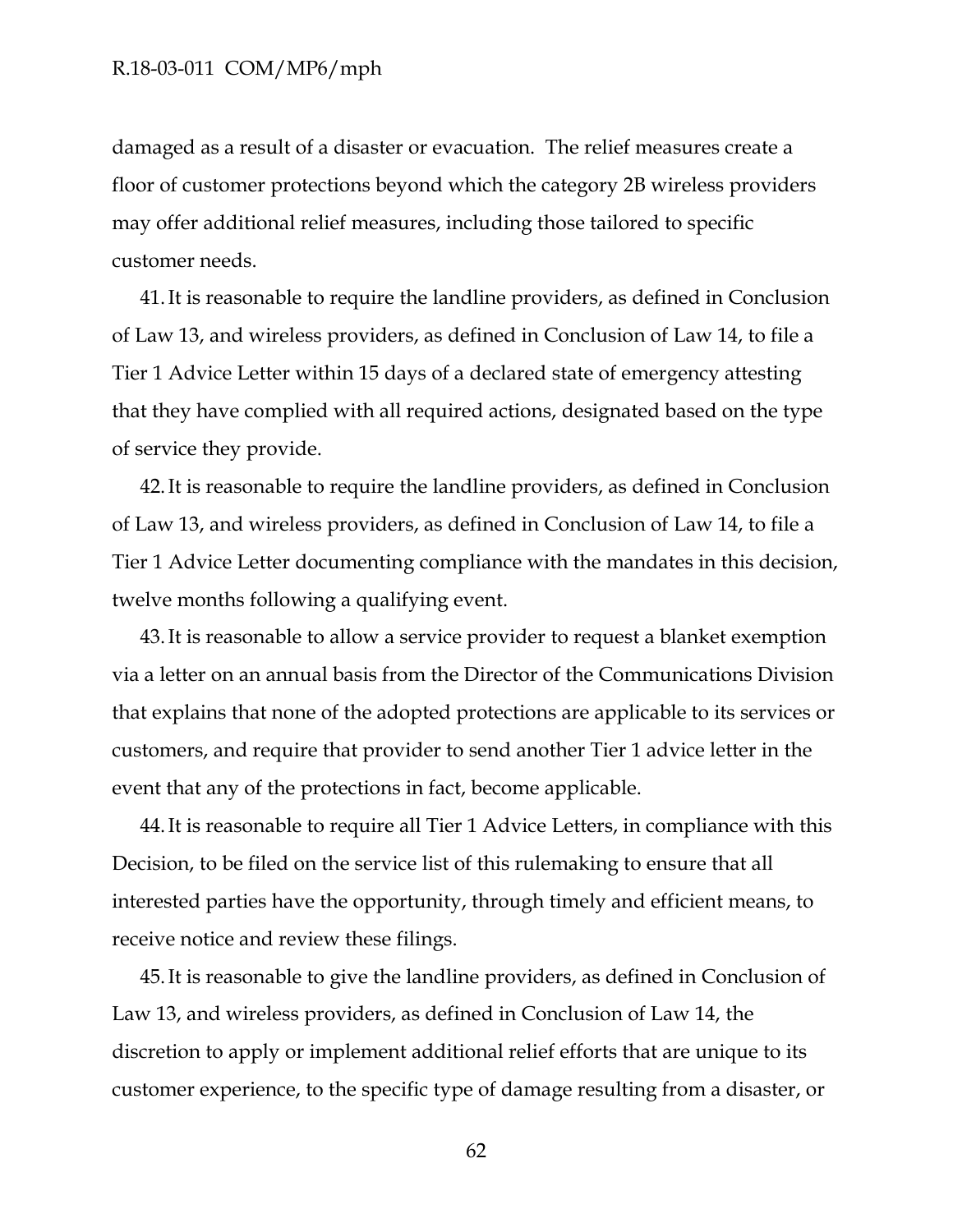damaged as a result of a disaster or evacuation. The relief measures create a floor of customer protections beyond which the category 2B wireless providers may offer additional relief measures, including those tailored to specific customer needs.

41.It is reasonable to require the landline providers, as defined in Conclusion of Law 13, and wireless providers, as defined in Conclusion of Law 14, to file a Tier 1 Advice Letter within 15 days of a declared state of emergency attesting that they have complied with all required actions, designated based on the type of service they provide.

42.It is reasonable to require the landline providers, as defined in Conclusion of Law 13, and wireless providers, as defined in Conclusion of Law 14, to file a Tier 1 Advice Letter documenting compliance with the mandates in this decision, twelve months following a qualifying event.

43.It is reasonable to allow a service provider to request a blanket exemption via a letter on an annual basis from the Director of the Communications Division that explains that none of the adopted protections are applicable to its services or customers, and require that provider to send another Tier 1 advice letter in the event that any of the protections in fact, become applicable.

44.It is reasonable to require all Tier 1 Advice Letters, in compliance with this Decision, to be filed on the service list of this rulemaking to ensure that all interested parties have the opportunity, through timely and efficient means, to receive notice and review these filings.

45.It is reasonable to give the landline providers, as defined in Conclusion of Law 13, and wireless providers, as defined in Conclusion of Law 14, the discretion to apply or implement additional relief efforts that are unique to its customer experience, to the specific type of damage resulting from a disaster, or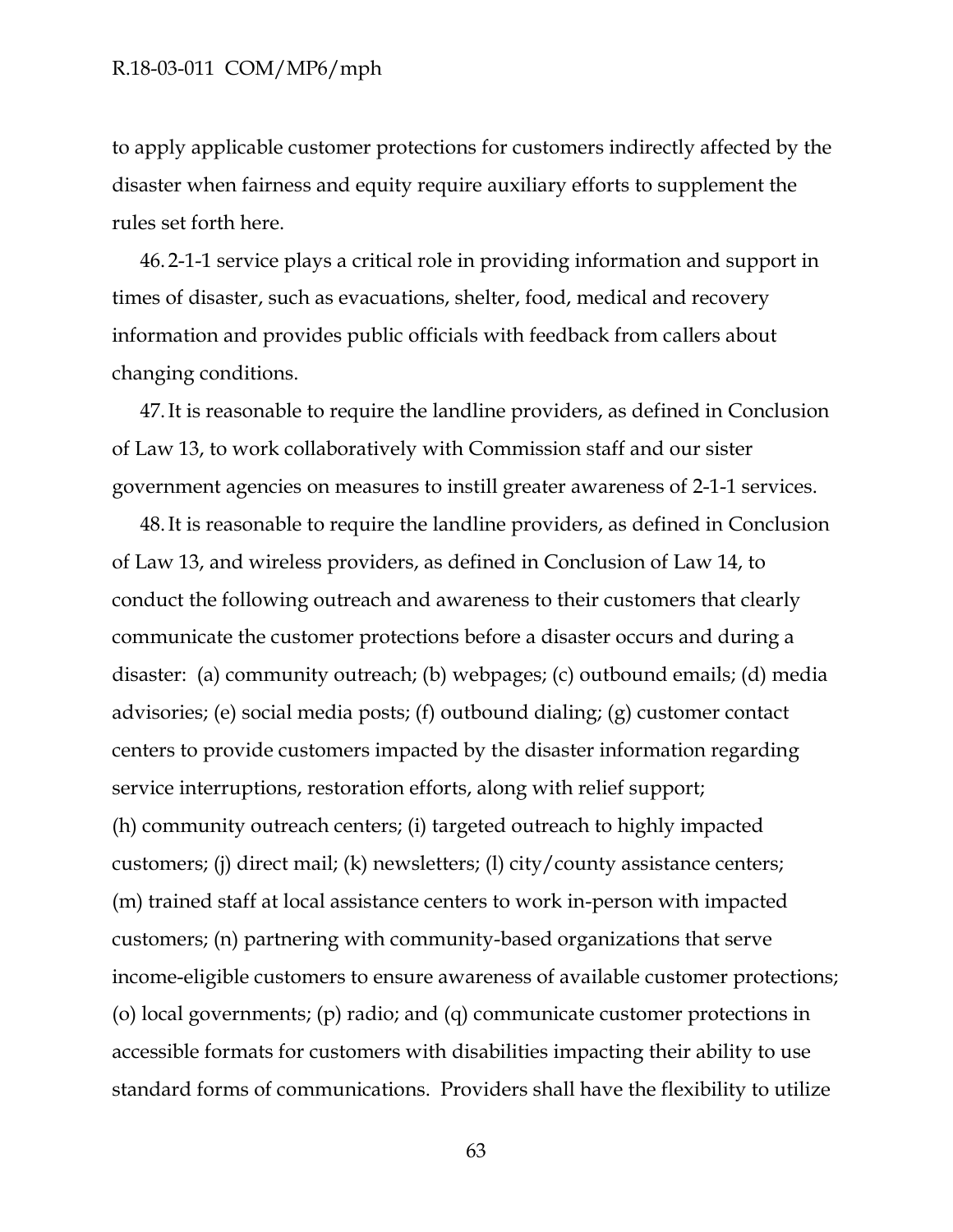to apply applicable customer protections for customers indirectly affected by the disaster when fairness and equity require auxiliary efforts to supplement the rules set forth here.

46. 2-1-1 service plays a critical role in providing information and support in times of disaster, such as evacuations, shelter, food, medical and recovery information and provides public officials with feedback from callers about changing conditions.

47.It is reasonable to require the landline providers, as defined in Conclusion of Law 13, to work collaboratively with Commission staff and our sister government agencies on measures to instill greater awareness of 2-1-1 services.

48.It is reasonable to require the landline providers, as defined in Conclusion of Law 13, and wireless providers, as defined in Conclusion of Law 14, to conduct the following outreach and awareness to their customers that clearly communicate the customer protections before a disaster occurs and during a disaster: (a) community outreach; (b) webpages; (c) outbound emails; (d) media advisories; (e) social media posts; (f) outbound dialing; (g) customer contact centers to provide customers impacted by the disaster information regarding service interruptions, restoration efforts, along with relief support; (h) community outreach centers; (i) targeted outreach to highly impacted customers; (j) direct mail; (k) newsletters; (l) city/county assistance centers; (m) trained staff at local assistance centers to work in-person with impacted customers; (n) partnering with community-based organizations that serve income-eligible customers to ensure awareness of available customer protections; (o) local governments; (p) radio; and (q) communicate customer protections in accessible formats for customers with disabilities impacting their ability to use standard forms of communications. Providers shall have the flexibility to utilize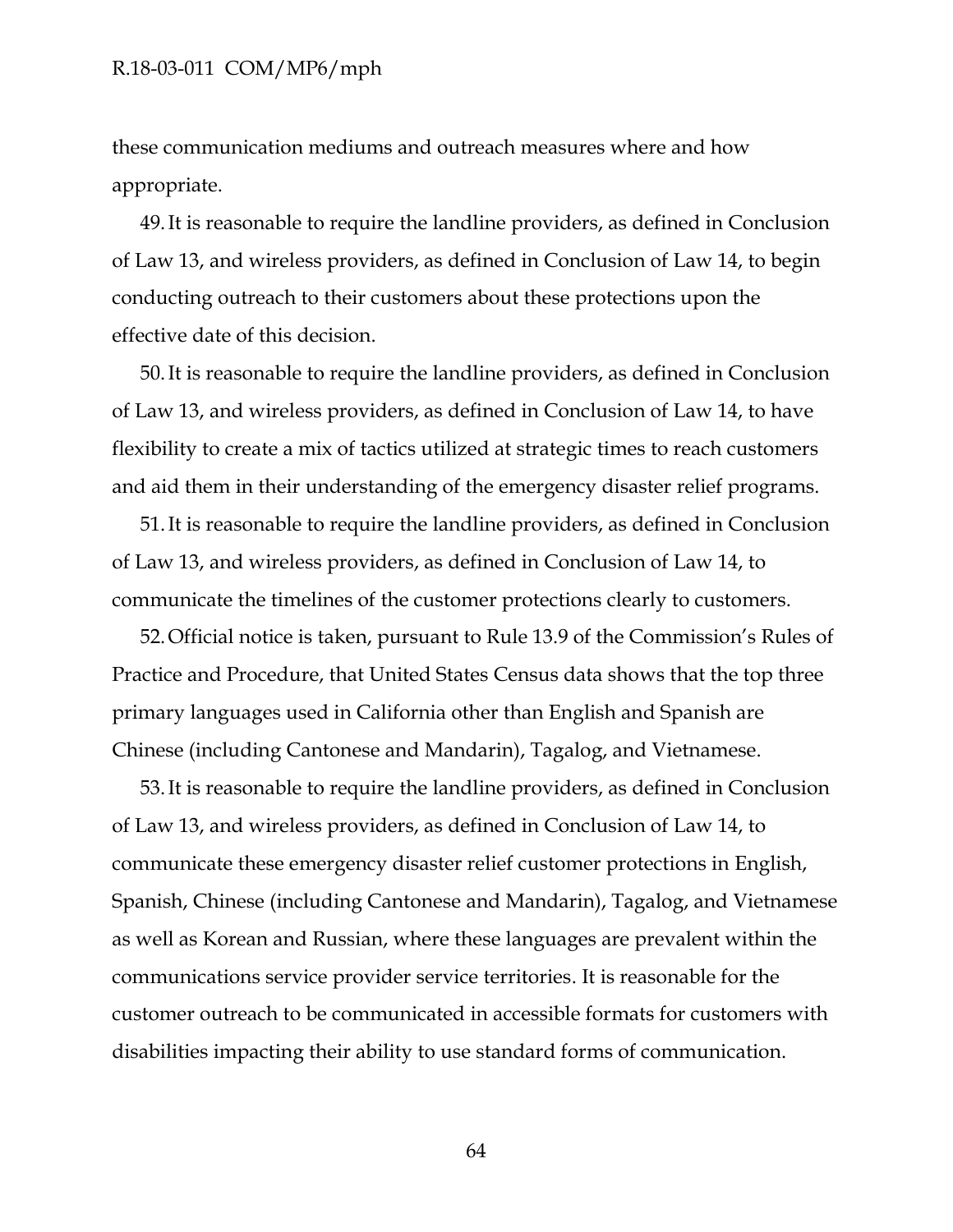these communication mediums and outreach measures where and how appropriate.

49.It is reasonable to require the landline providers, as defined in Conclusion of Law 13, and wireless providers, as defined in Conclusion of Law 14, to begin conducting outreach to their customers about these protections upon the effective date of this decision.

50.It is reasonable to require the landline providers, as defined in Conclusion of Law 13, and wireless providers, as defined in Conclusion of Law 14, to have flexibility to create a mix of tactics utilized at strategic times to reach customers and aid them in their understanding of the emergency disaster relief programs.

51.It is reasonable to require the landline providers, as defined in Conclusion of Law 13, and wireless providers, as defined in Conclusion of Law 14, to communicate the timelines of the customer protections clearly to customers.

52.Official notice is taken, pursuant to Rule 13.9 of the Commission's Rules of Practice and Procedure, that United States Census data shows that the top three primary languages used in California other than English and Spanish are Chinese (including Cantonese and Mandarin), Tagalog, and Vietnamese.

53.It is reasonable to require the landline providers, as defined in Conclusion of Law 13, and wireless providers, as defined in Conclusion of Law 14, to communicate these emergency disaster relief customer protections in English, Spanish, Chinese (including Cantonese and Mandarin), Tagalog, and Vietnamese as well as Korean and Russian, where these languages are prevalent within the communications service provider service territories. It is reasonable for the customer outreach to be communicated in accessible formats for customers with disabilities impacting their ability to use standard forms of communication.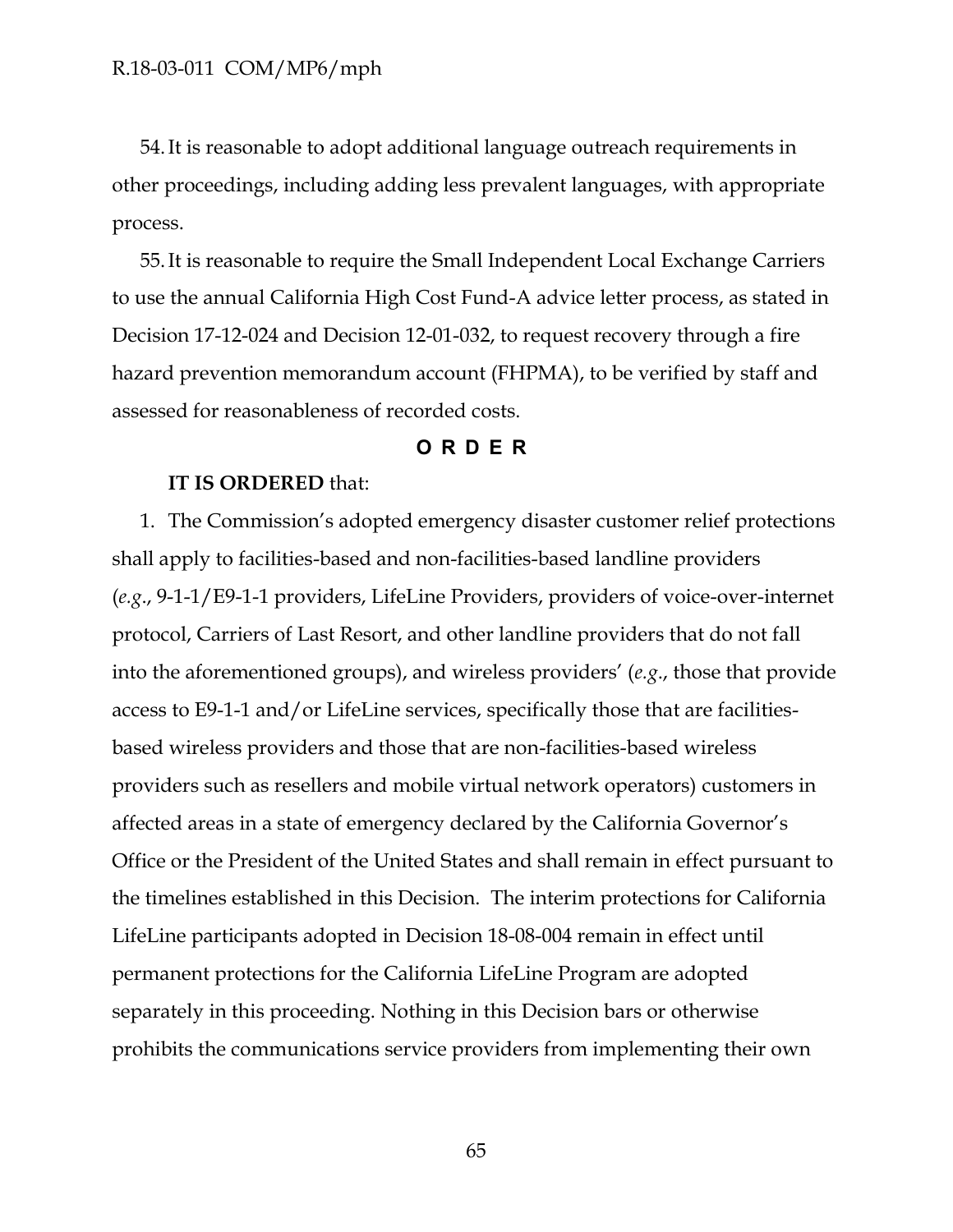54.It is reasonable to adopt additional language outreach requirements in other proceedings, including adding less prevalent languages, with appropriate process.

55.It is reasonable to require the Small Independent Local Exchange Carriers to use the annual California High Cost Fund-A advice letter process, as stated in Decision 17-12-024 and Decision 12-01-032, to request recovery through a fire hazard prevention memorandum account (FHPMA), to be verified by staff and assessed for reasonableness of recorded costs.

### **ORDER**

### <span id="page-65-0"></span>**IT IS ORDERED** that:

1. The Commission's adopted emergency disaster customer relief protections shall apply to facilities-based and non-facilities-based landline providers (*e.g*., 9-1-1/E9-1-1 providers, LifeLine Providers, providers of voice-over-internet protocol, Carriers of Last Resort, and other landline providers that do not fall into the aforementioned groups), and wireless providers' (*e.g*., those that provide access to E9-1-1 and/or LifeLine services, specifically those that are facilitiesbased wireless providers and those that are non-facilities-based wireless providers such as resellers and mobile virtual network operators) customers in affected areas in a state of emergency declared by the California Governor's Office or the President of the United States and shall remain in effect pursuant to the timelines established in this Decision. The interim protections for California LifeLine participants adopted in Decision 18-08-004 remain in effect until permanent protections for the California LifeLine Program are adopted separately in this proceeding. Nothing in this Decision bars or otherwise prohibits the communications service providers from implementing their own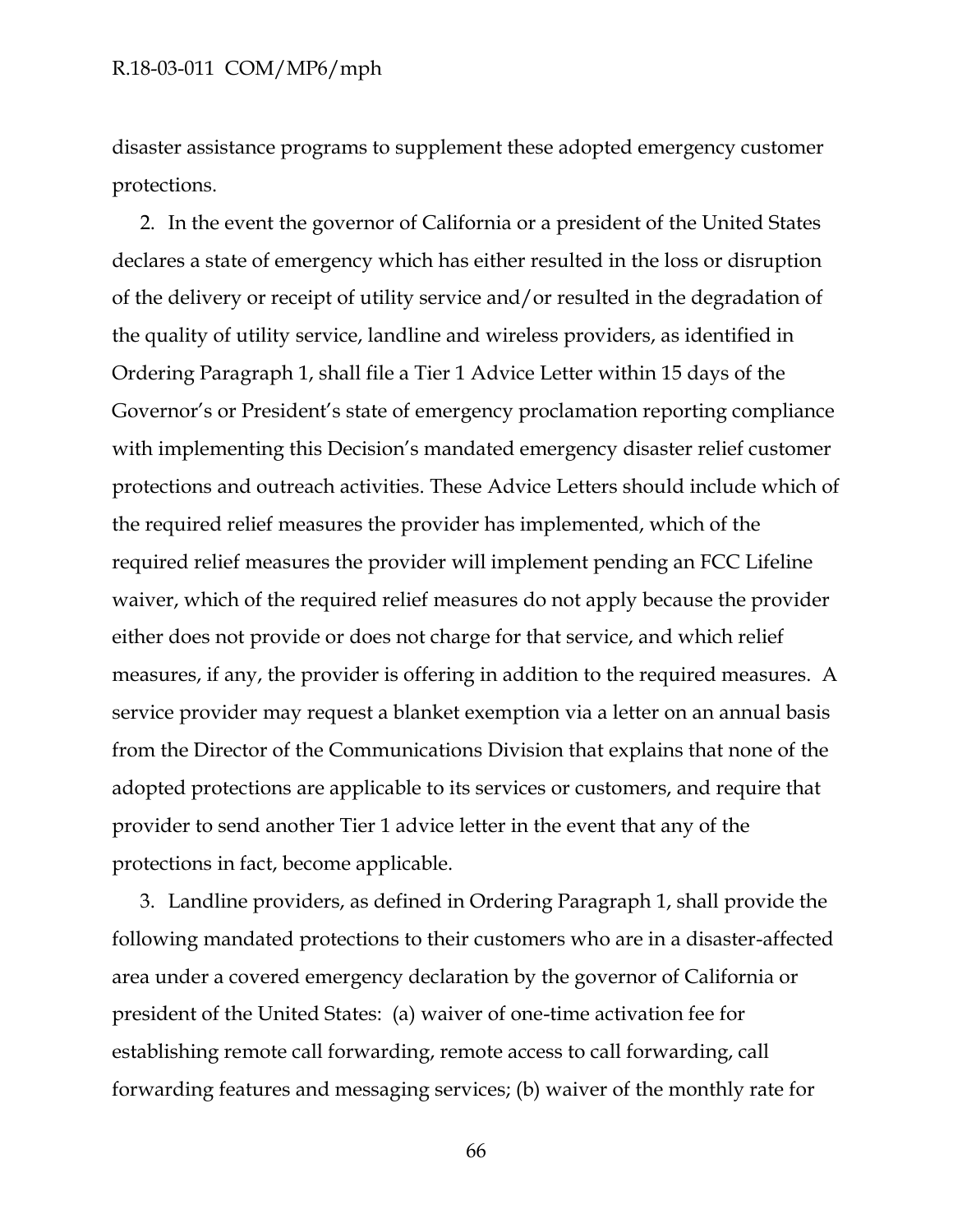disaster assistance programs to supplement these adopted emergency customer protections.

2. In the event the governor of California or a president of the United States declares a state of emergency which has either resulted in the loss or disruption of the delivery or receipt of utility service and/or resulted in the degradation of the quality of utility service, landline and wireless providers, as identified in Ordering Paragraph 1, shall file a Tier 1 Advice Letter within 15 days of the Governor's or President's state of emergency proclamation reporting compliance with implementing this Decision's mandated emergency disaster relief customer protections and outreach activities. These Advice Letters should include which of the required relief measures the provider has implemented, which of the required relief measures the provider will implement pending an FCC Lifeline waiver, which of the required relief measures do not apply because the provider either does not provide or does not charge for that service, and which relief measures, if any, the provider is offering in addition to the required measures. A service provider may request a blanket exemption via a letter on an annual basis from the Director of the Communications Division that explains that none of the adopted protections are applicable to its services or customers, and require that provider to send another Tier 1 advice letter in the event that any of the protections in fact, become applicable.

3. Landline providers, as defined in Ordering Paragraph 1, shall provide the following mandated protections to their customers who are in a disaster-affected area under a covered emergency declaration by the governor of California or president of the United States: (a) waiver of one-time activation fee for establishing remote call forwarding, remote access to call forwarding, call forwarding features and messaging services; (b) waiver of the monthly rate for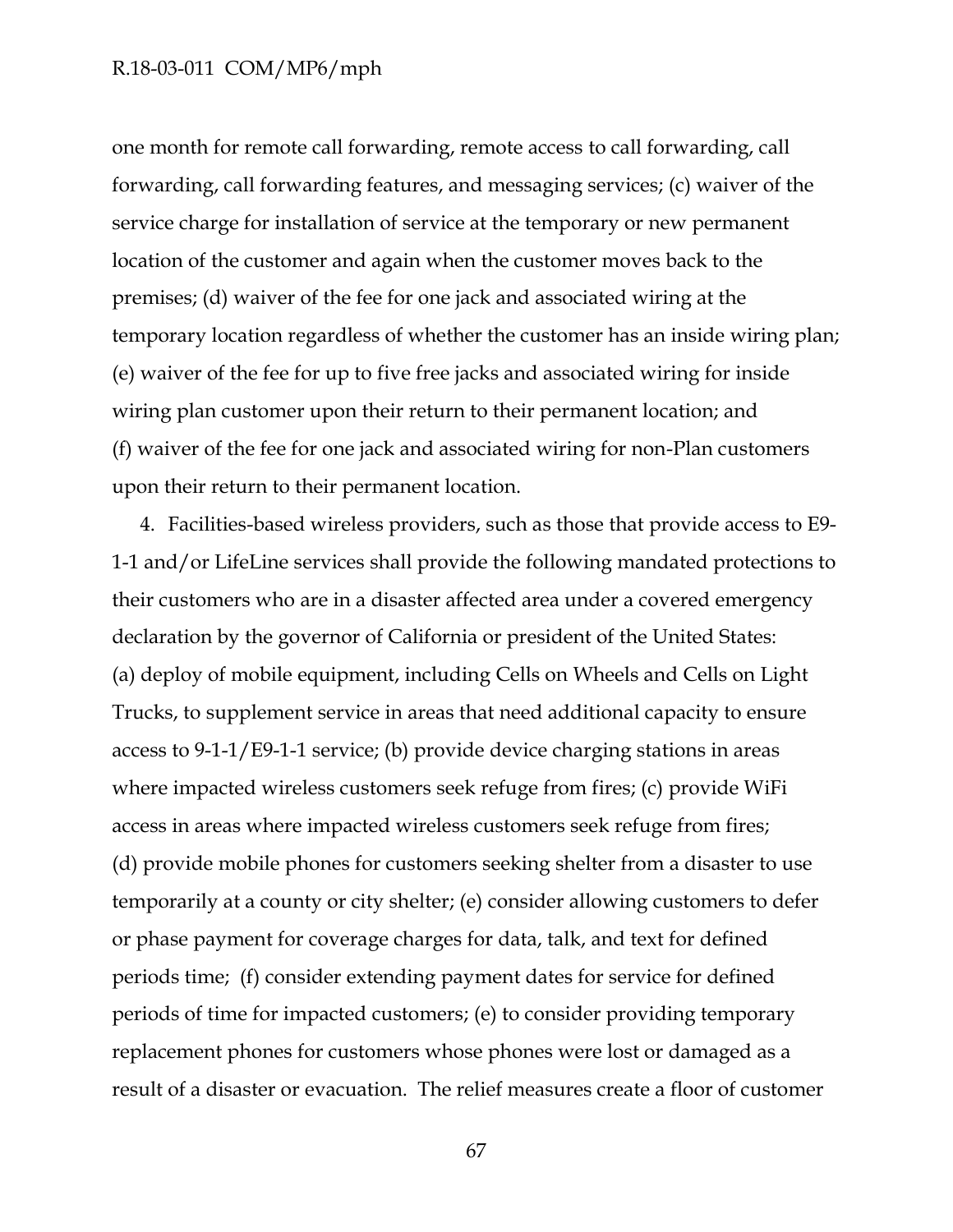one month for remote call forwarding, remote access to call forwarding, call forwarding, call forwarding features, and messaging services; (c) waiver of the service charge for installation of service at the temporary or new permanent location of the customer and again when the customer moves back to the premises; (d) waiver of the fee for one jack and associated wiring at the temporary location regardless of whether the customer has an inside wiring plan; (e) waiver of the fee for up to five free jacks and associated wiring for inside wiring plan customer upon their return to their permanent location; and (f) waiver of the fee for one jack and associated wiring for non-Plan customers upon their return to their permanent location.

4. Facilities-based wireless providers, such as those that provide access to E9- 1-1 and/or LifeLine services shall provide the following mandated protections to their customers who are in a disaster affected area under a covered emergency declaration by the governor of California or president of the United States: (a) deploy of mobile equipment, including Cells on Wheels and Cells on Light Trucks, to supplement service in areas that need additional capacity to ensure access to 9-1-1/E9-1-1 service; (b) provide device charging stations in areas where impacted wireless customers seek refuge from fires; (c) provide WiFi access in areas where impacted wireless customers seek refuge from fires; (d) provide mobile phones for customers seeking shelter from a disaster to use temporarily at a county or city shelter; (e) consider allowing customers to defer or phase payment for coverage charges for data, talk, and text for defined periods time; (f) consider extending payment dates for service for defined periods of time for impacted customers; (e) to consider providing temporary replacement phones for customers whose phones were lost or damaged as a result of a disaster or evacuation. The relief measures create a floor of customer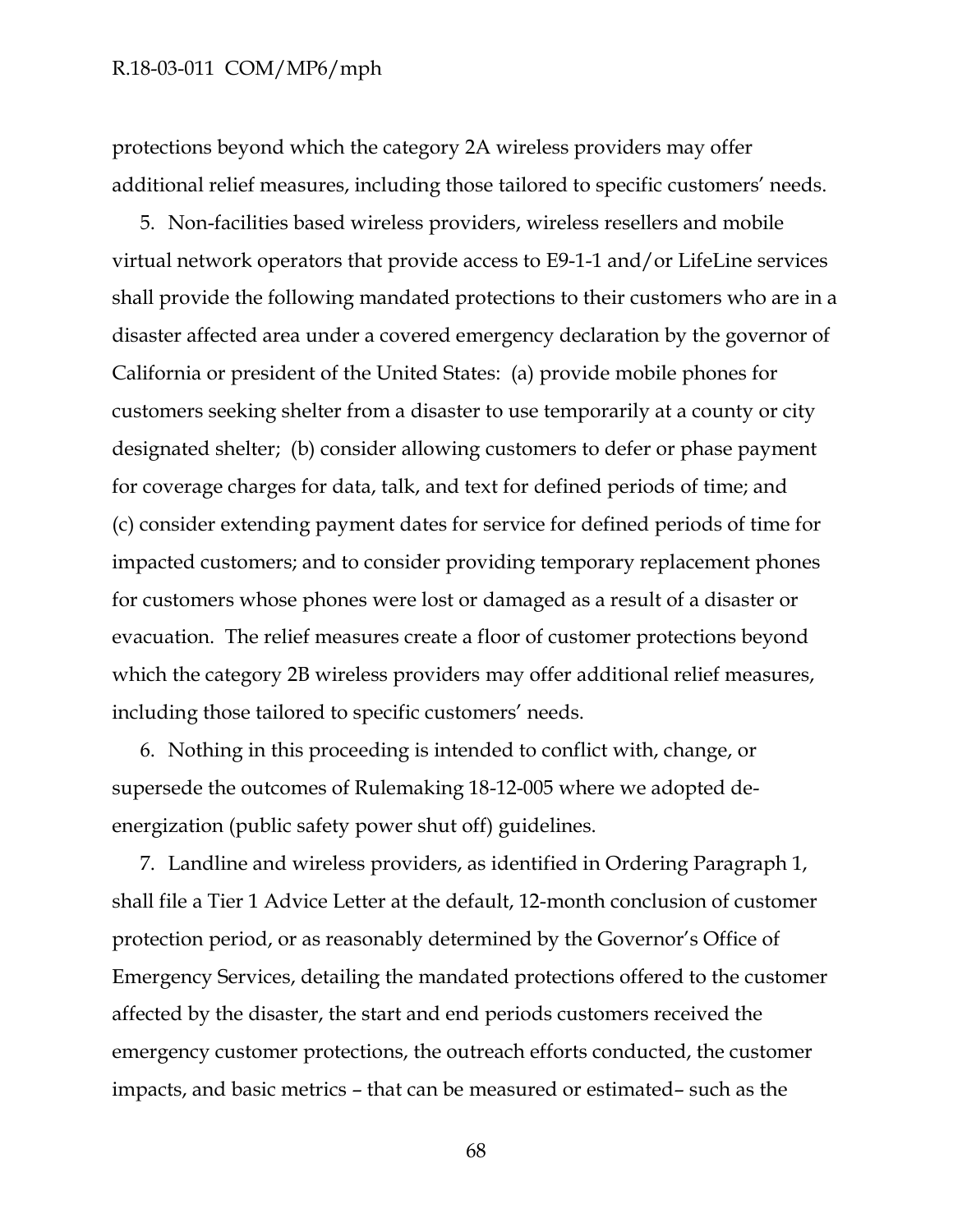protections beyond which the category 2A wireless providers may offer additional relief measures, including those tailored to specific customers' needs.

5. Non-facilities based wireless providers, wireless resellers and mobile virtual network operators that provide access to E9-1-1 and/or LifeLine services shall provide the following mandated protections to their customers who are in a disaster affected area under a covered emergency declaration by the governor of California or president of the United States: (a) provide mobile phones for customers seeking shelter from a disaster to use temporarily at a county or city designated shelter; (b) consider allowing customers to defer or phase payment for coverage charges for data, talk, and text for defined periods of time; and (c) consider extending payment dates for service for defined periods of time for impacted customers; and to consider providing temporary replacement phones for customers whose phones were lost or damaged as a result of a disaster or evacuation. The relief measures create a floor of customer protections beyond which the category 2B wireless providers may offer additional relief measures, including those tailored to specific customers' needs.

6. Nothing in this proceeding is intended to conflict with, change, or supersede the outcomes of Rulemaking 18-12-005 where we adopted deenergization (public safety power shut off) guidelines.

7. Landline and wireless providers, as identified in Ordering Paragraph 1, shall file a Tier 1 Advice Letter at the default, 12-month conclusion of customer protection period, or as reasonably determined by the Governor's Office of Emergency Services, detailing the mandated protections offered to the customer affected by the disaster, the start and end periods customers received the emergency customer protections, the outreach efforts conducted, the customer impacts, and basic metrics – that can be measured or estimated– such as the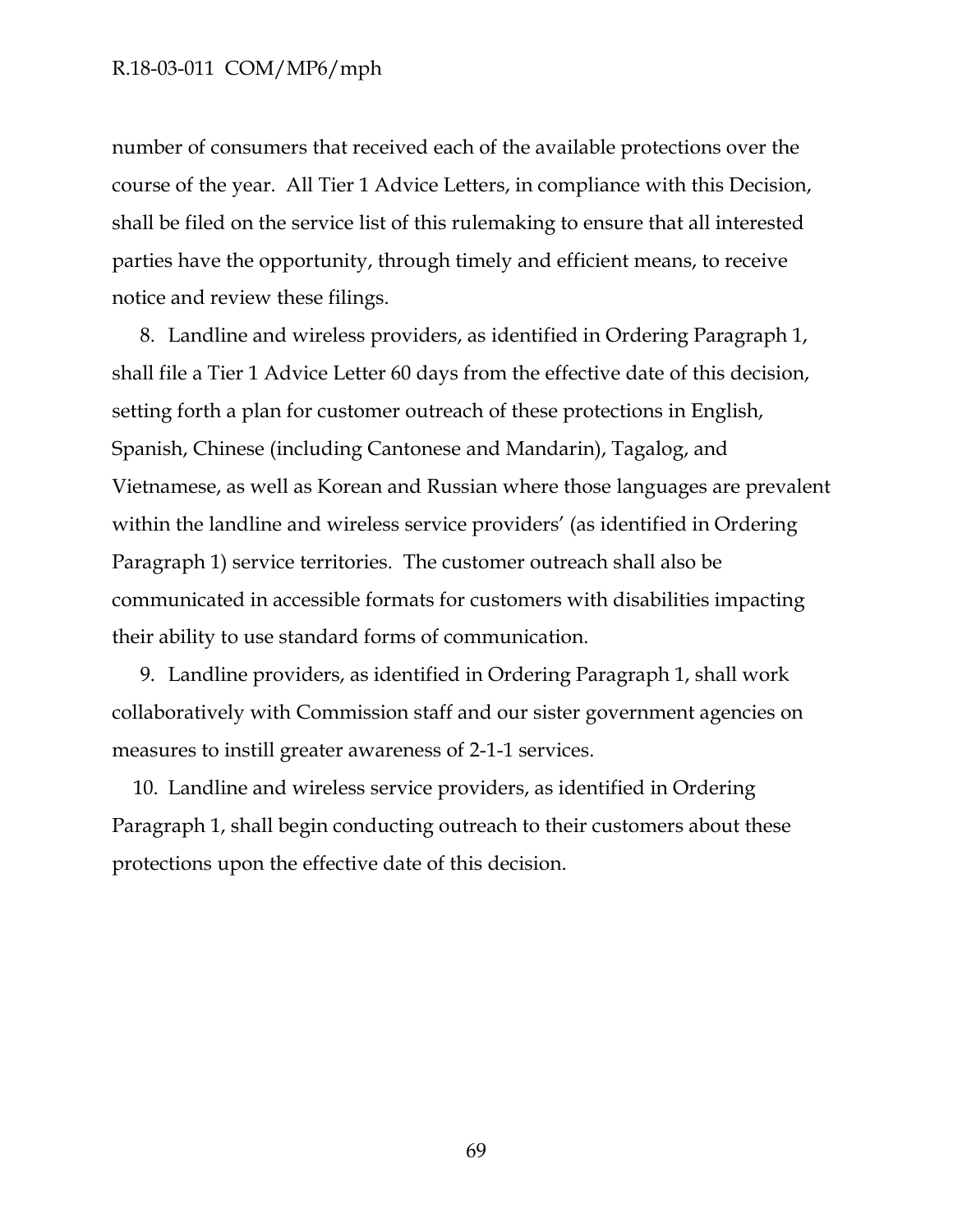number of consumers that received each of the available protections over the course of the year. All Tier 1 Advice Letters, in compliance with this Decision, shall be filed on the service list of this rulemaking to ensure that all interested parties have the opportunity, through timely and efficient means, to receive notice and review these filings.

8. Landline and wireless providers, as identified in Ordering Paragraph 1, shall file a Tier 1 Advice Letter 60 days from the effective date of this decision, setting forth a plan for customer outreach of these protections in English, Spanish, Chinese (including Cantonese and Mandarin), Tagalog, and Vietnamese, as well as Korean and Russian where those languages are prevalent within the landline and wireless service providers' (as identified in Ordering Paragraph 1) service territories. The customer outreach shall also be communicated in accessible formats for customers with disabilities impacting their ability to use standard forms of communication.

9. Landline providers, as identified in Ordering Paragraph 1, shall work collaboratively with Commission staff and our sister government agencies on measures to instill greater awareness of 2-1-1 services.

10. Landline and wireless service providers, as identified in Ordering Paragraph 1, shall begin conducting outreach to their customers about these protections upon the effective date of this decision.